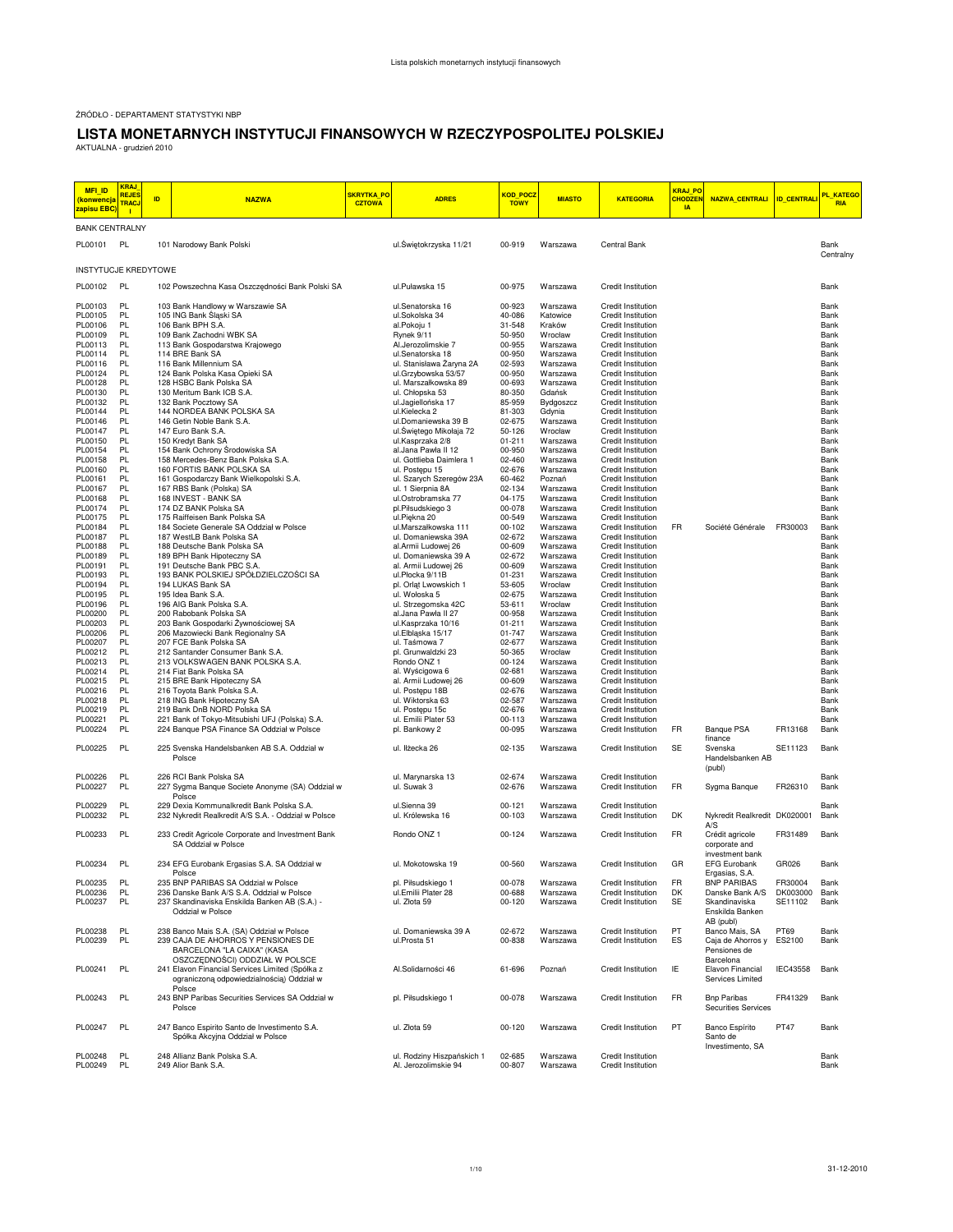ŹRÓDŁO - DEPARTAMENT STATYSTYKI NBP

## **LISTA MONETARNYCH INSTYTUCJI FINANSOWYCH W RZECZYPOSPOLITEJ POLSKIEJ**

AKTUALNA - grudzień 2010

| <b>MFI_ID</b><br><mark>(konwencja</mark><br>zapisu EBC | <b>KRAJ</b><br><b>REJES</b><br><b>TRACJ</b><br>п | ID | <b>NAZWA</b>                                                                                           | <mark>SKRYTKA PO</mark><br><b>CZTOWA</b> | <b>ADRES</b>                                       | <mark>KOD_POCZ</mark><br><b>TOWY</b> | <b>MIASTO</b>        | <b>KATEGORIA</b>                                | KRAJ_PO<br><b>CHODZEM</b><br><b>IA</b> | NAZWA CENTRALI ID CENTRAL                                |          | PL_KATEGO<br><b>RIA</b> |
|--------------------------------------------------------|--------------------------------------------------|----|--------------------------------------------------------------------------------------------------------|------------------------------------------|----------------------------------------------------|--------------------------------------|----------------------|-------------------------------------------------|----------------------------------------|----------------------------------------------------------|----------|-------------------------|
| <b>BANK CENTRALNY</b>                                  |                                                  |    |                                                                                                        |                                          |                                                    |                                      |                      |                                                 |                                        |                                                          |          |                         |
| PL00101                                                | PL                                               |    | 101 Narodowy Bank Polski                                                                               |                                          | ul.Świętokrzyska 11/21                             | 00-919                               | Warszawa             | Central Bank                                    |                                        |                                                          |          | Bank<br>Centralny       |
| <b>INSTYTUCJE KREDYTOWE</b>                            |                                                  |    |                                                                                                        |                                          |                                                    |                                      |                      |                                                 |                                        |                                                          |          |                         |
| PL00102                                                | <b>PL</b>                                        |    | 102 Powszechna Kasa Oszczędności Bank Polski SA                                                        |                                          | ul.Puławska 15                                     | 00-975                               | Warszawa             | <b>Credit Institution</b>                       |                                        |                                                          |          | Bank                    |
| PL00103<br>PL00105                                     | PL<br>PL                                         |    | 103 Bank Handlowy w Warszawie SA                                                                       |                                          | ul.Senatorska 16<br>ul.Sokolska 34                 | 00-923<br>40-086                     | Warszawa<br>Katowice | Credit Institution<br>Credit Institution        |                                        |                                                          |          | Bank<br>Bank            |
| PL00106                                                | PL                                               |    | 105 ING Bank Śląski SA<br>106 Bank BPH S.A.                                                            |                                          | al.Pokoju 1                                        | 31-548                               | Kraków               | Credit Institution                              |                                        |                                                          |          | Bank                    |
| PL00109                                                | PL                                               |    | 109 Bank Zachodni WBK SA                                                                               |                                          | Rynek 9/11                                         | 50-950                               | Wrocław              | Credit Institution                              |                                        |                                                          |          | Bank                    |
| PL00113                                                | PL                                               |    | 113 Bank Gospodarstwa Krajowego                                                                        |                                          | Al.Jerozolimskie 7                                 | 00-955                               | Warszawa             | Credit Institution                              |                                        |                                                          |          | Bank                    |
| PL00114<br>PL00116                                     | PL<br>PL                                         |    | 114 BRE Bank SA<br>116 Bank Millennium SA                                                              |                                          | ul.Senatorska 18<br>ul. Stanisława Żaryna 2A       | 00-950<br>02-593                     | Warszawa<br>Warszawa | Credit Institution<br>Credit Institution        |                                        |                                                          |          | Bank<br>Bank            |
| PL00124                                                | PL                                               |    | 124 Bank Polska Kasa Opieki SA                                                                         |                                          | ul.Grzybowska 53/57                                | 00-950                               | Warszawa             | <b>Credit Institution</b>                       |                                        |                                                          |          | Bank                    |
| PL00128                                                | PL                                               |    | 128 HSBC Bank Polska SA                                                                                |                                          | ul. Marszałkowska 89                               | 00-693                               | Warszawa             | Credit Institution                              |                                        |                                                          |          | Bank                    |
| PL00130                                                | PL<br>PL                                         |    | 130 Meritum Bank ICB S.A.                                                                              |                                          | ul. Chłopska 53                                    | 80-350                               | Gdańsk               | Credit Institution                              |                                        |                                                          |          | Bank<br>Bank            |
| PL00132<br>PL00144                                     | PL                                               |    | 132 Bank Pocztowy SA<br>144 NORDEA BANK POLSKA SA                                                      |                                          | ul.Jagiellońska 17<br>ul.Kielecka 2                | 85-959<br>81-303                     | Bydgoszcz<br>Gdynia  | Credit Institution<br>Credit Institution        |                                        |                                                          |          | Bank                    |
| PL00146                                                | PL                                               |    | 146 Getin Noble Bank S.A.                                                                              |                                          | ul.Domaniewska 39 B                                | 02-675                               | Warszawa             | <b>Credit Institution</b>                       |                                        |                                                          |          | Bank                    |
| PL00147                                                | PL                                               |    | 147 Euro Bank S.A.                                                                                     |                                          | ul.Swiętego Mikołaja 72                            | 50-126                               | Wrocław              | Credit Institution                              |                                        |                                                          |          | Bank                    |
| PL00150<br>PL00154                                     | PL<br>PL                                         |    | 150 Kredyt Bank SA<br>154 Bank Ochrony Środowiska SA                                                   |                                          | ul.Kasprzaka 2/8<br>al.Jana Pawła II 12            | $01 - 211$<br>00-950                 | Warszawa<br>Warszawa | Credit Institution<br><b>Credit Institution</b> |                                        |                                                          |          | Bank<br>Bank            |
| PL00158                                                | PL                                               |    | 158 Mercedes-Benz Bank Polska S.A.                                                                     |                                          | ul. Gottlieba Daimlera 1                           | 02-460                               | Warszawa             | <b>Credit Institution</b>                       |                                        |                                                          |          | Bank                    |
| PL00160                                                | PL                                               |    | 160 FORTIS BANK POLSKA SA                                                                              |                                          | ul. Postępu 15                                     | 02-676                               | Warszawa             | Credit Institution                              |                                        |                                                          |          | Bank                    |
| PL00161<br>PL00167                                     | PL<br>PL                                         |    | 161 Gospodarczy Bank Wielkopolski S.A.<br>167 RBS Bank (Polska) SA                                     |                                          | ul. Szarych Szeregów 23A                           | 60-462<br>02-134                     | Poznań<br>Warszawa   | <b>Credit Institution</b><br>Credit Institution |                                        |                                                          |          | Bank<br>Bank            |
| PL00168                                                | PL                                               |    | 168 INVEST - BANK SA                                                                                   |                                          | ul. 1 Sierpnia 8A<br>ul.Ostrobramska 77            | 04-175                               | Warszawa             | Credit Institution                              |                                        |                                                          |          | Bank                    |
| PL00174                                                | PL                                               |    | 174 DZ BANK Polska SA                                                                                  |                                          | pl.Piłsudskiego 3                                  | 00-078                               | Warszawa             | <b>Credit Institution</b>                       |                                        |                                                          |          | Bank                    |
| PL00175                                                | PL                                               |    | 175 Raiffeisen Bank Polska SA                                                                          |                                          | ul.Piękna 20                                       | 00-549                               | Warszawa             | Credit Institution                              |                                        |                                                          |          | Bank                    |
| PL00184<br>PL00187                                     | PL<br>PL                                         |    | 184 Societe Generale SA Oddział w Polsce<br>187 WestLB Bank Polska SA                                  |                                          | ul.Marszałkowska 111<br>ul. Domaniewska 39A        | $00 - 102$<br>02-672                 | Warszawa<br>Warszawa | Credit Institution<br><b>Credit Institution</b> | FR                                     | Société Générale                                         | FR30003  | Bank<br>Bank            |
| PL00188                                                | PL                                               |    | 188 Deutsche Bank Polska SA                                                                            |                                          | al.Armii Ludowej 26                                | 00-609                               | Warszawa             | Credit Institution                              |                                        |                                                          |          | Bank                    |
| PL00189                                                | PL                                               |    | 189 BPH Bank Hipoteczny SA                                                                             |                                          | ul. Domaniewska 39 A                               | 02-672                               | Warszawa             | Credit Institution                              |                                        |                                                          |          | Bank                    |
| PL00191<br>PL00193                                     | PL<br>PL                                         |    | 191 Deutsche Bank PBC S.A.<br>193 BANK POLSKIEJ SPÓŁDZIELCZOŚCI SA                                     |                                          | al. Armii Ludowej 26<br>ul.Płocka 9/11B            | 00-609<br>01-231                     | Warszawa<br>Warszawa | Credit Institution<br>Credit Institution        |                                        |                                                          |          | Bank<br>Bank            |
| PL00194                                                | PL                                               |    | 194 LUKAS Bank SA                                                                                      |                                          | pl. Orlat Lwowskich 1                              | 53-605                               | Wrocław              | <b>Credit Institution</b>                       |                                        |                                                          |          | Bank                    |
| PL00195                                                | PL                                               |    | 195 Idea Bank S.A.                                                                                     |                                          | ul. Wołoska 5                                      | 02-675                               | Warszawa             | Credit Institution                              |                                        |                                                          |          | Bank                    |
| PL00196                                                | PL                                               |    | 196 AIG Bank Polska S.A.                                                                               |                                          | ul. Strzegomska 42C                                | 53-611                               | Wrocław              | Credit Institution                              |                                        |                                                          |          | Bank                    |
| PL00200<br>PL00203                                     | PL<br>PL                                         |    | 200 Rabobank Polska SA<br>203 Bank Gospodarki Żywnościowej SA                                          |                                          | al.Jana Pawła II 27<br>ul.Kasprzaka 10/16          | 00-958<br>$01 - 211$                 | Warszawa<br>Warszawa | <b>Credit Institution</b><br>Credit Institution |                                        |                                                          |          | Bank<br>Bank            |
| PL00206                                                | PL                                               |    | 206 Mazowiecki Bank Regionalny SA                                                                      |                                          | ul.Elbląska 15/17                                  | 01-747                               | Warszawa             | Credit Institution                              |                                        |                                                          |          | Bank                    |
| PL00207                                                | PL                                               |    | 207 FCE Bank Polska SA                                                                                 |                                          | ul. Taśmowa 7                                      | 02-677                               | Warszawa             | Credit Institution                              |                                        |                                                          |          | Bank                    |
| PL00212                                                | PL                                               |    | 212 Santander Consumer Bank S.A.                                                                       |                                          | pl. Grunwaldzki 23                                 | 50-365                               | Wrocław              | Credit Institution                              |                                        |                                                          |          | Bank                    |
| PL00213<br>PL00214                                     | PL<br>PL                                         |    | 213 VOLKSWAGEN BANK POLSKA S.A.<br>214 Fiat Bank Polska SA                                             |                                          | Rondo ONZ 1<br>al. Wyścigowa 6                     | 00-124<br>02-681                     | Warszawa<br>Warszawa | Credit Institution<br>Credit Institution        |                                        |                                                          |          | Bank<br>Bank            |
| PL00215                                                | PL                                               |    | 215 BRE Bank Hipoteczny SA                                                                             |                                          | al. Armii Ludowej 26                               | 00-609                               | Warszawa             | Credit Institution                              |                                        |                                                          |          | Bank                    |
| PL00216                                                | PL                                               |    | 216 Toyota Bank Polska S.A.                                                                            |                                          | ul. Postepu 18B                                    | 02-676                               | Warszawa             | Credit Institution                              |                                        |                                                          |          | Bank                    |
| PL00218<br>PL00219                                     | PL<br>PL                                         |    | 218 ING Bank Hipoteczny SA<br>219 Bank DnB NORD Polska SA                                              |                                          | ul. Wiktorska 63<br>ul. Postępu 15c                | 02-587<br>02-676                     | Warszawa<br>Warszawa | <b>Credit Institution</b><br>Credit Institution |                                        |                                                          |          | Bank<br>Bank            |
| PL00221                                                | PL                                               |    | 221 Bank of Tokyo-Mitsubishi UFJ (Polska) S.A.                                                         |                                          | ul. Emilii Plater 53                               | 00-113                               | Warszawa             | Credit Institution                              |                                        |                                                          |          | Bank                    |
| PL00224                                                | PL                                               |    | 224 Banque PSA Finance SA Oddział w Polsce                                                             |                                          | pl. Bankowy 2                                      | 00-095                               | Warszawa             | Credit Institution                              | FR                                     | Banque PSA<br>finance                                    | FR13168  | Bank                    |
| PL00225                                                | PL                                               |    | 225 Svenska Handelsbanken AB S.A. Oddział w<br>Polsce                                                  |                                          | ul. Iłżecka 26                                     | 02-135                               | Warszawa             | Credit Institution                              | SE                                     | Svenska<br>Handelsbanken AB<br>(publ)                    | SE11123  | Bank                    |
| PL00226<br>PL00227                                     | PL<br>PL                                         |    | 226 RCI Bank Polska SA<br>227 Sygma Banque Societe Anonyme (SA) Oddział w                              |                                          | ul. Marynarska 13<br>ul. Suwak 3                   | 02-674<br>02-676                     | Warszawa<br>Warszawa | <b>Credit Institution</b><br>Credit Institution | FR                                     |                                                          | FR26310  | Bank<br>Bank            |
|                                                        |                                                  |    | Polsce                                                                                                 |                                          |                                                    |                                      |                      |                                                 |                                        | Sygma Banque                                             |          |                         |
| PL00229<br>PL00232                                     | PL<br>PL                                         |    | 229 Dexia Kommunalkredit Bank Polska S.A.<br>232 Nykredit Realkredit A/S S.A. - Oddział w Polsce       |                                          | ul.Sienna 39<br>ul. Królewska 16                   | 00-121<br>00-103                     | Warszawa<br>Warszawa | Credit Institution<br>Credit Institution        | DK                                     | Nykredit Realkredit DK020001                             |          | Bank<br>Bank            |
| PL00233                                                | PL                                               |    | 233 Credit Agricole Corporate and Investment Bank<br>SA Oddział w Polsce                               |                                          | Rondo ONZ 1                                        | 00-124                               | Warszawa             | Credit Institution                              | <b>FR</b>                              | A/S<br>Crédit agricole<br>corporate and                  | FR31489  | Bank                    |
| PL00234                                                | <b>PL</b>                                        |    | 234 EFG Eurobank Ergasias S.A. SA Oddział w<br>Polsce                                                  |                                          | ul. Mokotowska 19                                  | 00-560                               | Warszawa             | Credit Institution                              | GR                                     | investment bank<br><b>EFG Eurobank</b><br>Ergasias, S.A. | GR026    | Bank                    |
| PL00235                                                | PL                                               |    | 235 BNP PARIBAS SA Oddział w Polsce                                                                    |                                          | pl. Piłsudskiego 1                                 | 00-078                               | Warszawa             | Credit Institution                              | FR                                     | <b>BNP PARIBAS</b>                                       | FR30004  | Bank                    |
| PL00236                                                | <b>PL</b>                                        |    | 236 Danske Bank A/S S.A. Oddział w Polsce                                                              |                                          | ul.Emilii Plater 28                                | 00-688                               | Warszawa             | Credit Institution                              | DK                                     | Danske Bank A/S DK003000                                 |          | Bank                    |
| PL00237                                                | PL                                               |    | 237 Skandinaviska Enskilda Banken AB (S.A.) -<br>Oddział w Polsce                                      |                                          | ul. Złota 59                                       | 00-120                               | Warszawa             | Credit Institution                              | SE                                     | Skandinaviska<br>Enskilda Banken<br>AB (publ)            | SE11102  | Bank                    |
| PL00238                                                | PL                                               |    | 238 Banco Mais S.A. (SA) Oddział w Polsce                                                              |                                          | ul. Domaniewska 39 A                               | 02-672                               | Warszawa             | <b>Credit Institution</b>                       | PT                                     | Banco Mais, SA                                           | PT69     | Bank                    |
| PL00239                                                | PL                                               |    | 239 CAJA DE AHORROS Y PENSIONES DE<br>BARCELONA "LA CAIXA" (KASA<br>OSZCZĘDNOŚCI) ODDZIAŁ W POLSCE     |                                          | ul.Prosta 51                                       | 00-838                               | Warszawa             | <b>Credit Institution</b>                       | ES                                     | Caja de Ahorros y<br>Pensiones de<br>Barcelona           | ES2100   | Bank                    |
| PL00241                                                | PL                                               |    | 241 Elavon Financial Services Limited (Spółka z<br>ograniczoną odpowiedzialnością) Oddział w<br>Polsce |                                          | Al.Solidarności 46                                 | 61-696                               | Poznań               | Credit Institution                              | ΙE                                     | Elavon Financial<br>Services Limited                     | IEC43558 | Bank                    |
| PL00243                                                | PL                                               |    | 243 BNP Paribas Securities Services SA Oddział w<br>Polsce                                             |                                          | pl. Piłsudskiego 1                                 | 00-078                               | Warszawa             | Credit Institution                              | FR                                     | <b>Bnp Paribas</b><br>Securities Services                | FR41329  | Bank                    |
| PL00247                                                | PL                                               |    | 247 Banco Espirito Santo de Investimento S.A.<br>Spółka Akcyjna Oddział w Polsce                       |                                          | ul. Złota 59                                       | 00-120                               | Warszawa             | Credit Institution                              | PT                                     | Banco Espírito<br>Santo de<br>Investimento, SA           | PT47     | Bank                    |
| PL00248<br>PL00249                                     | PL<br>PL                                         |    | 248 Allianz Bank Polska S.A.<br>249 Alior Bank S.A.                                                    |                                          | ul. Rodziny Hiszpańskich 1<br>Al. Jerozolimskie 94 | 02-685<br>00-807                     | Warszawa<br>Warszawa | Credit Institution<br>Credit Institution        |                                        |                                                          |          | Bank<br>Bank            |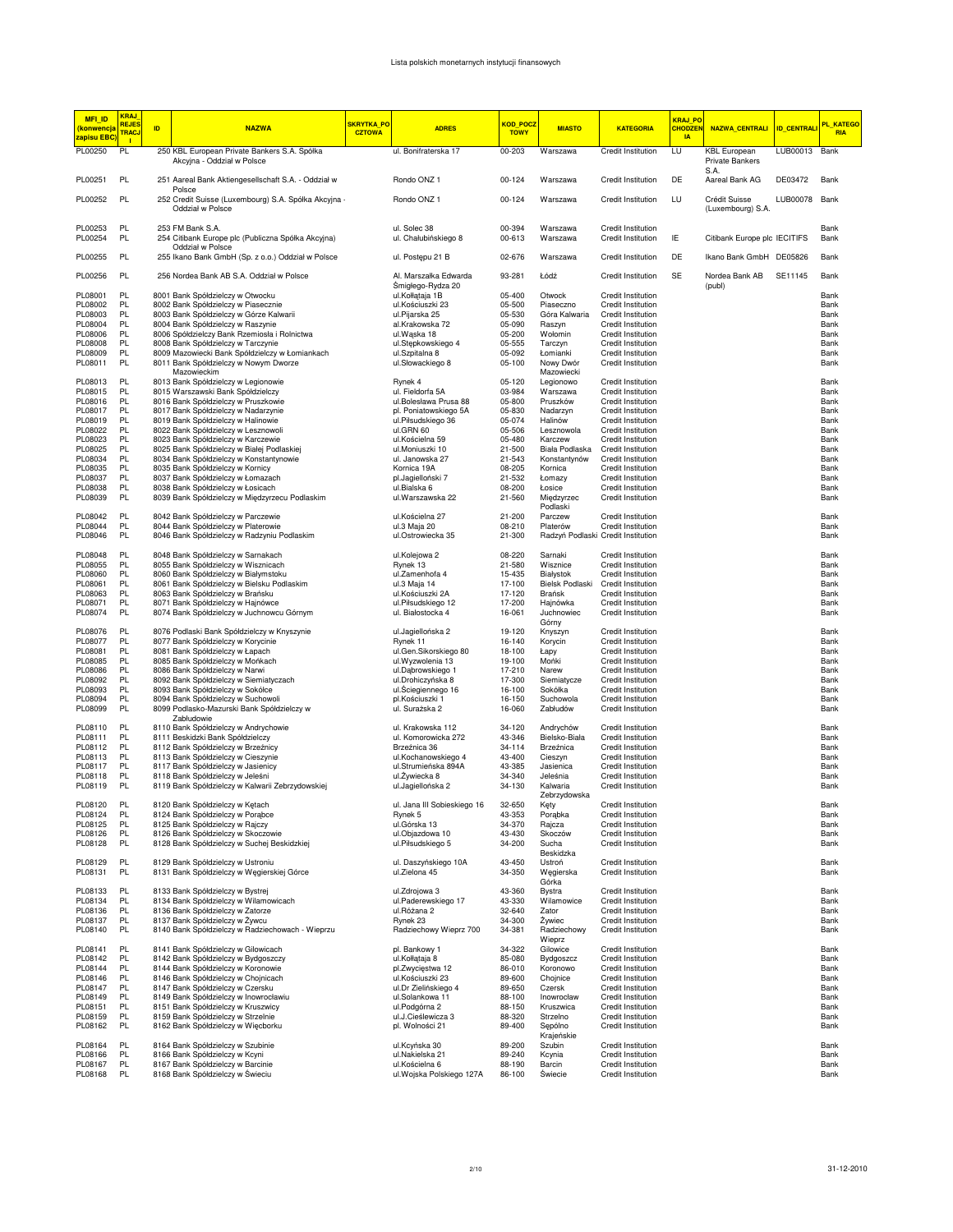| MFI_ID<br><mark>(konwencj</mark> a<br><mark>apisu EBC</mark> | <b>KRAJ</b><br><b>REJES</b><br><b>TRACJ</b><br><b>II</b> | ID. | <b>NAZWA</b>                                                                       | <b>SKRYTKA_PO</b><br><b>CZTOWA</b> | <b>ADRES</b>                                | <mark>KOD_POCZ</mark><br><b>TOWY</b> | <b>MIASTO</b>                | <b>KATEGORIA</b>                                | <b>KRAJ PO</b><br><b>CHODZEI</b><br><b>IA</b> | <b>NAZWA_CENTRALI</b>                          | <b>ID_CENTRALI</b> | PL_KATEGO<br><b>RIA</b> |
|--------------------------------------------------------------|----------------------------------------------------------|-----|------------------------------------------------------------------------------------|------------------------------------|---------------------------------------------|--------------------------------------|------------------------------|-------------------------------------------------|-----------------------------------------------|------------------------------------------------|--------------------|-------------------------|
| PL00250                                                      | PL                                                       |     | 250 KBL European Private Bankers S.A. Spółka<br>Akcyjna - Oddział w Polsce         |                                    | ul. Bonifraterska 17                        | 00-203                               | Warszawa                     | <b>Credit Institution</b>                       | LU                                            | <b>KBL</b> European<br>Private Bankers<br>S.A. | LUB00013           | Bank                    |
| PL00251                                                      | PL                                                       |     | 251 Aareal Bank Aktiengesellschaft S.A. - Oddział w<br>Polsce                      |                                    | Rondo ONZ 1                                 | 00-124                               | Warszawa                     | Credit Institution                              | DE                                            | Aareal Bank AG                                 | DE03472            | Bank                    |
| PL00252                                                      | PL                                                       |     | 252 Credit Suisse (Luxembourg) S.A. Spółka Akcyjna -<br>Oddział w Polsce           |                                    | Rondo ONZ 1                                 | 00-124                               | Warszawa                     | <b>Credit Institution</b>                       | LU                                            | Crédit Suisse<br>(Luxembourg) S.A.             | LUB00078           | Bank                    |
| PL00253<br>PL00254                                           | PL<br>PL                                                 |     | 253 FM Bank S.A.<br>254 Citibank Europe plc (Publiczna Spółka Akcyjna)             |                                    | ul. Solec 38<br>ul. Chałubińskiego 8        | 00-394<br>00-613                     | Warszawa<br>Warszawa         | Credit Institution<br>Credit Institution        | ΙE                                            | Citibank Europe plc IECITIFS                   |                    | Bank<br>Bank            |
| PL00255                                                      | PL                                                       |     | Oddział w Polsce<br>255 Ikano Bank GmbH (Sp. z o.o.) Oddział w Polsce              |                                    | ul. Postępu 21 B                            | 02-676                               | Warszawa                     | Credit Institution                              | DE                                            | Ikano Bank GmbH DE05826                        |                    | Bank                    |
| PL00256                                                      | PL                                                       |     | 256 Nordea Bank AB S.A. Oddział w Polsce                                           |                                    | Al. Marszałka Edwarda<br>Śmigłego-Rydza 20  | 93-281                               | Łódź                         | Credit Institution                              | SE                                            | Nordea Bank AB<br>(publ)                       | SE11145            | Bank                    |
| PL08001<br>PL08002                                           | PL<br>PL                                                 |     | 8001 Bank Spółdzielczy w Otwocku<br>8002 Bank Spółdzielczy w Piasecznie            |                                    | ul.Kołłątaja 1B<br>ul.Kościuszki 23         | 05-400<br>05-500                     | Otwock<br>Piaseczno          | Credit Institution<br>Credit Institution        |                                               |                                                |                    | Bank<br>Bank            |
| PL08003                                                      | PL                                                       |     | 8003 Bank Spółdzielczy w Górze Kalwarii                                            |                                    | ul.Pijarska 25                              | 05-530                               | Góra Kalwaria                | Credit Institution                              |                                               |                                                |                    | Bank                    |
| PL08004                                                      | PL                                                       |     | 8004 Bank Spółdzielczy w Raszynie                                                  |                                    | al.Krakowska 72                             | 05-090                               | Raszyn                       | Credit Institution                              |                                               |                                                |                    | Bank                    |
| PL08006<br>PL08008                                           | PL<br>PL                                                 |     | 8006 Spółdzielczy Bank Rzemiosła i Rolnictwa<br>8008 Bank Spółdzielczy w Tarczynie |                                    | ul.Wąska 18<br>ul.Stępkowskiego 4           | 05-200<br>05-555                     | Wołomin<br>Tarczyn           | Credit Institution<br>Credit Institution        |                                               |                                                |                    | Bank<br>Bank            |
| PL08009                                                      | PL                                                       |     | 8009 Mazowiecki Bank Spółdzielczy w Łomiankach                                     |                                    | ul.Szpitalna 8                              | 05-092                               | Łomianki                     | Credit Institution                              |                                               |                                                |                    | Bank                    |
| PL08011                                                      | PL                                                       |     | 8011 Bank Spółdzielczy w Nowym Dworze                                              |                                    | ul.Słowackiego 8                            | 05-100                               | Nowy Dwór                    | Credit Institution                              |                                               |                                                |                    | Bank                    |
| PL08013                                                      | PL                                                       |     | Mazowieckim<br>8013 Bank Spółdzielczy w Legionowie                                 |                                    | Rynek 4                                     | 05-120                               | Mazowiecki<br>Legionowo      | Credit Institution                              |                                               |                                                |                    | Bank                    |
| PL08015                                                      | PL                                                       |     | 8015 Warszawski Bank Spółdzielczy                                                  |                                    | ul. Fieldorfa 5A                            | 03-984                               | Warszawa                     | Credit Institution                              |                                               |                                                |                    | Bank                    |
| PL08016                                                      | PL                                                       |     | 8016 Bank Spółdzielczy w Pruszkowie                                                |                                    | ul.Bolesława Prusa 88                       | 05-800                               | Pruszków                     | Credit Institution                              |                                               |                                                |                    | Bank                    |
| PL08017<br>PL08019                                           | PL<br>PL                                                 |     | 8017 Bank Spółdzielczy w Nadarzynie<br>8019 Bank Spółdzielczy w Halinowie          |                                    | pl. Poniatowskiego 5A                       | 05-830<br>05-074                     | Nadarzyn<br>Halinów          | Credit Institution                              |                                               |                                                |                    | Bank<br>Bank            |
| PL08022                                                      | PL                                                       |     | 8022 Bank Spółdzielczy w Lesznowoli                                                |                                    | ul.Piłsudskiego 36<br>ul.GRN 60             | 05-506                               | Lesznowola                   | Credit Institution<br>Credit Institution        |                                               |                                                |                    | Bank                    |
| PL08023                                                      | PL                                                       |     | 8023 Bank Spółdzielczy w Karczewie                                                 |                                    | ul.Kościelna 59                             | 05-480                               | Karczew                      | Credit Institution                              |                                               |                                                |                    | Bank                    |
| PL08025                                                      | PL                                                       |     | 8025 Bank Spółdzielczy w Białej Podlaskiej                                         |                                    | ul.Moniuszki 10                             | 21-500                               | Biała Podlaska               | Credit Institution                              |                                               |                                                |                    | Bank                    |
| PL08034<br>PL08035                                           | PL<br>PL                                                 |     | 8034 Bank Spółdzielczy w Konstantynowie<br>8035 Bank Spółdzielczy w Kornicy        |                                    | ul. Janowska 27<br>Kornica 19A              | 21-543<br>08-205                     | Konstantynów<br>Kornica      | Credit Institution<br><b>Credit Institution</b> |                                               |                                                |                    | Bank<br>Bank            |
| PL08037                                                      | PL                                                       |     | 8037 Bank Spółdzielczy w Łomazach                                                  |                                    | pl.Jagielloński 7                           | 21-532                               | Łomazy                       | Credit Institution                              |                                               |                                                |                    | Bank                    |
| PL08038                                                      | PL                                                       |     | 8038 Bank Spółdzielczy w Łosicach                                                  |                                    | ul.Bialska 6                                | 08-200                               | Łosice                       | Credit Institution                              |                                               |                                                |                    | Bank                    |
| PL08039                                                      | PL                                                       |     | 8039 Bank Spółdzielczy w Międzyrzecu Podlaskim                                     |                                    | ul. Warszawska 22                           | 21-560                               | Miedzyrzec<br>Podlaski       | Credit Institution                              |                                               |                                                |                    | Bank                    |
| PL08042<br>PL08044                                           | PL<br>PL                                                 |     | 8042 Bank Spółdzielczy w Parczewie<br>8044 Bank Spółdzielczy w Platerowie          |                                    | ul.Kościelna 27<br>ul.3 Maja 20             | 21-200<br>08-210                     | Parczew<br>Platerów          | Credit Institution<br>Credit Institution        |                                               |                                                |                    | Bank<br>Bank            |
| PL08046                                                      | PL                                                       |     | 8046 Bank Spółdzielczy w Radzyniu Podlaskim                                        |                                    | ul.Ostrowiecka 35                           | 21-300                               |                              | Radzyń Podlaski Credit Institution              |                                               |                                                |                    | Bank                    |
| PL08048                                                      | PL                                                       |     | 8048 Bank Spółdzielczy w Sarnakach                                                 |                                    | ul.Kolejowa 2                               | 08-220                               | Sarnaki                      | Credit Institution                              |                                               |                                                |                    | Bank                    |
| PL08055                                                      | PL<br>PL                                                 |     | 8055 Bank Spółdzielczy w Wisznicach                                                |                                    | Rynek 13                                    | 21-580                               | Wisznice                     | Credit Institution                              |                                               |                                                |                    | Bank<br>Bank            |
| PL08060<br>PL08061                                           | PL                                                       |     | 8060 Bank Spółdzielczy w Białymstoku<br>8061 Bank Spółdzielczy w Bielsku Podlaskim |                                    | ul.Zamenhofa 4<br>ul.3 Maja 14              | 15-435<br>17-100                     | Białystok<br>Bielsk Podlaski | Credit Institution<br>Credit Institution        |                                               |                                                |                    | Bank                    |
| PL08063                                                      | PL                                                       |     | 8063 Bank Spółdzielczy w Brańsku                                                   |                                    | ul.Kościuszki 2A                            | 17-120                               | Brańsk                       | Credit Institution                              |                                               |                                                |                    | Bank                    |
| PL08071<br>PL08074                                           | PL<br>PL                                                 |     | 8071 Bank Spółdzielczy w Hajnówce<br>8074 Bank Spółdzielczy w Juchnowcu Górnym     |                                    | ul.Piłsudskiego 12<br>ul. Białostocka 4     | 17-200<br>16-061                     | Hajnówka<br>Juchnowiec       | Credit Institution<br>Credit Institution        |                                               |                                                |                    | Bank<br>Bank            |
| PL08076                                                      | PL                                                       |     | 8076 Podlaski Bank Spółdzielczy w Knyszynie                                        |                                    | ul.Jagiellońska 2                           | 19-120                               | Górny<br>Knyszyn             | Credit Institution                              |                                               |                                                |                    | Bank                    |
| PL08077                                                      | PL                                                       |     | 8077 Bank Spółdzielczy w Korycinie                                                 |                                    | Rynek 11                                    | 16-140                               | Korycin                      | Credit Institution                              |                                               |                                                |                    | Bank                    |
| PL08081                                                      | PL                                                       |     | 8081 Bank Spółdzielczy w Łapach                                                    |                                    | ul.Gen.Sikorskiego 80                       | 18-100                               | Łapy                         | Credit Institution                              |                                               |                                                |                    | Bank                    |
| PL08085                                                      | PL<br>PL                                                 |     | 8085 Bank Spółdzielczy w Mońkach                                                   |                                    | ul. Wyzwolenia 13                           | 19-100                               | Mońki                        | Credit Institution                              |                                               |                                                |                    | Bank<br>Bank            |
| PL08086<br>PL08092                                           | PL                                                       |     | 8086 Bank Spółdzielczy w Narwi<br>8092 Bank Spółdzielczy w Siemiatyczach           |                                    | ul.Dąbrowskiego 1<br>ul.Drohiczyńska 8      | 17-210<br>17-300                     | Narew<br>Siemiatycze         | Credit Institution<br>Credit Institution        |                                               |                                                |                    | Bank                    |
| PL08093                                                      | PL                                                       |     | 8093 Bank Spółdzielczy w Sokółce                                                   |                                    | ul.Sciegiennego 16                          | 16-100                               | Sokółka                      | <b>Credit Institution</b>                       |                                               |                                                |                    | Bank                    |
| PL08094<br>PL08099                                           | PL<br>PL                                                 |     | 8094 Bank Spółdzielczy w Suchowoli<br>8099 Podlasko-Mazurski Bank Spółdzielczy w   |                                    | pl.Kościuszki 1<br>ul. Surażska 2           | 16-150                               | Suchowola                    | Credit Institution<br>Credit Institution        |                                               |                                                |                    | Bank<br>Bank            |
|                                                              |                                                          |     | Zabłudowie                                                                         |                                    |                                             | 16-060                               | Zabłudów                     |                                                 |                                               |                                                |                    |                         |
| PL08110<br>PL08111                                           | PL<br>PL                                                 |     | 8110 Bank Spółdzielczy w Andrychowie<br>8111 Beskidzki Bank Spółdzielczy           |                                    | ul. Krakowska 112<br>ul. Komorowicka 272    | 34-120<br>43-346                     | Andrychów<br>Bielsko-Biała   | Credit Institution<br>Credit Institution        |                                               |                                                |                    | Bank<br>Bank            |
| PL08112                                                      | PL                                                       |     | 8112 Bank Spółdzielczy w Brzeźnicy                                                 |                                    | Brzeźnica 36                                | 34-114                               | Brzeźnica                    | Credit Institution                              |                                               |                                                |                    | Bank                    |
| PL08113                                                      | PL                                                       |     | 8113 Bank Spółdzielczy w Cieszynie                                                 |                                    | ul.Kochanowskiego 4                         | 43-400                               | Cieszyn                      | Credit Institution                              |                                               |                                                |                    | Bank                    |
| PL08117<br>PL08118                                           | PL<br>PL                                                 |     | 8117 Bank Spółdzielczy w Jasienicy<br>8118 Bank Spółdzielczy w Jeleśni             |                                    | ul.Strumieńska 894A<br>ul.Żywiecka 8        | 43-385<br>34-340                     | Jasienica<br>Jeleśnia        | <b>Credit Institution</b><br>Credit Institution |                                               |                                                |                    | Bank<br>Bank            |
| PL08119                                                      | PL                                                       |     | 8119 Bank Spółdzielczy w Kalwarii Zebrzydowskiej                                   |                                    | ul.Jaqiellońska 2                           | 34-130                               | Kalwaria<br>Zebrzydowska     | <b>Credit Institution</b>                       |                                               |                                                |                    | Bank                    |
| PL08120                                                      | PL                                                       |     | 8120 Bank Spółdzielczy w Kętach                                                    |                                    | ul. Jana III Sobieskiego 16                 | 32-650                               | Kęty                         | Credit Institution                              |                                               |                                                |                    | Bank                    |
| PL08124                                                      | PL                                                       |     | 8124 Bank Spółdzielczy w Porąbce                                                   |                                    | Rynek 5                                     | 43-353                               | Porąbka                      | <b>Credit Institution</b>                       |                                               |                                                |                    | Bank                    |
| PL08125<br>PL08126                                           | PL<br>PL                                                 |     | 8125 Bank Spółdzielczy w Rajczy<br>8126 Bank Spółdzielczy w Skoczowie              |                                    | ul.Górska 13<br>ul.Objazdowa 10             | 34-370<br>43-430                     | Rajcza<br>Skoczów            | Credit Institution<br>Credit Institution        |                                               |                                                |                    | Bank<br>Bank            |
| PL08128                                                      | PL                                                       |     | 8128 Bank Spółdzielczy w Suchej Beskidzkiej                                        |                                    | ul.Piłsudskiego 5                           | 34-200                               | Sucha<br>Beskidzka           | Credit Institution                              |                                               |                                                |                    | Bank                    |
| PL08129                                                      | PL                                                       |     | 8129 Bank Spółdzielczy w Ustroniu                                                  |                                    | ul. Daszyńskiego 10A                        | 43-450                               | Ustroń                       | Credit Institution                              |                                               |                                                |                    | Bank                    |
| PL08131                                                      | PL                                                       |     | 8131 Bank Spółdzielczy w Węgierskiej Górce                                         |                                    | ul.Zielona 45                               | 34-350                               | Węgierska<br>Górka           | Credit Institution                              |                                               |                                                |                    | Bank                    |
| PL08133                                                      | PL                                                       |     | 8133 Bank Spółdzielczy w Bystrej                                                   |                                    | ul.Zdrojowa 3                               | 43-360                               | <b>Bystra</b>                | Credit Institution                              |                                               |                                                |                    | Bank                    |
| PL08134<br>PL08136                                           | PL<br>PL                                                 |     | 8134 Bank Spółdzielczy w Wilamowicach<br>8136 Bank Spółdzielczy w Zatorze          |                                    | ul.Paderewskiego 17<br>ul.Różana 2          | 43-330<br>32-640                     | Wilamowice<br>Zator          | Credit Institution<br>Credit Institution        |                                               |                                                |                    | Bank<br>Bank            |
| PL08137                                                      | PL                                                       |     | 8137 Bank Spółdzielczy w Żywcu                                                     |                                    | Rynek 23                                    | 34-300                               | Żywiec                       | Credit Institution                              |                                               |                                                |                    | Bank                    |
| PL08140                                                      | PL                                                       |     | 8140 Bank Spółdzielczy w Radziechowach - Wieprzu                                   |                                    | Radziechowy Wieprz 700                      | 34-381                               | Radziechowy<br>Wieprz        | Credit Institution                              |                                               |                                                |                    | Bank                    |
| PL08141                                                      | PL                                                       |     | 8141 Bank Spółdzielczy w Gilowicach                                                |                                    | pl. Bankowy 1                               | 34-322                               | Gilowice                     | Credit Institution                              |                                               |                                                |                    | Bank                    |
| PL08142                                                      | PL                                                       |     | 8142 Bank Spółdzielczy w Bydgoszczy                                                |                                    | ul.Kołłataja 8                              | 85-080                               | Bydgoszcz                    | Credit Institution                              |                                               |                                                |                    | Bank                    |
| PL08144<br>PL08146                                           | PL<br>PL                                                 |     | 8144 Bank Spółdzielczy w Koronowie<br>8146 Bank Spółdzielczy w Chojnicach          |                                    | pl.Zwycięstwa 12<br>ul.Kościuszki 23        | 86-010<br>89-600                     | Koronowo<br>Chojnice         | Credit Institution<br>Credit Institution        |                                               |                                                |                    | Bank<br>Bank            |
| PL08147                                                      | PL                                                       |     | 8147 Bank Spółdzielczy w Czersku                                                   |                                    | ul.Dr Zielińskiego 4                        | 89-650                               | Czersk                       | Credit Institution                              |                                               |                                                |                    | Bank                    |
| PL08149                                                      | PL                                                       |     | 8149 Bank Spółdzielczy w Inowrocławiu                                              |                                    | ul.Solankowa 11                             | 88-100                               | Inowrocław                   | Credit Institution                              |                                               |                                                |                    | Bank                    |
| PL08151<br>PL08159                                           | PL<br>PL                                                 |     | 8151 Bank Spółdzielczy w Kruszwicy<br>8159 Bank Spółdzielczy w Strzelnie           |                                    | ul.Podgórna 2<br>ul.J.Cieślewicza 3         | 88-150<br>88-320                     | Kruszwica<br>Strzelno        | Credit Institution<br>Credit Institution        |                                               |                                                |                    | Bank<br>Bank            |
| PL08162                                                      | PL                                                       |     | 8162 Bank Spółdzielczy w Więcborku                                                 |                                    | pl. Wolności 21                             | 89-400                               | Sepólno<br>Krajeńskie        | Credit Institution                              |                                               |                                                |                    | Bank                    |
| PL08164                                                      | PL                                                       |     | 8164 Bank Spółdzielczy w Szubinie                                                  |                                    | ul.Kcyńska 30                               | 89-200                               | Szubin                       | Credit Institution                              |                                               |                                                |                    | Bank                    |
| PL08166                                                      | PL                                                       |     | 8166 Bank Spółdzielczy w Kcyni                                                     |                                    | ul.Nakielska 21                             | 89-240                               | Kcynia                       | Credit Institution                              |                                               |                                                |                    | Bank                    |
| PL08167<br>PL08168                                           | PL<br>PL                                                 |     | 8167 Bank Spółdzielczy w Barcinie<br>8168 Bank Spółdzielczy w Świeciu              |                                    | ul.Kościelna 6<br>ul. Wojska Polskiego 127A | 88-190<br>86-100                     | Barcin<br>Swiecie            | Credit Institution<br>Credit Institution        |                                               |                                                |                    | Bank<br>Bank            |
|                                                              |                                                          |     |                                                                                    |                                    |                                             |                                      |                              |                                                 |                                               |                                                |                    |                         |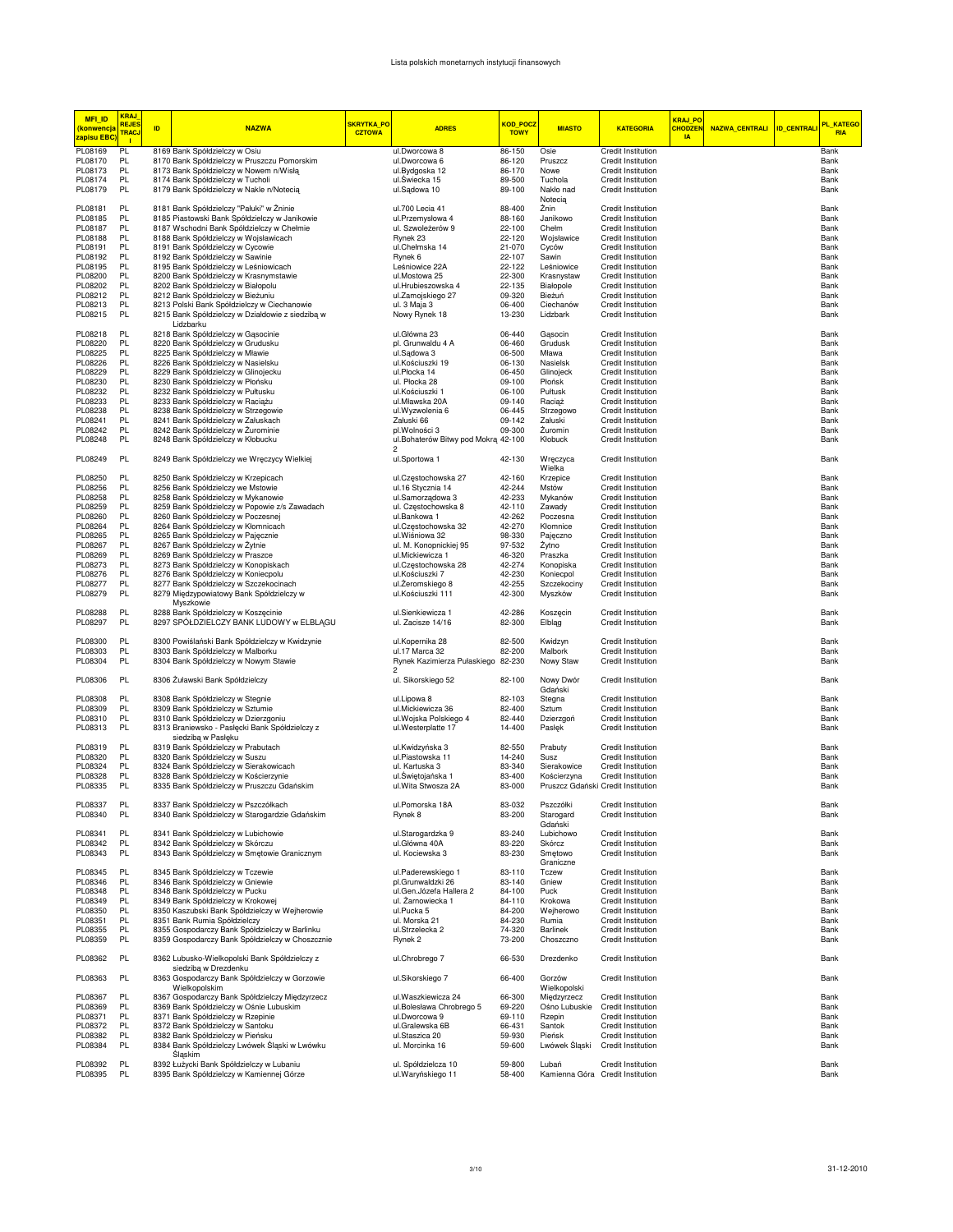| <b>MFI_ID</b><br><mark>(konwencja</mark><br><mark>zapisu EBC</mark> | <b>KRAJ</b><br><b>REJES</b><br>TRACJ<br>п | ID | <b>NAZWA</b>                                                                                     | SKRYTKA_PO<br><b>CZTOWA</b> | <b>ADRES</b>                                          | <b>KOD POCZ</b><br><b>TOWY</b> | <b>MIASTO</b>                             | <b>KATEGORIA</b>                                | KRAJ PO<br><b>CHODZEN</b><br>$\overline{A}$ | <b>NAZWA_CENTRALI</b> | <b>ID_CENTRALI</b> | PL_KATEGO<br><b>RIA</b> |
|---------------------------------------------------------------------|-------------------------------------------|----|--------------------------------------------------------------------------------------------------|-----------------------------|-------------------------------------------------------|--------------------------------|-------------------------------------------|-------------------------------------------------|---------------------------------------------|-----------------------|--------------------|-------------------------|
| PL08169                                                             | PL                                        |    | 8169 Bank Spółdzielczy w Osiu                                                                    |                             | ul.Dworcowa 8                                         | 86-150                         | Osie                                      | Credit Institution                              |                                             |                       |                    | Bank                    |
| PL08170                                                             | PL                                        |    | 8170 Bank Spółdzielczy w Pruszczu Pomorskim                                                      |                             | ul.Dworcowa 6                                         | 86-120                         | Pruszcz                                   | Credit Institution                              |                                             |                       |                    | Bank                    |
| PL08173                                                             | PL                                        |    | 8173 Bank Spółdzielczy w Nowem n/Wisłą                                                           |                             | ul.Bydgoska 12                                        | 86-170                         | Nowe                                      | Credit Institution                              |                                             |                       |                    | Bank                    |
| PL08174<br>PL08179                                                  | PL<br>PL                                  |    | 8174 Bank Spółdzielczy w Tucholi<br>8179 Bank Spółdzielczy w Nakle n/Notecią                     |                             | ul.Swiecka 15<br>ul.Sądowa 10                         | 89-500<br>89-100               | Tuchola<br>Nakło nad                      | Credit Institution<br>Credit Institution        |                                             |                       |                    | Bank<br>Bank            |
| PL08181                                                             | PL                                        |    | 8181 Bank Spółdzielczy "Pałuki" w Żninie                                                         |                             | ul.700 Lecia 41                                       | 88-400                         | Notecia<br>Żnin                           | Credit Institution                              |                                             |                       |                    | Bank                    |
| PL08185                                                             | PL                                        |    | 8185 Piastowski Bank Spółdzielczy w Janikowie                                                    |                             | ul.Przemysłowa 4                                      | 88-160                         | Janikowo                                  | Credit Institution                              |                                             |                       |                    | Bank                    |
| PL08187                                                             | PL                                        |    | 8187 Wschodni Bank Spółdzielczy w Chełmie                                                        |                             | ul. Szwoleżerów 9                                     | 22-100                         | Chełm                                     | Credit Institution                              |                                             |                       |                    | Bank                    |
| PL08188                                                             | PL                                        |    | 8188 Bank Spółdzielczy w Wojsławicach                                                            |                             | Rynek 23                                              | 22-120                         | Wojsławice                                | Credit Institution                              |                                             |                       |                    | Bank                    |
| PL08191                                                             | PL.                                       |    | 8191 Bank Spółdzielczy w Cycowie                                                                 |                             | ul.Chełmska 14                                        | 21-070                         | Cyców                                     | Credit Institution                              |                                             |                       |                    | Bank                    |
| PL08192                                                             | PL                                        |    | 8192 Bank Spółdzielczy w Sawinie                                                                 |                             | Rynek 6                                               | 22-107                         | Sawin                                     | Credit Institution                              |                                             |                       |                    | Bank                    |
| PL08195                                                             | PL                                        |    | 8195 Bank Spółdzielczy w Leśniowicach                                                            |                             | Leśniowice 22A                                        | 22-122                         | Leśniowice                                | <b>Credit Institution</b>                       |                                             |                       |                    | Bank                    |
| PL08200                                                             | <b>PL</b>                                 |    | 8200 Bank Spółdzielczy w Krasnymstawie                                                           |                             | ul.Mostowa 25                                         | 22-300                         | Krasnystaw                                | Credit Institution                              |                                             |                       |                    | Bank                    |
| PL08202                                                             | <b>PL</b>                                 |    | 8202 Bank Spółdzielczy w Białopolu                                                               |                             | ul.Hrubieszowska 4                                    | 22-135                         | Białopole                                 | Credit Institution                              |                                             |                       |                    | Bank                    |
| PL08212<br>PL08213                                                  | <b>PL</b><br>PL                           |    | 8212 Bank Spółdzielczy w Bieżuniu<br>8213 Polski Bank Spółdzielczy w Ciechanowie                 |                             | ul.Zamojskiego 27<br>ul. 3 Maja 3                     | 09-320<br>06-400               | Bieżuń<br>Ciechanów                       | Credit Institution<br>Credit Institution        |                                             |                       |                    | Bank<br>Bank            |
| PL08215                                                             | PL                                        |    | 8215 Bank Spółdzielczy w Działdowie z siedzibą w<br>Lidzbarku                                    |                             | Nowy Rynek 18                                         | 13-230                         | Lidzbark                                  | Credit Institution                              |                                             |                       |                    | Bank                    |
| PL08218                                                             | PL                                        |    | 8218 Bank Spółdzielczy w Gąsocinie                                                               |                             | ul.Główna 23                                          | 06-440                         | Gąsocin                                   | Credit Institution                              |                                             |                       |                    | Bank                    |
| PL08220                                                             | PL                                        |    | 8220 Bank Spółdzielczy w Grudusku                                                                |                             | pl. Grunwaldu 4 A                                     | 06-460                         | Grudusk                                   | Credit Institution                              |                                             |                       |                    | Bank                    |
| PL08225                                                             | PL                                        |    | 8225 Bank Spółdzielczy w Mławie                                                                  |                             | ul.Sądowa 3                                           | 06-500                         | Mława                                     | Credit Institution                              |                                             |                       |                    | Bank                    |
| PL08226                                                             | PL                                        |    | 8226 Bank Spółdzielczy w Nasielsku                                                               |                             | ul.Kościuszki 19                                      | 06-130                         | Nasielsk                                  | Credit Institution                              |                                             |                       |                    | Bank                    |
| PL08229                                                             | PL                                        |    | 8229 Bank Spółdzielczy w Glinojecku                                                              |                             | ul.Płocka 14                                          | 06-450                         | Glinojeck                                 | Credit Institution                              |                                             |                       |                    | Bank                    |
| PL08230                                                             | PL                                        |    | 8230 Bank Spółdzielczy w Płońsku                                                                 |                             | ul. Płocka 28                                         | 09-100                         | Płońsk                                    | Credit Institution                              |                                             |                       |                    | Bank                    |
| PL08232<br>PL08233                                                  | PL<br>PL                                  |    | 8232 Bank Spółdzielczy w Pułtusku<br>8233 Bank Spółdzielczy w Raciążu                            |                             | ul.Kościuszki 1<br>ul.Mławska 20A                     | 06-100<br>09-140               | Pułtusk<br>Raciaż                         | Credit Institution<br>Credit Institution        |                                             |                       |                    | Bank<br>Bank            |
| PL08238                                                             | PL                                        |    | 8238 Bank Spółdzielczy w Strzegowie                                                              |                             | ul.Wyzwolenia 6                                       | 06-445                         | Strzegowo                                 | Credit Institution                              |                                             |                       |                    | Bank                    |
| PL08241                                                             | PL                                        |    | 8241 Bank Spółdzielczy w Załuskach                                                               |                             | Załuski 66                                            | 09-142                         | Załuski                                   | Credit Institution                              |                                             |                       |                    | Bank                    |
| PL08242                                                             | PL                                        |    | 8242 Bank Spółdzielczy w Żurominie                                                               |                             | pl.Wolności 3                                         | 09-300                         | Żuromin                                   | <b>Credit Institution</b>                       |                                             |                       |                    | Bank                    |
| PL08248                                                             | PL                                        |    | 8248 Bank Spółdzielczy w Kłobucku                                                                |                             | ul.Bohaterów Bitwy pod Mokra 42-100<br>$\overline{2}$ |                                | Kłobuck                                   | Credit Institution                              |                                             |                       |                    | Bank                    |
| PL08249                                                             | PL                                        |    | 8249 Bank Spółdzielczy we Wręczycy Wielkiej                                                      |                             | ul.Sportowa 1                                         | 42-130                         | Wręczyca<br>Wielka                        | Credit Institution                              |                                             |                       |                    | Bank                    |
| PL08250                                                             | PL                                        |    | 8250 Bank Spółdzielczy w Krzepicach                                                              |                             | ul.Częstochowska 27                                   | 42-160                         | Krzepice                                  | Credit Institution                              |                                             |                       |                    | Bank                    |
| PL08256                                                             | PL.                                       |    | 8256 Bank Spółdzielczy we Mstowie                                                                |                             | ul.16 Stycznia 14                                     | 42-244                         | Mstów                                     | Credit Institution                              |                                             |                       |                    | Bank                    |
| PL08258                                                             | PL                                        |    | 8258 Bank Spółdzielczy w Mykanowie                                                               |                             | ul.Samorządowa 3                                      | 42-233                         | Mykanów                                   | Credit Institution                              |                                             |                       |                    | Bank                    |
| PL08259                                                             | PL                                        |    | 8259 Bank Spółdzielczy w Popowie z/s Zawadach                                                    |                             | ul. Częstochowska 8                                   | 42-110                         | Zawady                                    | Credit Institution                              |                                             |                       |                    | Bank                    |
| PL08260<br>PL08264                                                  | PL<br>PL                                  |    | 8260 Bank Spółdzielczy w Poczesnej<br>8264 Bank Spółdzielczy w Kłomnicach                        |                             | ul.Bankowa 1<br>ul.Częstochowska 32                   | 42-262<br>42-270               | Poczesna<br>Kłomnice                      | Credit Institution<br>Credit Institution        |                                             |                       |                    | Bank<br>Bank            |
| PL08265                                                             | PL.                                       |    | 8265 Bank Spółdzielczy w Pajęcznie                                                               |                             | ul. Wiśniowa 32                                       | 98-330                         | Pajeczno                                  | Credit Institution                              |                                             |                       |                    | Bank                    |
| PL08267                                                             | PL                                        |    | 8267 Bank Spółdzielczy w Żytnie                                                                  |                             | ul. M. Konopnickiej 95                                | 97-532                         | Zytno                                     | Credit Institution                              |                                             |                       |                    | Bank                    |
| PL08269                                                             | PL                                        |    | 8269 Bank Spółdzielczy w Praszce                                                                 |                             | ul.Mickiewicza 1                                      | 46-320                         | Praszka                                   | Credit Institution                              |                                             |                       |                    | Bank                    |
| PL08273                                                             | PL                                        |    | 8273 Bank Spółdzielczy w Konopiskach                                                             |                             | ul.Częstochowska 28                                   | 42-274                         | Konopiska                                 | Credit Institution                              |                                             |                       |                    | Bank                    |
| PL08276                                                             | PL.                                       |    | 8276 Bank Spółdzielczy w Koniecpolu                                                              |                             | ul.Kościuszki 7                                       | 42-230                         | Koniecpol                                 | Credit Institution                              |                                             |                       |                    | Bank                    |
| PL08277                                                             | PL                                        |    | 8277 Bank Spółdzielczy w Szczekocinach                                                           |                             | ul. Zeromskiego 8                                     | 42-255                         | Szczekociny                               | Credit Institution                              |                                             |                       |                    | Bank                    |
| PL08279<br>PL08288                                                  | PL<br>PL                                  |    | 8279 Międzypowiatowy Bank Spółdzielczy w<br>Myszkowie                                            |                             | ul.Kościuszki 111                                     | 42-300<br>42-286               | Myszków                                   | <b>Credit Institution</b><br>Credit Institution |                                             |                       |                    | Bank<br>Bank            |
| PL08297                                                             | PL                                        |    | 8288 Bank Spółdzielczy w Koszęcinie<br>8297 SPÓŁDZIELCZY BANK LUDOWY w ELBLĄGU                   |                             | ul.Sienkiewicza 1<br>ul. Zacisze 14/16                | 82-300                         | Koszęcin<br>Elbląg                        | Credit Institution                              |                                             |                       |                    | Bank                    |
| PL08300                                                             | PL                                        |    | 8300 Powiślański Bank Spółdzielczy w Kwidzynie                                                   |                             | ul.Kopernika 28                                       | 82-500                         | Kwidzyn                                   | Credit Institution                              |                                             |                       |                    | Bank                    |
| PL08303<br>PL08304                                                  | PL<br>PL                                  |    | 8303 Bank Spółdzielczy w Malborku<br>8304 Bank Spółdzielczy w Nowym Stawie                       |                             | ul.17 Marca 32<br>Rynek Kazimierza Pułaskiego 82-230  | 82-200                         | Malbork<br>Nowy Staw                      | Credit Institution<br>Credit Institution        |                                             |                       |                    | Bank<br>Bank            |
| PL08306                                                             | PL                                        |    | 8306 Żuławski Bank Spółdzielczy                                                                  |                             | ul. Sikorskiego 52                                    | 82-100                         | Nowy Dwór<br>Gdański                      | Credit Institution                              |                                             |                       |                    | Bank                    |
| PL08308                                                             | PL                                        |    | 8308 Bank Spółdzielczy w Stegnie                                                                 |                             | ul.Lipowa 8                                           | 82-103                         | Stegna                                    | Credit Institution                              |                                             |                       |                    | Bank                    |
| PL08309                                                             | PL                                        |    | 8309 Bank Spółdzielczy w Sztumie                                                                 |                             | ul.Mickiewicza 36                                     | 82-400                         | Sztum                                     | Credit Institution                              |                                             |                       |                    | Bank                    |
| PL08310                                                             | PL                                        |    | 8310 Bank Spółdzielczy w Dzierzgoniu                                                             |                             | ul. Wojska Polskiego 4                                | 82-440                         | Dzierzgoń                                 | Credit Institution                              |                                             |                       |                    | Bank                    |
| PL08313                                                             | PL.                                       |    | 8313 Braniewsko - Pasłęcki Bank Spółdzielczy z<br>siedzibą w Pasłęku                             |                             | ul.Westerplatte 17                                    | 14-400                         | Pasłęk                                    | Credit Institution                              |                                             |                       |                    | Bank                    |
| PL08319                                                             | PL                                        |    | 8319 Bank Spółdzielczy w Prabutach                                                               |                             | ul.Kwidzyńska 3                                       | 82-550                         | Prabuty                                   | Credit Institution                              |                                             |                       |                    | Bank                    |
| PL08320                                                             | <b>PL</b><br>PL                           |    | 8320 Bank Spółdzielczy w Suszu                                                                   |                             | ul.Piastowska 11                                      | 14-240<br>83-340               | Susz                                      | Credit Institution                              |                                             |                       |                    | Bank<br>Bank            |
| PL08324<br>PL08328                                                  | PL                                        |    | 8324 Bank Spółdzielczy w Sierakowicach                                                           |                             | ul. Kartuska 3<br>ul.Świętojańska 1                   | 83-400                         | Sierakowice<br>Kościerzyna                | Credit Institution<br>Credit Institution        |                                             |                       |                    | Bank                    |
| PL08335                                                             | PL.                                       |    | 8328 Bank Spółdzielczy w Kościerzynie<br>8335 Bank Spółdzielczy w Pruszczu Gdańskim              |                             | ul. Wita Stwosza 2A                                   | 83-000                         | Pruszcz Gdański Credit Institution        |                                                 |                                             |                       |                    | Bank                    |
| PL08337<br>PL08340                                                  | PL<br>PL                                  |    | 8337 Bank Spółdzielczy w Pszczółkach<br>8340 Bank Spółdzielczy w Starogardzie Gdańskim           |                             | ul.Pomorska 18A<br>Rynek 8                            | 83-032<br>83-200               | Pszczółki<br>Starogard<br>Gdański         | Credit Institution<br>Credit Institution        |                                             |                       |                    | Bank<br>Bank            |
| PL08341                                                             | PL                                        |    | 8341 Bank Spółdzielczy w Lubichowie                                                              |                             | ul.Starogardzka 9                                     | 83-240                         | Lubichowo                                 | Credit Institution                              |                                             |                       |                    | Bank                    |
| PL08342                                                             | PL                                        |    | 8342 Bank Spółdzielczy w Skórczu                                                                 |                             | ul.Główna 40A                                         | 83-220                         | Skórcz                                    | Credit Institution                              |                                             |                       |                    | Bank                    |
| PL08343                                                             | PL                                        |    | 8343 Bank Spółdzielczy w Smętowie Granicznym                                                     |                             | ul. Kociewska 3                                       | 83-230                         | Smętowo<br>Graniczne                      | Credit Institution                              |                                             |                       |                    | Bank                    |
| PL08345                                                             | PL                                        |    | 8345 Bank Spółdzielczy w Tczewie                                                                 |                             | ul.Paderewskiego 1                                    | 83-110                         | Tczew                                     | Credit Institution                              |                                             |                       |                    | Bank                    |
| PL08346                                                             | PL                                        |    | 8346 Bank Spółdzielczy w Gniewie                                                                 |                             | pl.Grunwaldzki 26                                     | 83-140                         | Gniew                                     | Credit Institution                              |                                             |                       |                    | Bank                    |
| PL08348                                                             | PL.                                       |    | 8348 Bank Spółdzielczy w Pucku                                                                   |                             | ul.Gen.Józefa Hallera 2                               | 84-100                         | Puck                                      | Credit Institution                              |                                             |                       |                    | Bank                    |
| PL08349                                                             | PL                                        |    | 8349 Bank Spółdzielczy w Krokowei                                                                |                             | ul. Żarnowiecka 1                                     | 84-110                         | Krokowa                                   | Credit Institution                              |                                             |                       |                    | Bank                    |
| PL08350                                                             | PL                                        |    | 8350 Kaszubski Bank Spółdzielczy w Wejherowie                                                    |                             | ul.Pucka 5                                            | 84-200                         | Wejherowo                                 | Credit Institution                              |                                             |                       |                    | Bank                    |
| PL08351                                                             | <b>PL</b>                                 |    | 8351 Bank Rumia Spółdzielczy                                                                     |                             | ul. Morska 21                                         | 84-230                         | Rumia                                     | Credit Institution                              |                                             |                       |                    | Bank                    |
| PL08355                                                             | PL<br>PL                                  |    | 8355 Gospodarczy Bank Spółdzielczy w Barlinku                                                    |                             | ul.Strzelecka 2                                       | 74-320                         | <b>Barlinek</b>                           | Credit Institution                              |                                             |                       |                    | Bank                    |
| PL08359<br>PL08362                                                  | PL                                        |    | 8359 Gospodarczy Bank Spółdzielczy w Choszcznie<br>8362 Lubusko-Wielkopolski Bank Spółdzielczy z |                             | Rynek 2<br>ul.Chrobrego 7                             | 73-200<br>66-530               | Choszczno<br>Drezdenko                    | Credit Institution<br>Credit Institution        |                                             |                       |                    | Bank<br>Bank            |
| PL08363                                                             | PL                                        |    | siedzibą w Drezdenku<br>8363 Gospodarczy Bank Spółdzielczy w Gorzowie                            |                             | ul.Sikorskiego 7                                      | 66-400                         | Gorzów                                    | Credit Institution                              |                                             |                       |                    | Bank                    |
| PL08367                                                             | PL                                        |    | Wielkopolskim<br>8367 Gospodarczy Bank Spółdzielczy Międzyrzecz                                  |                             | ul. Waszkiewicza 24                                   | 66-300                         | Wielkopolski<br>Miedzyrzecz               | Credit Institution                              |                                             |                       |                    | Bank                    |
| PL08369                                                             | PL                                        |    | 8369 Bank Spółdzielczy w Ośnie Lubuskim                                                          |                             | ul.Bolesława Chrobrego 5                              | 69-220                         | Ośno Lubuskie                             | Credit Institution                              |                                             |                       |                    | Bank                    |
| PL08371                                                             | PL                                        |    | 8371 Bank Spółdzielczy w Rzepinie                                                                |                             | ul.Dworcowa 9                                         | 69-110                         | Rzepin                                    | Credit Institution                              |                                             |                       |                    | Bank                    |
| PL08372                                                             | PL                                        |    | 8372 Bank Spółdzielczy w Santoku                                                                 |                             | ul.Gralewska 6B                                       | 66-431                         | Santok                                    | Credit Institution                              |                                             |                       |                    | Bank                    |
| PL08382                                                             | PL                                        |    | 8382 Bank Spółdzielczy w Pieńsku                                                                 |                             | ul.Staszica 20                                        | 59-930                         | Pieńsk                                    | Credit Institution                              |                                             |                       |                    | Bank                    |
| PL08384                                                             | PL                                        |    | 8384 Bank Spółdzielczy Lwówek Śląski w Lwówku<br>Śląskim                                         |                             | ul. Morcinka 16                                       | 59-600                         | Lwówek Śląski                             | Credit Institution                              |                                             |                       |                    | Bank                    |
| PL08392<br>PL08395                                                  | PL<br>PL                                  |    | 8392 Łużycki Bank Spółdzielczy w Lubaniu<br>8395 Bank Spółdzielczy w Kamiennej Górze             |                             | ul. Spółdzielcza 10<br>ul. Waryńskiego 11             | 59-800<br>58-400               | Lubań<br>Kamienna Góra Credit Institution | Credit Institution                              |                                             |                       |                    | Bank<br>Bank            |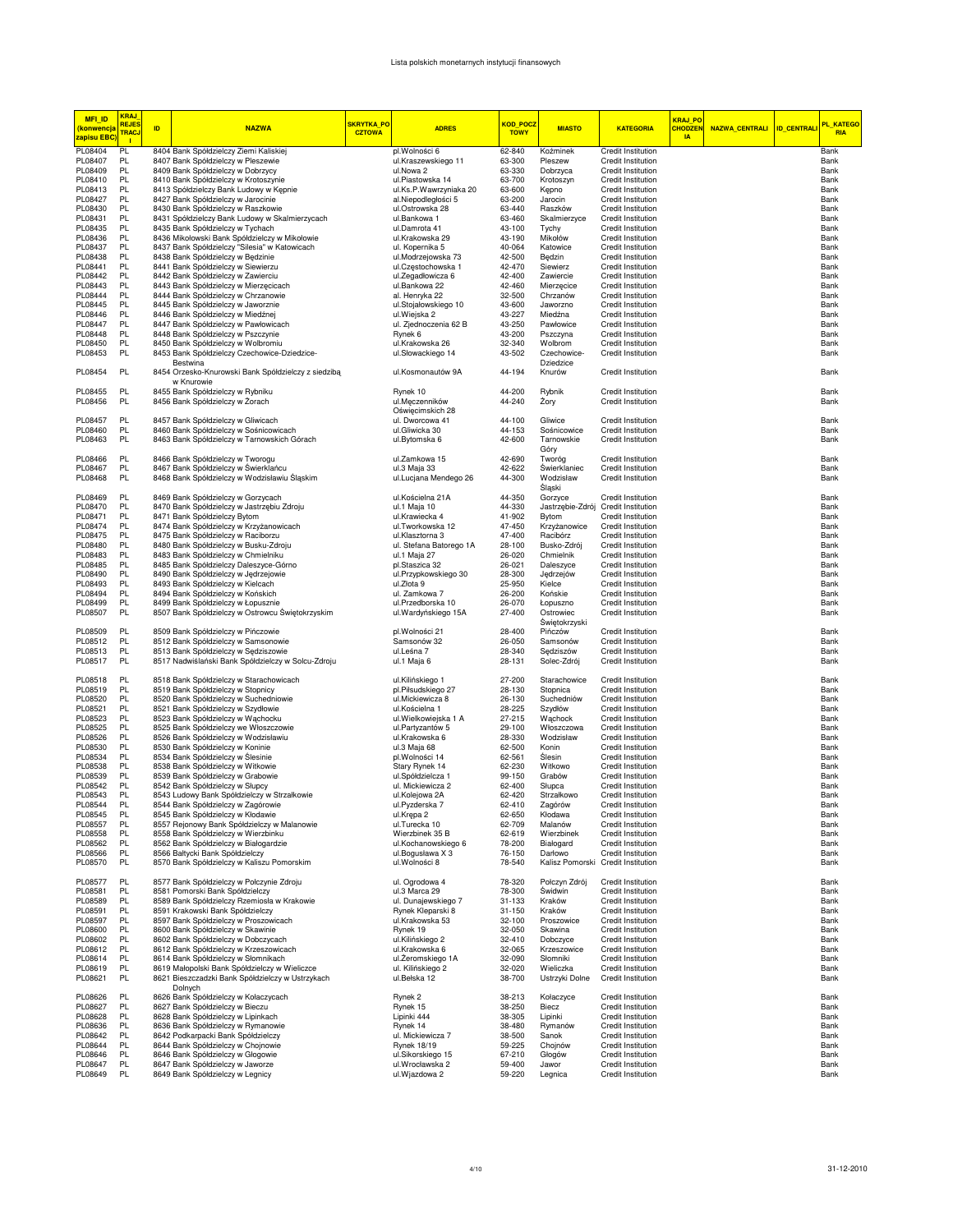## Lista polskich monetarnych instytucji finansowych

| <b>MFI ID</b><br>(konwencja<br>zapisu EBC | <b>KRAJ</b><br><b>REJES</b><br><b>TRAC.</b><br>- 11 | ID. | <b>NAZWA</b>                                                                           | <b>SKRYTKA_PO</b><br><b>CZTOWA</b> | <b>ADRES</b>                                  | <mark>KOD_POCZ</mark><br><b>TOWY</b> | <b>MIASTO</b>                          | <b>KATEGORIA</b>                                       | <b>KRAJ PO</b><br><b>CHODZE!</b><br><b>IA</b> | NAZWA_CENTRALI   ID_CENTRALI | PL_KATEGO<br><b>RIA</b> |
|-------------------------------------------|-----------------------------------------------------|-----|----------------------------------------------------------------------------------------|------------------------------------|-----------------------------------------------|--------------------------------------|----------------------------------------|--------------------------------------------------------|-----------------------------------------------|------------------------------|-------------------------|
| PL08404                                   | PL                                                  |     | 8404 Bank Spółdzielczy Ziemi Kaliskiej                                                 |                                    | pl.Wolności 6                                 | 62-840                               | Koźminek                               | <b>Credit Institution</b>                              |                                               |                              | Bank                    |
| PL08407                                   | PL                                                  |     | 8407 Bank Spółdzielczy w Pleszewie                                                     |                                    | ul.Kraszewskiego 11                           | 63-300                               | Pleszew                                | Credit Institution                                     |                                               |                              | Bank                    |
| PL08409                                   | PL.                                                 |     | 8409 Bank Spółdzielczy w Dobrzycy                                                      |                                    | ul.Nowa 2                                     | 63-330                               | Dobrzyca                               | <b>Credit Institution</b>                              |                                               |                              | Bank                    |
| PL08410                                   | PL                                                  |     | 8410 Bank Spółdzielczy w Krotoszynie                                                   |                                    | ul.Piastowska 14                              | 63-700                               | Krotoszyn                              | Credit Institution                                     |                                               |                              | Bank                    |
| PL08413<br>PL08427                        | PL<br>PL                                            |     | 8413 Spółdzielczy Bank Ludowy w Kępnie<br>8427 Bank Spółdzielczy w Jarocinie           |                                    | ul.Ks.P.Wawrzyniaka 20<br>al.Niepodległości 5 | 63-600<br>63-200                     | Kepno<br>Jarocin                       | Credit Institution<br>Credit Institution               |                                               |                              | Bank<br>Bank            |
| PL08430                                   | PL.                                                 |     | 8430 Bank Spółdzielczy w Raszkowie                                                     |                                    | ul.Ostrowska 28                               | 63-440                               | Raszków                                | Credit Institution                                     |                                               |                              | Bank                    |
| PL08431                                   | PL                                                  |     | 8431 Spółdzielczy Bank Ludowy w Skalmierzycach                                         |                                    | ul.Bankowa 1                                  | 63-460                               | Skalmierzyce                           | Credit Institution                                     |                                               |                              | Bank                    |
| PL08435                                   | PL                                                  |     | 8435 Bank Spółdzielczy w Tychach                                                       |                                    | ul.Damrota 41                                 | 43-100                               | Tychy                                  | <b>Credit Institution</b>                              |                                               |                              | Bank                    |
| PL08436                                   | <b>PL</b>                                           |     | 8436 Mikołowski Bank Spółdzielczy w Mikołowie                                          |                                    | ul.Krakowska 29                               | 43-190                               | Mikołów                                | Credit Institution                                     |                                               |                              | Bank                    |
| PL08437                                   | <b>PL</b>                                           |     | 8437 Bank Spółdzielczy "Silesia" w Katowicach                                          |                                    | ul. Kopernika 5                               | 40-064                               | Katowice                               | Credit Institution                                     |                                               |                              | Bank                    |
| PL08438                                   | PL                                                  |     | 8438 Bank Spółdzielczy w Będzinie                                                      |                                    | ul.Modrzejowska 73                            | 42-500                               | Będzin                                 | Credit Institution                                     |                                               |                              | Bank                    |
| PL08441                                   | PL                                                  |     | 8441 Bank Spółdzielczy w Siewierzu                                                     |                                    | ul.Częstochowska 1                            | 42-470                               | Siewierz                               | Credit Institution                                     |                                               |                              | Bank                    |
| PL08442                                   | PL.                                                 |     | 8442 Bank Spółdzielczy w Zawierciu                                                     |                                    | ul.Zegadłowicza 6                             | 42-400                               | Zawiercie                              | Credit Institution                                     |                                               |                              | Bank                    |
| PL08443<br>PL08444                        | PL.<br><b>PL</b>                                    |     | 8443 Bank Spółdzielczy w Mierzęcicach<br>8444 Bank Spółdzielczy w Chrzanowie           |                                    | ul.Bankowa 22<br>al. Henryka 22               | 42-460<br>32-500                     | Mierzecice<br>Chrzanów                 | Credit Institution<br><b>Credit Institution</b>        |                                               |                              | Bank<br>Bank            |
| PL08445                                   | PL                                                  |     | 8445 Bank Spółdzielczy w Jaworznie                                                     |                                    | ul.Stojałowskiego 10                          | 43-600                               | Jaworzno                               | <b>Credit Institution</b>                              |                                               |                              | Bank                    |
| PL08446                                   | PL                                                  |     | 8446 Bank Spółdzielczy w Miedźnej                                                      |                                    | ul. Wiejska 2                                 | 43-227                               | Miedźna                                | Credit Institution                                     |                                               |                              | Bank                    |
| PL08447                                   | <b>PL</b>                                           |     | 8447 Bank Spółdzielczy w Pawłowicach                                                   |                                    | ul. Zjednoczenia 62 B                         | 43-250                               | Pawłowice                              | <b>Credit Institution</b>                              |                                               |                              | Bank                    |
| PL08448                                   | PL                                                  |     | 8448 Bank Spółdzielczy w Pszczynie                                                     |                                    | Rynek 6                                       | 43-200                               | Pszczyna                               | <b>Credit Institution</b>                              |                                               |                              | Bank                    |
| PL08450                                   | PL                                                  |     | 8450 Bank Spółdzielczy w Wolbromiu                                                     |                                    | ul.Krakowska 26                               | 32-340                               | Wolbrom                                | <b>Credit Institution</b>                              |                                               |                              | Bank                    |
| PL08453                                   | PL                                                  |     | 8453 Bank Spółdzielczy Czechowice-Dziedzice-                                           |                                    | ul.Słowackiego 14                             | 43-502                               | Czechowice-                            | <b>Credit Institution</b>                              |                                               |                              | Bank                    |
| PL08454                                   | PL                                                  |     | Bestwina<br>8454 Orzesko-Knurowski Bank Spółdzielczy z siedzibą                        |                                    | ul.Kosmonautów 9A                             | 44-194                               | Dziedzice<br>Knurów                    | Credit Institution                                     |                                               |                              | Bank                    |
| PL08455                                   | PL                                                  |     | w Knurowie<br>8455 Bank Spółdzielczy w Rybniku                                         |                                    | Rynek 10                                      | 44-200                               | Rybnik                                 | <b>Credit Institution</b>                              |                                               |                              | Bank                    |
| PL08456                                   | PL                                                  |     | 8456 Bank Spółdzielczy w Żorach                                                        |                                    | ul.Męczenników                                | 44-240                               | Żory                                   | <b>Credit Institution</b>                              |                                               |                              | Bank                    |
|                                           |                                                     |     |                                                                                        |                                    | Oświęcimskich 28                              |                                      |                                        |                                                        |                                               |                              |                         |
| PL08457                                   | PL                                                  |     | 8457 Bank Spółdzielczy w Gliwicach                                                     |                                    | ul. Dworcowa 41                               | 44-100                               | Gliwice                                | Credit Institution                                     |                                               |                              | Bank                    |
| PL08460                                   | PL                                                  |     | 8460 Bank Spółdzielczy w Sośnicowicach                                                 |                                    | ul.Gliwicka 30                                | 44-153                               | Sośnicowice                            | Credit Institution                                     |                                               |                              | Bank                    |
| PL08463                                   | PL                                                  |     | 8463 Bank Spółdzielczy w Tarnowskich Górach                                            |                                    | ul.Bytomska 6                                 | 42-600                               | Tarnowskie                             | <b>Credit Institution</b>                              |                                               |                              | Bank                    |
|                                           |                                                     |     |                                                                                        |                                    |                                               |                                      | Góry                                   |                                                        |                                               |                              |                         |
| PL08466                                   | PL                                                  |     | 8466 Bank Spółdzielczy w Tworogu                                                       |                                    | ul.Zamkowa 15                                 | 42-690                               | Tworóg                                 | <b>Credit Institution</b>                              |                                               |                              | Bank                    |
| PL08467                                   | PL                                                  |     | 8467 Bank Spółdzielczy w Świerklańcu                                                   |                                    | ul.3 Maja 33                                  | 42-622                               | Świerklaniec                           | Credit Institution                                     |                                               |                              | Bank                    |
| PL08468                                   | PL.                                                 |     | 8468 Bank Spółdzielczy w Wodzisławiu Śląskim                                           |                                    | ul.Lucjana Mendego 26                         | 44-300                               | Wodzisław<br>Śląski                    | <b>Credit Institution</b>                              |                                               |                              | Bank                    |
| PL08469                                   | PL<br>PL                                            |     | 8469 Bank Spółdzielczy w Gorzycach                                                     |                                    | ul.Kościelna 21A                              | 44-350                               | Gorzyce<br>Jastrzębie-Zdrój            | Credit Institution                                     |                                               |                              | Bank<br>Bank            |
| PL08470<br>PL08471                        | PL                                                  |     | 8470 Bank Spółdzielczy w Jastrzębiu Zdroju<br>8471 Bank Spółdzielczy Bytom             |                                    | ul.1 Maja 10<br>ul.Krawiecka 4                | 44-330<br>41-902                     | Bytom                                  | Credit Institution<br><b>Credit Institution</b>        |                                               |                              | Bank                    |
| PL08474                                   | PL.                                                 |     | 8474 Bank Spółdzielczy w Krzyżanowicach                                                |                                    | ul.Tworkowska 12                              | 47-450                               | Krzyżanowice                           | Credit Institution                                     |                                               |                              | Bank                    |
| PL08475                                   | PL                                                  |     | 8475 Bank Spółdzielczy w Raciborzu                                                     |                                    | ul.Klasztorna 3                               | 47-400                               | Racibórz                               | <b>Credit Institution</b>                              |                                               |                              | Bank                    |
| PL08480                                   | PL                                                  |     | 8480 Bank Spółdzielczy w Busku-Zdroju                                                  |                                    | ul. Stefana Batorego 1A                       | 28-100                               | Busko-Zdrój                            | <b>Credit Institution</b>                              |                                               |                              | Bank                    |
| PL08483                                   | PL                                                  |     | 8483 Bank Spółdzielczy w Chmielniku                                                    |                                    | ul.1 Maja 27                                  | 26-020                               | Chmielnik                              | <b>Credit Institution</b>                              |                                               |                              | Bank                    |
| PL08485                                   | <b>PL</b>                                           |     | 8485 Bank Spółdzielczy Daleszyce-Górno                                                 |                                    | pl.Staszica 32                                | 26-021                               | Daleszyce                              | Credit Institution                                     |                                               |                              | Bank                    |
| PL08490                                   | PL                                                  |     | 8490 Bank Spółdzielczy w Jędrzejowie                                                   |                                    | ul.Przypkowskiego 30                          | 28-300                               | Jędrzejów                              | Credit Institution                                     |                                               |                              | Bank                    |
| PL08493                                   | PL                                                  |     | 8493 Bank Spółdzielczy w Kielcach                                                      |                                    | ul.Złota 9                                    | 25-950                               | Kielce                                 | Credit Institution                                     |                                               |                              | Bank                    |
| PL08494                                   | PL                                                  |     | 8494 Bank Spółdzielczy w Końskich                                                      |                                    | ul. Zamkowa 7                                 | 26-200                               | Końskie                                | Credit Institution                                     |                                               |                              | Bank                    |
| PL08499<br>PL08507                        | PL<br>PL.                                           |     | 8499 Bank Spółdzielczy w Łopusznie<br>8507 Bank Spółdzielczy w Ostrowcu Świętokrzyskim |                                    | ul.Przedborska 10<br>ul. Wardyńskiego 15A     | 26-070<br>27-400                     | Łopuszno<br>Ostrowiec<br>Świętokrzyski | Credit Institution<br>Credit Institution               |                                               |                              | Bank<br>Bank            |
| PL08509                                   | PL                                                  |     | 8509 Bank Spółdzielczy w Pińczowie                                                     |                                    | pl.Wolności 21                                | 28-400                               | Pińczów                                | <b>Credit Institution</b>                              |                                               |                              | Bank                    |
| PL08512                                   | <b>PL</b>                                           |     | 8512 Bank Spółdzielczy w Samsonowie                                                    |                                    | Samsonów 32                                   | 26-050                               | Samsonów                               | Credit Institution                                     |                                               |                              | Bank                    |
| PL08513                                   | PL                                                  |     | 8513 Bank Spółdzielczy w Sędziszowie                                                   |                                    | ul.Leśna 7                                    | 28-340                               | Sędziszów                              | Credit Institution                                     |                                               |                              | Bank                    |
| PL08517                                   | PL                                                  |     | 8517 Nadwiślański Bank Spółdzielczy w Solcu-Zdroju                                     |                                    | ul.1 Maja 6                                   | 28-131                               | Solec-Zdrój                            | <b>Credit Institution</b>                              |                                               |                              | Bank                    |
| PL08518                                   | PL                                                  |     | 8518 Bank Spółdzielczy w Starachowicach                                                |                                    | ul.Kilińskiego 1                              | 27-200                               | Starachowice                           | Credit Institution                                     |                                               |                              | Bank                    |
| PL08519                                   | PL                                                  |     | 8519 Bank Spółdzielczy w Stopnicy                                                      |                                    | pl.Piłsudskiego 27                            | 28-130                               | Stopnica                               | <b>Credit Institution</b>                              |                                               |                              | Bank                    |
| PL08520<br>PL08521                        | PL<br>PL                                            |     | 8520 Bank Spółdzielczy w Suchedniowie<br>8521 Bank Spółdzielczy w Szydłowie            |                                    | ul.Mickiewicza 8<br>ul.Kościelna 1            | 26-130<br>28-225                     | Suchedniów<br>Szydłów                  | <b>Credit Institution</b><br><b>Credit Institution</b> |                                               |                              | Bank<br>Bank            |
| PL08523                                   | <b>PL</b>                                           |     | 8523 Bank Spółdzielczy w Wąchocku                                                      |                                    | ul.Wielkowiejska 1 A                          | 27-215                               | Wąchock                                | <b>Credit Institution</b>                              |                                               |                              | Bank                    |
| PL08525                                   | PL                                                  |     | 8525 Bank Spółdzielczy we Włoszczowie                                                  |                                    | ul.Partyzantów 5                              | 29-100                               | Włoszczowa                             | Credit Institution                                     |                                               |                              | Bank                    |
| PL08526                                   | PL                                                  |     | 8526 Bank Spółdzielczy w Wodzisławiu                                                   |                                    | ul.Krakowska 6                                | 28-330                               | Wodzisław                              | <b>Credit Institution</b>                              |                                               |                              | Bank                    |
| PL08530                                   | PL                                                  |     | 8530 Bank Spółdzielczy w Koninie                                                       |                                    | ul.3 Maja 68                                  | 62-500                               | Konin                                  | Credit Institution                                     |                                               |                              | Bank                    |
| PL08534                                   | PL                                                  |     | 8534 Bank Spółdzielczy w Ślesinie                                                      |                                    | pl.Wolności 14                                | 62-561                               | <b>Slesin</b>                          | <b>Credit Institution</b>                              |                                               |                              | Bank                    |
| PL08538                                   | PL.                                                 |     | 8538 Bank Spółdzielczy w Witkowie                                                      |                                    | Stary Rynek 14                                | 62-230                               | Witkowo                                | Credit Institution                                     |                                               |                              | Bank                    |
| PL08539                                   | PL                                                  |     | 8539 Bank Spółdzielczy w Grabowie                                                      |                                    | ul.Spółdzielcza 1                             | 99-150                               | Grabów                                 | <b>Credit Institution</b>                              |                                               |                              | Bank                    |
| PL08542<br>PL08543                        | PL<br>PL.                                           |     | 8542 Bank Spółdzielczy w Słupcy                                                        |                                    | ul. Mickiewicza 2                             | 62-400<br>62-420                     | Słupca<br>Strzałkowo                   | <b>Credit Institution</b><br><b>Credit Institution</b> |                                               |                              | Bank                    |
|                                           | PI                                                  |     | 8543 Ludowy Bank Spółdzielczy w Strzałkowie                                            |                                    | ul.Kolejowa 2A                                |                                      |                                        | Credit Institution                                     |                                               |                              | Bank<br><b>Rank</b>     |
| PL08544<br>PL08545                        | PL                                                  |     | 8544 Bank Spółdzielczy w Zagórowie<br>8545 Bank Spółdzielczy w Kłodawie                |                                    | ul.Pyzderska 7<br>ul.Krępa 2                  | 62-410<br>62-650                     | Zagórów<br>Kłodawa                     | Credit Institution                                     |                                               |                              | Bank                    |
| PL08557                                   | PL                                                  |     | 8557 Rejonowy Bank Spółdzielczy w Malanowie                                            |                                    | ul.Turecka 10                                 | 62-709                               | Malanów                                | Credit Institution                                     |                                               |                              | Bank                    |
| PL08558                                   | PL                                                  |     | 8558 Bank Spółdzielczy w Wierzbinku                                                    |                                    | Wierzbinek 35 B                               | 62-619                               | Wierzbinek                             | Credit Institution                                     |                                               |                              | Bank                    |
| PL08562                                   | PL                                                  |     | 8562 Bank Spółdzielczy w Białogardzie                                                  |                                    | ul.Kochanowskiego 6                           | 78-200                               | Białogard                              | <b>Credit Institution</b>                              |                                               |                              | Bank                    |
| PL08566<br>PL08570                        | PL<br>PL                                            |     | 8566 Bałtycki Bank Spółdzielczy<br>8570 Bank Spółdzielczy w Kaliszu Pomorskim          |                                    | ul.Bogusława X 3<br>ul. Wolności 8            | 76-150<br>78-540                     | Darłowo<br>Kalisz Pomorski             | Credit Institution<br><b>Credit Institution</b>        |                                               |                              | Bank<br>Bank            |
| PL08577                                   | PL                                                  |     | 8577 Bank Spółdzielczy w Połczynie Zdroju                                              |                                    | ul. Ogrodowa 4                                | 78-320                               | Połczyn Zdrój                          | Credit Institution                                     |                                               |                              | Bank                    |
| PL08581                                   | PL                                                  |     | 8581 Pomorski Bank Spółdzielczy                                                        |                                    | ul.3 Marca 29                                 | 78-300                               | Świdwin                                | Credit Institution                                     |                                               |                              | Bank                    |
| PL08589                                   | PL                                                  |     | 8589 Bank Spółdzielczy Rzemiosła w Krakowie                                            |                                    | ul. Dunajewskiego 7                           | 31-133                               | Kraków                                 | Credit Institution                                     |                                               |                              | Bank                    |
| PL08591                                   | PL                                                  |     | 8591 Krakowski Bank Spółdzielczy                                                       |                                    | Rynek Kleparski 8                             | $31 - 150$                           | Kraków                                 | Credit Institution                                     |                                               |                              | Bank                    |
| PL08597                                   | PL                                                  |     | 8597 Bank Spółdzielczy w Proszowicach                                                  |                                    | ul.Krakowska 53                               | 32-100                               | Proszowice                             | Credit Institution                                     |                                               |                              | Bank                    |
| PL08600                                   | PL.                                                 |     | 8600 Bank Spółdzielczy w Skawinie                                                      |                                    | Rynek 19                                      | 32-050                               | Skawina                                | Credit Institution                                     |                                               |                              | Bank                    |
| PL08602<br>PL08612                        | PL<br>PL                                            |     | 8602 Bank Spółdzielczy w Dobczycach<br>8612 Bank Spółdzielczy w Krzeszowicach          |                                    | ul.Kilińskiego 2<br>ul.Krakowska 6            | 32-410<br>32-065                     | Dobczyce<br>Krzeszowice                | Credit Institution<br>Credit Institution               |                                               |                              | Bank<br>Bank            |
| PL08614                                   | PL                                                  |     | 8614 Bank Spółdzielczy w Słomnikach                                                    |                                    | ul.Żeromskiego 1A                             | 32-090                               | Słomniki                               | Credit Institution                                     |                                               |                              | Bank                    |
| PL08619                                   | PL                                                  |     | 8619 Małopolski Bank Spółdzielczy w Wieliczce                                          |                                    | ul. Kilińskiego 2                             | 32-020                               | Wieliczka                              | Credit Institution                                     |                                               |                              | Bank                    |
| PL08621                                   | PL                                                  |     | 8621 Bieszczadzki Bank Spółdzielczy w Ustrzykach<br>Dolnych                            |                                    | ul.Bełska 12                                  | 38-700                               | Ustrzyki Dolne                         | Credit Institution                                     |                                               |                              | Bank                    |
| PL08626                                   | PL                                                  |     | 8626 Bank Spółdzielczy w Kołaczycach                                                   |                                    | Rynek <sub>2</sub>                            | 38-213                               | Kołaczyce                              | Credit Institution                                     |                                               |                              | Bank                    |
| PL08627                                   | PL                                                  |     | 8627 Bank Spółdzielczy w Bieczu                                                        |                                    | Rynek 15                                      | 38-250                               | Biecz                                  | <b>Credit Institution</b>                              |                                               |                              | Bank                    |
| PL08628                                   | PL                                                  |     | 8628 Bank Spółdzielczy w Lipinkach                                                     |                                    | Lipinki 444                                   | 38-305                               | Lipinki                                | <b>Credit Institution</b>                              |                                               |                              | Bank                    |
| PL08636                                   | PL                                                  |     | 8636 Bank Spółdzielczy w Rymanowie                                                     |                                    | Rynek 14                                      | 38-480                               | Rymanów                                | <b>Credit Institution</b>                              |                                               |                              | Bank                    |
| PL08642                                   | PL                                                  |     | 8642 Podkarpacki Bank Spółdzielczy                                                     |                                    | ul. Mickiewicza 7                             | 38-500                               | Sanok                                  | <b>Credit Institution</b>                              |                                               |                              | Bank                    |
| PL08644                                   | PL                                                  |     | 8644 Bank Spółdzielczy w Chojnowie                                                     |                                    | <b>Rynek 18/19</b>                            | 59-225                               | Chojnów                                | Credit Institution                                     |                                               |                              | Bank                    |
| PL08646                                   | PL<br>PL                                            |     | 8646 Bank Spółdzielczy w Głogowie                                                      |                                    | ul.Sikorskiego 15                             | 67-210                               | Głogów                                 | <b>Credit Institution</b>                              |                                               |                              | Bank                    |
| PL08647<br>PL08649                        | PL                                                  |     | 8647 Bank Spółdzielczy w Jaworze<br>8649 Bank Spółdzielczy w Legnicy                   |                                    | ul.Wrocławska 2<br>ul.Wjazdowa 2              | 59-400<br>59-220                     | Jawor<br>Legnica                       | <b>Credit Institution</b><br>Credit Institution        |                                               |                              | Bank<br>Bank            |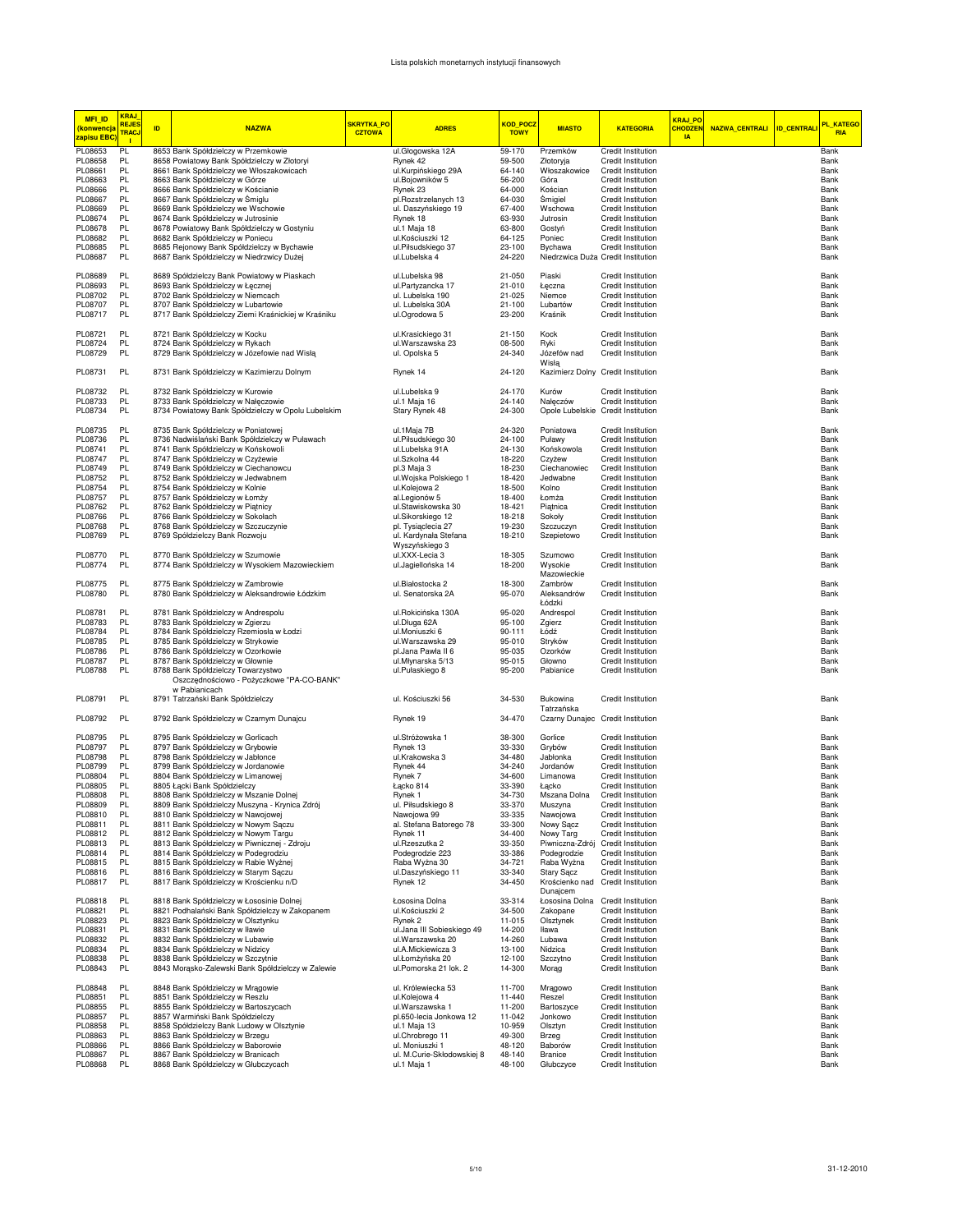## Lista polskich monetarnych instytucji finansowych

| <b>MFI ID</b><br><mark>(konwencja</mark><br><mark>zapisu EBC</mark> | <b>KRAJ</b><br><b>REJES</b><br><b>TRAC.</b><br>$\blacksquare$ | ID | <b>NAZWA</b>                                                                              | <b>SKRYTKA_PO</b><br><b>CZTOWA</b> | <b>ADRES</b>                                | KOD_POCZ<br><b>TOWY</b> | <b>MIASTO</b>                                 | <b>KATEGORIA</b>                                | <b>KRAJ_PO</b><br><b>CHODZEN</b><br><b>IA</b> | NAZWA_CENTRALI ID_CENTRALI | PL_KATEGO<br><b>RIA</b> |
|---------------------------------------------------------------------|---------------------------------------------------------------|----|-------------------------------------------------------------------------------------------|------------------------------------|---------------------------------------------|-------------------------|-----------------------------------------------|-------------------------------------------------|-----------------------------------------------|----------------------------|-------------------------|
| PL08653                                                             | PL                                                            |    | 8653 Bank Spółdzielczy w Przemkowie                                                       |                                    | ul.Głogowska 12A                            | 59-170                  | Przemków                                      | <b>Credit Institution</b>                       |                                               |                            | Bank                    |
| PL08658                                                             | PL                                                            |    | 8658 Powiatowy Bank Spółdzielczy w Złotoryi                                               |                                    | Rynek 42                                    | 59-500                  | Złotoryja                                     | Credit Institution                              |                                               |                            | Bank                    |
| PL08661                                                             | PL                                                            |    | 8661 Bank Spółdzielczy we Włoszakowicach                                                  |                                    | ul.Kurpińskiego 29A                         | 64-140                  | Włoszakowice                                  | Credit Institution                              |                                               |                            | Bank                    |
| PL08663                                                             | PL                                                            |    | 8663 Bank Spółdzielczy w Górze                                                            |                                    | ul.Bojowników 5                             | 56-200                  | Góra                                          | Credit Institution                              |                                               |                            | Bank                    |
| PL08666                                                             | PL<br>PL                                                      |    | 8666 Bank Spółdzielczy w Kościanie                                                        |                                    | Rynek 23                                    | 64-000                  | Kościan                                       | Credit Institution<br><b>Credit Institution</b> |                                               |                            | Bank                    |
| PL08667<br>PL08669                                                  | PL                                                            |    | 8667 Bank Spółdzielczy w Śmiglu<br>8669 Bank Spółdzielczy we Wschowie                     |                                    | pl.Rozstrzelanych 13<br>ul. Daszyńskiego 19 | 64-030<br>67-400        | Śmigiel<br>Wschowa                            | Credit Institution                              |                                               |                            | Bank<br>Bank            |
| PL08674                                                             | PL                                                            |    | 8674 Bank Spółdzielczy w Jutrosinie                                                       |                                    | Rynek 18                                    | 63-930                  | Jutrosin                                      | <b>Credit Institution</b>                       |                                               |                            | Bank                    |
| PL08678                                                             | PL                                                            |    | 8678 Powiatowy Bank Spółdzielczy w Gostyniu                                               |                                    | ul.1 Maja 18                                | 63-800                  | Gostyń                                        | <b>Credit Institution</b>                       |                                               |                            | Bank                    |
| PL08682                                                             | <b>PL</b>                                                     |    | 8682 Bank Spółdzielczy w Poniecu                                                          |                                    | ul.Kościuszki 12                            | 64-125                  | Poniec                                        | Credit Institution                              |                                               |                            | Bank                    |
| PL08685                                                             | PL                                                            |    | 8685 Rejonowy Bank Spółdzielczy w Bychawie                                                |                                    | ul.Piłsudskiego 37                          | 23-100                  | Bychawa                                       | Credit Institution                              |                                               |                            | Bank                    |
| PL08687                                                             | PL                                                            |    | 8687 Bank Spółdzielczy w Niedrzwicy Dużej                                                 |                                    | ul.Lubelska 4                               | 24-220                  | Niedrzwica Duża Credit Institution            |                                                 |                                               |                            | Bank                    |
| PL08689                                                             | PL                                                            |    | 8689 Spółdzielczy Bank Powiatowy w Piaskach                                               |                                    | ul.Lubelska 98                              | 21-050                  | Piaski                                        | Credit Institution                              |                                               |                            | Bank                    |
| PL08693                                                             | PL                                                            |    | 8693 Bank Spółdzielczy w Łęcznej                                                          |                                    | ul.Partyzancka 17                           | 21-010                  | Łęczna                                        | Credit Institution                              |                                               |                            | Bank                    |
| PL08702                                                             | PL                                                            |    | 8702 Bank Spółdzielczy w Niemcach                                                         |                                    | ul. Lubelska 190                            | 21-025                  | Niemce                                        | Credit Institution                              |                                               |                            | Bank                    |
| PL08707                                                             | PL                                                            |    | 8707 Bank Spółdzielczy w Lubartowie                                                       |                                    | ul. Lubelska 30A                            | $21 - 100$              | Lubartów                                      | <b>Credit Institution</b>                       |                                               |                            | Bank                    |
| PL08717                                                             | PL                                                            |    | 8717 Bank Spółdzielczy Ziemi Kraśnickiej w Kraśniku                                       |                                    | ul.Ogrodowa 5                               | 23-200                  | Kraśnik                                       | <b>Credit Institution</b>                       |                                               |                            | Bank                    |
| PL08721                                                             | PL                                                            |    | 8721 Bank Spółdzielczy w Kocku                                                            |                                    | ul.Krasickiego 31                           | 21-150                  | Kock                                          | Credit Institution                              |                                               |                            | Bank                    |
| PL08724                                                             | PL                                                            |    | 8724 Bank Spółdzielczy w Rykach                                                           |                                    | ul.Warszawska 23                            | 08-500                  | Ryki                                          | Credit Institution                              |                                               |                            | Bank                    |
| PL08729                                                             | PL                                                            |    | 8729 Bank Spółdzielczy w Józefowie nad Wisłą                                              |                                    | ul. Opolska 5                               | 24-340                  | Józefów nad                                   | Credit Institution                              |                                               |                            | Bank                    |
| PL08731                                                             | PL                                                            |    | 8731 Bank Spółdzielczy w Kazimierzu Dolnym                                                |                                    | Rynek 14                                    | 24-120                  | Wisłą                                         | Kazimierz Dolny Credit Institution              |                                               |                            | Bank                    |
|                                                                     |                                                               |    |                                                                                           |                                    |                                             |                         |                                               |                                                 |                                               |                            |                         |
| PL08732                                                             | PL                                                            |    | 8732 Bank Spółdzielczy w Kurowie                                                          |                                    | ul.Lubelska 9                               | 24-170                  | Kurów                                         | <b>Credit Institution</b>                       |                                               |                            | Bank                    |
| PL08733                                                             | PL                                                            |    | 8733 Bank Spółdzielczy w Nałęczowie                                                       |                                    | ul.1 Maja 16                                | 24-140                  | Nałeczów                                      | Credit Institution                              |                                               |                            | Bank                    |
| PL08734                                                             | PL.                                                           |    | 8734 Powiatowy Bank Spółdzielczy w Opolu Lubelskim                                        |                                    | Stary Rynek 48                              | 24-300                  | Opole Lubelskie Credit Institution            |                                                 |                                               |                            | Bank                    |
| PL08735                                                             | PL                                                            |    | 8735 Bank Spółdzielczy w Poniatowej                                                       |                                    | ul.1Maja 7B                                 | 24-320                  | Poniatowa                                     | Credit Institution                              |                                               |                            | Bank                    |
| PL08736                                                             | PL                                                            |    | 8736 Nadwiślański Bank Spółdzielczy w Puławach                                            |                                    | ul.Piłsudskiego 30                          | 24-100                  | Puławy                                        | Credit Institution                              |                                               |                            | Bank                    |
| PL08741                                                             | PL                                                            |    | 8741 Bank Spółdzielczy w Końskowoli                                                       |                                    | ul.Lubelska 91A                             | 24-130                  | Końskowola                                    | Credit Institution                              |                                               |                            | Bank                    |
| PL08747                                                             | PL                                                            |    | 8747 Bank Spółdzielczy w Czyżewie                                                         |                                    | ul.Szkolna 44                               | 18-220                  | Czyżew                                        | <b>Credit Institution</b>                       |                                               |                            | Bank                    |
| PL08749                                                             | PL                                                            |    | 8749 Bank Spółdzielczy w Ciechanowcu                                                      |                                    | pl.3 Maja 3                                 | 18-230                  | Ciechanowiec                                  | <b>Credit Institution</b>                       |                                               |                            | Bank                    |
| PL08752                                                             | PL                                                            |    | 8752 Bank Spółdzielczy w Jedwabnem                                                        |                                    | ul. Wojska Polskiego 1                      | 18-420                  | Jedwabne                                      | <b>Credit Institution</b>                       |                                               |                            | Bank                    |
| PL08754                                                             | PL                                                            |    | 8754 Bank Spółdzielczy w Kolnie                                                           |                                    | ul.Kolejowa 2                               | 18-500                  | Kolno                                         | Credit Institution                              |                                               |                            | Bank                    |
| PL08757                                                             | PL                                                            |    | 8757 Bank Spółdzielczy w Łomży                                                            |                                    | al.Legionów 5                               | 18-400                  | Łomża                                         | Credit Institution                              |                                               |                            | Bank                    |
| PL08762                                                             | PL                                                            |    | 8762 Bank Spółdzielczy w Piątnicy                                                         |                                    | ul.Stawiskowska 30                          | 18-421                  | Piątnica                                      | Credit Institution                              |                                               |                            | Bank                    |
| PL08766                                                             | PL<br>PL                                                      |    | 8766 Bank Spółdzielczy w Sokołach                                                         |                                    | ul.Sikorskiego 12                           | 18-218                  | Sokoły                                        | <b>Credit Institution</b>                       |                                               |                            | Bank                    |
| PL08768<br>PL08769                                                  | PL                                                            |    | 8768 Bank Spółdzielczy w Szczuczynie<br>8769 Spółdzielczy Bank Rozwoju                    |                                    | pl. Tysiąclecia 27<br>ul. Kardynała Stefana | 19-230<br>18-210        | Szczuczyn<br>Szepietowo                       | Credit Institution<br><b>Credit Institution</b> |                                               |                            | Bank<br>Bank            |
|                                                                     |                                                               |    |                                                                                           |                                    | Wyszyńskiego 3                              |                         |                                               |                                                 |                                               |                            |                         |
| PL08770<br>PL08774                                                  | PL<br>PL                                                      |    | 8770 Bank Spółdzielczy w Szumowie<br>8774 Bank Spółdzielczy w Wysokiem Mazowieckiem       |                                    | ul.XXX-Lecia 3<br>ul.Jagiellońska 14        | 18-305<br>18-200        | Szumowo<br>Wysokie                            | <b>Credit Institution</b><br>Credit Institution |                                               |                            | Bank<br>Bank            |
|                                                                     |                                                               |    |                                                                                           |                                    |                                             |                         | Mazowieckie                                   |                                                 |                                               |                            |                         |
| PL08775<br>PL08780                                                  | PL<br>PL                                                      |    | 8775 Bank Spółdzielczy w Zambrowie<br>8780 Bank Spółdzielczy w Aleksandrowie Łódzkim      |                                    | ul.Białostocka 2<br>ul. Senatorska 2A       | 18-300<br>95-070        | Zambrów<br>Aleksandrów                        | Credit Institution<br>Credit Institution        |                                               |                            | Bank<br>Bank            |
|                                                                     |                                                               |    |                                                                                           |                                    |                                             |                         | Łódzki                                        |                                                 |                                               |                            |                         |
| PL08781                                                             | PL                                                            |    | 8781 Bank Spółdzielczy w Andrespolu                                                       |                                    | ul.Rokicińska 130A                          | 95-020                  | Andrespol                                     | Credit Institution                              |                                               |                            | Bank                    |
| PL08783                                                             | PL                                                            |    | 8783 Bank Spółdzielczy w Zgierzu                                                          |                                    | ul.Długa 62A                                | 95-100                  | Zgierz                                        | Credit Institution                              |                                               |                            | Bank                    |
| PL08784                                                             | PL                                                            |    | 8784 Bank Spółdzielczy Rzemiosła w Łodzi                                                  |                                    | ul.Moniuszki 6                              | 90-111                  | Łódź                                          | <b>Credit Institution</b>                       |                                               |                            | Bank                    |
| PL08785                                                             | PL                                                            |    | 8785 Bank Spółdzielczy w Strykowie                                                        |                                    | ul. Warszawska 29                           | 95-010                  | Stryków                                       | Credit Institution                              |                                               |                            | Bank                    |
| PL08786                                                             | PL                                                            |    | 8786 Bank Spółdzielczy w Ozorkowie                                                        |                                    | pl.Jana Pawła II 6                          | 95-035                  | Ozorków                                       | Credit Institution                              |                                               |                            | Bank                    |
| PL08787                                                             | PL                                                            |    | 8787 Bank Spółdzielczy w Głownie                                                          |                                    | ul.Młynarska 5/13                           | 95-015                  | Głowno                                        | Credit Institution                              |                                               |                            | Bank                    |
| PL08788                                                             | PL                                                            |    | 8788 Bank Spółdzielczy Towarzystwo<br>Oszczędnościowo - Pożyczkowe "PA-CO-BANK"           |                                    | ul.Pułaskiego 8                             | 95-200                  | Pabianice                                     | Credit Institution                              |                                               |                            | Bank                    |
|                                                                     |                                                               |    | w Pabianicach                                                                             |                                    |                                             |                         |                                               |                                                 |                                               |                            |                         |
| PL08791                                                             | PL                                                            |    | 8791 Tatrzański Bank Spółdzielczy                                                         |                                    | ul. Kościuszki 56                           | 34-530                  | Bukowina<br>Tatrzańska                        | <b>Credit Institution</b>                       |                                               |                            | Bank                    |
| PL08792                                                             | PL                                                            |    | 8792 Bank Spółdzielczy w Czarnym Dunajcu                                                  |                                    | Rynek 19                                    | 34-470                  |                                               | Czarny Dunajec Credit Institution               |                                               |                            | Bank                    |
| PL08795                                                             | PL                                                            |    | 8795 Bank Spółdzielczy w Gorlicach                                                        |                                    | ul.Stróżowska 1                             | 38-300                  | Gorlice                                       | Credit Institution                              |                                               |                            | Bank                    |
| PL08797                                                             | PL                                                            |    | 8797 Bank Spółdzielczy w Grybowie                                                         |                                    | Rynek 13                                    | 33-330                  | Grybów                                        | Credit Institution                              |                                               |                            | Bank                    |
| PL08798                                                             | PL                                                            |    | 8798 Bank Spółdzielczy w Jabłonce                                                         |                                    | ul.Krakowska 3                              | 34-480                  | Jabłonka                                      | Credit Institution                              |                                               |                            | Bank                    |
| PL08799                                                             | PL.                                                           |    | 8799 Bank Spółdzielczy w Jordanowie                                                       |                                    | Rynek 44                                    | 34-240                  | Jordanów                                      | Credit Institution                              |                                               |                            | Bank                    |
| PL08804                                                             | PL                                                            |    | 8804 Bank Spółdzielczy w Limanowej                                                        |                                    | Rynek 7                                     | 34-600                  | Limanowa                                      | <b>Credit Institution</b>                       |                                               |                            | Bank                    |
| PL08805                                                             | PL                                                            |    | 8805 Łącki Bank Spółdzielczy                                                              |                                    | Łacko 814                                   | 33-390                  | Łacko                                         | <b>Credit Institution</b>                       |                                               |                            | Bank                    |
| PL08808<br>PL08809                                                  | PL<br>PI                                                      |    | 8808 Bank Spółdzielczy w Mszanie Dolnej<br>8809 Bank Spółdzielczy Muszyna - Krynica Zdrój |                                    | Rynek 1<br>ul. Piłsudskiego 8               | 34-730<br>33-370        | Mszana Dolna<br>Muszyna                       | <b>Credit Institution</b><br>Credit Institution |                                               |                            | Bank<br>Rank            |
| PL08810                                                             | PL                                                            |    | 8810 Bank Spółdzielczy w Nawojowej                                                        |                                    | Nawojowa 99                                 | 33-335                  | Nawojowa                                      | Credit Institution                              |                                               |                            | Bank                    |
| PL08811                                                             | PL                                                            |    | 8811 Bank Spółdzielczy w Nowym Sączu                                                      |                                    | al. Stefana Batorego 78                     | 33-300                  | Nowy Sącz                                     | Credit Institution                              |                                               |                            | Bank                    |
| PL08812                                                             | PL                                                            |    | 8812 Bank Spółdzielczy w Nowym Targu                                                      |                                    | Rynek 11                                    | 34-400                  | Nowy Targ                                     | Credit Institution                              |                                               |                            | Bank                    |
| PL08813                                                             | PL                                                            |    | 8813 Bank Spółdzielczy w Piwnicznej - Zdroju                                              |                                    | ul.Rzeszutka 2                              | 33-350                  | Piwniczna-Zdrój                               | Credit Institution                              |                                               |                            | Bank                    |
| PL08814                                                             | PL                                                            |    | 8814 Bank Spółdzielczy w Podegrodziu                                                      |                                    | Podegrodzie 223                             | 33-386                  | Podegrodzie                                   | Credit Institution                              |                                               |                            | Bank                    |
| PL08815                                                             | PL                                                            |    | 8815 Bank Spółdzielczy w Rabie Wyżnej                                                     |                                    | Raba Wyżna 30                               | 34-721                  | Raba Wyżna                                    | Credit Institution                              |                                               |                            | Bank                    |
| PL08816                                                             | PL                                                            |    | 8816 Bank Spółdzielczy w Starym Sączu                                                     |                                    | ul.Daszyńskiego 11                          | 33-340                  | <b>Stary Sącz</b>                             | Credit Institution                              |                                               |                            | Bank                    |
| PL08817                                                             | PL                                                            |    | 8817 Bank Spółdzielczy w Krościenku n/D                                                   |                                    | Rynek 12                                    | 34-450                  | Krościenko nad Credit Institution<br>Dunajcem |                                                 |                                               |                            | Bank                    |
| PL08818                                                             | PL                                                            |    | 8818 Bank Spółdzielczy w Łososinie Dolnej                                                 |                                    | Łososina Dolna                              | 33-314                  |                                               | Łososina Dolna Credit Institution               |                                               |                            | Bank                    |
| PL08821                                                             | PL                                                            |    | 8821 Podhalański Bank Spółdzielczy w Zakopanem                                            |                                    | ul.Kościuszki 2                             | 34-500                  | Zakopane                                      | Credit Institution                              |                                               |                            | Bank                    |
| PL08823                                                             | PL                                                            |    | 8823 Bank Spółdzielczy w Olsztynku                                                        |                                    | Rynek <sub>2</sub>                          | 11-015                  | Olsztynek                                     | Credit Institution                              |                                               |                            | Bank                    |
| PL08831                                                             | PL                                                            |    | 8831 Bank Spółdzielczy w Iławie                                                           |                                    | ul.Jana III Sobieskiego 49                  | 14-200                  | Iława                                         | Credit Institution                              |                                               |                            | Bank                    |
| PL08832                                                             | PL                                                            |    | 8832 Bank Spółdzielczy w Lubawie                                                          |                                    | ul.Warszawska 20                            | 14-260                  | Lubawa                                        | Credit Institution                              |                                               |                            | Bank                    |
| PL08834                                                             | PL                                                            |    | 8834 Bank Spółdzielczy w Nidzicy                                                          |                                    | ul.A.Mickiewicza 3                          | 13-100                  | Nidzica                                       | Credit Institution                              |                                               |                            | Bank                    |
| PL08838                                                             | PL                                                            |    | 8838 Bank Spółdzielczy w Szczytnie                                                        |                                    | ul.Łomżyńska 20                             | 12-100                  | Szczytno                                      | Credit Institution                              |                                               |                            | Bank                    |
| PL08843                                                             | PL                                                            |    | 8843 Morasko-Zalewski Bank Spółdzielczy w Zalewie                                         |                                    | ul.Pomorska 21 lok. 2                       | 14-300                  | Morag                                         | Credit Institution                              |                                               |                            | Bank                    |
| PL08848                                                             | PL                                                            |    | 8848 Bank Spółdzielczy w Mrągowie                                                         |                                    | ul. Królewiecka 53                          | 11-700                  | Mragowo                                       | Credit Institution                              |                                               |                            | Bank                    |
| PL08851                                                             | PL                                                            |    | 8851 Bank Spółdzielczy w Reszlu                                                           |                                    | ul.Kolejowa 4                               | 11-440                  | Reszel                                        | Credit Institution                              |                                               |                            | Bank                    |
| PL08855                                                             | PL                                                            |    | 8855 Bank Spółdzielczy w Bartoszycach                                                     |                                    | ul.Warszawska 1                             | 11-200                  | Bartoszyce                                    | Credit Institution                              |                                               |                            | Bank                    |
| PL08857                                                             | PL                                                            |    | 8857 Warmiński Bank Spółdzielczy                                                          |                                    | pl.650-lecia Jonkowa 12                     | 11-042                  | Jonkowo                                       | Credit Institution                              |                                               |                            | Bank                    |
| PL08858<br>PL08863                                                  | PL<br>PL                                                      |    | 8858 Spółdzielczy Bank Ludowy w Olsztynie<br>8863 Bank Spółdzielczy w Brzegu              |                                    | ul.1 Maja 13<br>ul.Chrobrego 11             | 10-959<br>49-300        | Olsztyn<br>Brzeg                              | Credit Institution<br>Credit Institution        |                                               |                            | Bank<br>Bank            |
| PL08866                                                             | PL                                                            |    | 8866 Bank Spółdzielczy w Baborowie                                                        |                                    | ul. Moniuszki 1                             | 48-120                  | Baborów                                       | Credit Institution                              |                                               |                            | Bank                    |
| PL08867                                                             | PL                                                            |    | 8867 Bank Spółdzielczy w Branicach                                                        |                                    | ul. M.Curie-Skłodowskiej 8                  | 48-140                  | Branice                                       | Credit Institution                              |                                               |                            | Bank                    |
| PL08868                                                             | PL                                                            |    | 8868 Bank Spółdzielczy w Głubczycach                                                      |                                    | ul.1 Maja 1                                 | 48-100                  | Głubczyce                                     | Credit Institution                              |                                               |                            | Bank                    |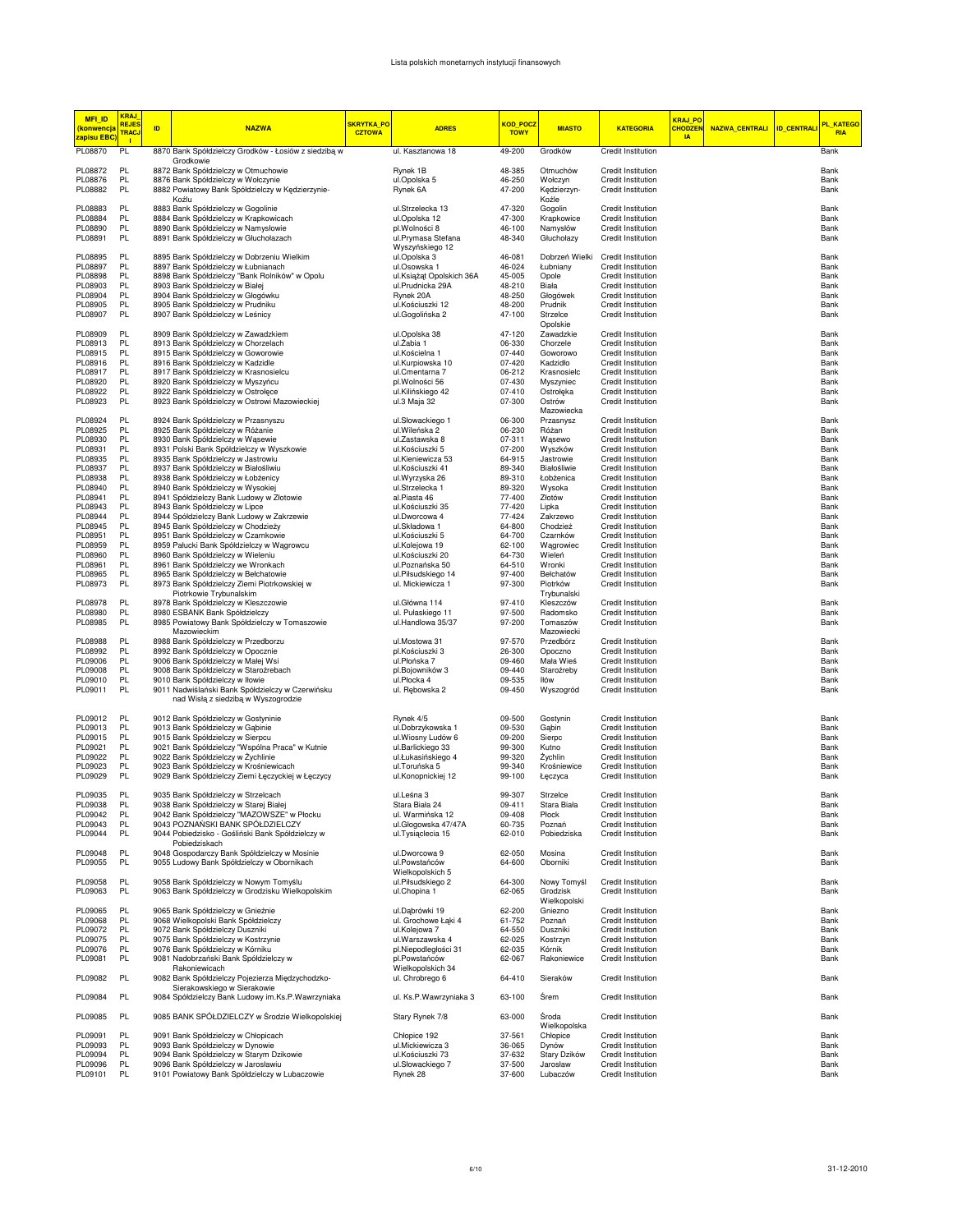| <b>MFI ID</b><br>(konwencja<br>zapisu EBC | <mark>KRAJ</mark><br><b>REJES</b><br><b>TRACJ</b> | ID. | <b>NAZWA</b>                                                                               | <b>SKRYTKA PO</b><br><b>CZTOWA</b> | <b>ADRES</b>                            | KOD POCZ<br><b>TOWY</b> | <b>MIASTO</b>           | <b>KATEGORIA</b>                                | <b>KRAJ PO</b><br><b>CHODZEN</b><br><b>IA</b> | NAZWA_CENTRALI | <b>ID_CENTRALI</b> | <b>PL KATEGO</b><br><b>RIA</b> |
|-------------------------------------------|---------------------------------------------------|-----|--------------------------------------------------------------------------------------------|------------------------------------|-----------------------------------------|-------------------------|-------------------------|-------------------------------------------------|-----------------------------------------------|----------------|--------------------|--------------------------------|
| PL08870                                   | $\mathbf{L}$<br>PL                                |     | 8870 Bank Spółdzielczy Grodków - Łosiów z siedzibą w                                       |                                    | ul. Kasztanowa 18                       | 49-200                  | Grodków                 | Credit Institution                              |                                               |                |                    | Bank                           |
| PL08872                                   | PL                                                |     | Grodkowie<br>8872 Bank Spółdzielczy w Otmuchowie                                           |                                    | Rynek 1B                                | 48-385                  | Otmuchów                | <b>Credit Institution</b>                       |                                               |                |                    | Bank                           |
| PL08876                                   | PL                                                |     | 8876 Bank Spółdzielczy w Wołczynie                                                         |                                    | ul.Opolska 5                            | 46-250                  | Wołczyn                 | Credit Institution                              |                                               |                |                    | Bank                           |
| PL08882                                   | PL                                                |     | 8882 Powiatowy Bank Spółdzielczy w Kędzierzynie-                                           |                                    | Rynek 6A                                | 47-200                  | Kędzierzyn-             | Credit Institution                              |                                               |                |                    | Bank                           |
|                                           |                                                   |     | Koźlu                                                                                      |                                    |                                         |                         | Koźle                   |                                                 |                                               |                |                    |                                |
| PL08883                                   | PL                                                |     | 8883 Bank Spółdzielczy w Gogolinie                                                         |                                    | ul.Strzelecka 13                        | 47-320                  | Gogolin                 | Credit Institution                              |                                               |                |                    | Bank                           |
| PL08884                                   | PL<br>PL                                          |     | 8884 Bank Spółdzielczy w Krapkowicach                                                      |                                    | ul.Opolska 12                           | 47-300                  | Krapkowice              | Credit Institution                              |                                               |                |                    | Bank                           |
| PL08890<br>PL08891                        | PL                                                |     | 8890 Bank Spółdzielczy w Namysłowie<br>8891 Bank Spółdzielczy w Głuchołazach               |                                    | pl.Wolności 8<br>ul.Prymasa Stefana     | 46-100<br>48-340        | Namysłów<br>Głuchołazy  | Credit Institution<br><b>Credit Institution</b> |                                               |                |                    | Bank<br>Bank                   |
|                                           |                                                   |     |                                                                                            |                                    | Wyszyńskiego 12                         |                         |                         |                                                 |                                               |                |                    |                                |
| PL08895                                   | PL                                                |     | 8895 Bank Spółdzielczy w Dobrzeniu Wielkim                                                 |                                    | ul.Opolska 3                            | 46-081                  | Dobrzeń Wielki          | Credit Institution                              |                                               |                |                    | Bank                           |
| PL08897                                   | PL                                                |     | 8897 Bank Spółdzielczy w Łubnianach                                                        |                                    | ul.Osowska 1                            | 46-024                  | Łubniany                | <b>Credit Institution</b>                       |                                               |                |                    | Bank                           |
| PL08898                                   | PL                                                |     | 8898 Bank Spółdzielczy "Bank Rolników" w Opolu                                             |                                    | ul.Książąt Opolskich 36A                | 45-005                  | Opole                   | Credit Institution                              |                                               |                |                    | Bank                           |
| PL08903                                   | PL                                                |     | 8903 Bank Spółdzielczy w Białej                                                            |                                    | ul.Prudnicka 29A                        | 48-210                  | Biała                   | Credit Institution                              |                                               |                |                    | Bank                           |
| PL08904<br>PL08905                        | PL<br>PL                                          |     | 8904 Bank Spółdzielczy w Głogówku<br>8905 Bank Spółdzielczy w Prudniku                     |                                    | Rynek 20A<br>ul.Kościuszki 12           | 48-250<br>48-200        | Głogówek<br>Prudnik     | Credit Institution<br>Credit Institution        |                                               |                |                    | Bank<br>Bank                   |
| PL08907                                   | PL.                                               |     | 8907 Bank Spółdzielczy w Leśnicy                                                           |                                    | ul.Gogolińska 2                         | 47-100                  | Strzelce                | Credit Institution                              |                                               |                |                    | Bank                           |
|                                           |                                                   |     |                                                                                            |                                    |                                         |                         | Opolskie                |                                                 |                                               |                |                    |                                |
| PL08909                                   | PL                                                |     | 8909 Bank Spółdzielczy w Zawadzkiem                                                        |                                    | ul.Opolska 38                           | 47-120                  | Zawadzkie               | <b>Credit Institution</b>                       |                                               |                |                    | Bank                           |
| PL08913                                   | <b>PL</b>                                         |     | 8913 Bank Spółdzielczy w Chorzelach                                                        |                                    | ul. Żabia 1                             | 06-330                  | Chorzele                | Credit Institution                              |                                               |                |                    | Bank                           |
| PL08915<br>PL08916                        | PL<br>PL                                          |     | 8915 Bank Spółdzielczy w Goworowie<br>8916 Bank Spółdzielczy w Kadzidle                    |                                    | ul.Kościelna 1<br>ul.Kurpiowska 10      | 07-440<br>07-420        | Goworowo<br>Kadzidło    | Credit Institution<br>Credit Institution        |                                               |                |                    | Bank<br>Bank                   |
| PL08917                                   | PL                                                |     | 8917 Bank Spółdzielczy w Krasnosielcu                                                      |                                    | ul.Cmentarna 7                          | 06-212                  | Krasnosielc             | Credit Institution                              |                                               |                |                    | Bank                           |
| PL08920                                   | PL                                                |     | 8920 Bank Spółdzielczy w Myszyńcu                                                          |                                    | pl. Wolności 56                         | 07-430                  | Myszyniec               | Credit Institution                              |                                               |                |                    | Bank                           |
| PL08922                                   | PL                                                |     | 8922 Bank Spółdzielczy w Ostrołęce                                                         |                                    | ul.Kilińskiego 42                       | 07-410                  | Ostrołęka               | <b>Credit Institution</b>                       |                                               |                |                    | Bank                           |
| PL08923                                   | PL                                                |     | 8923 Bank Spółdzielczy w Ostrowi Mazowieckiej                                              |                                    | ul.3 Maja 32                            | 07-300                  | Ostrów                  | <b>Credit Institution</b>                       |                                               |                |                    | Bank                           |
|                                           |                                                   |     |                                                                                            |                                    |                                         |                         | Mazowiecka              |                                                 |                                               |                |                    |                                |
| PL08924<br>PL08925                        | PL<br>PL                                          |     | 8924 Bank Spółdzielczy w Przasnyszu                                                        |                                    | ul.Słowackiego 1<br>ul. Wileńska 2      | 06-300<br>06-230        | Przasnysz               | Credit Institution<br><b>Credit Institution</b> |                                               |                |                    | Bank<br>Bank                   |
| PL08930                                   | PL                                                |     | 8925 Bank Spółdzielczy w Różanie<br>8930 Bank Spółdzielczy w Wąsewie                       |                                    | ul.Zastawska 8                          | 07-311                  | Różan<br>Wąsewo         | Credit Institution                              |                                               |                |                    | Bank                           |
| PL08931                                   | PL                                                |     | 8931 Polski Bank Spółdzielczy w Wyszkowie                                                  |                                    | ul.Kościuszki 5                         | 07-200                  | Wyszków                 | Credit Institution                              |                                               |                |                    | Bank                           |
| PL08935                                   | PL                                                |     | 8935 Bank Spółdzielczy w Jastrowiu                                                         |                                    | ul.Kieniewicza 53                       | 64-915                  | Jastrowie               | Credit Institution                              |                                               |                |                    | Bank                           |
| PL08937                                   | PL                                                |     | 8937 Bank Spółdzielczy w Białośliwiu                                                       |                                    | ul.Kościuszki 41                        | 89-340                  | Białośliwie             | <b>Credit Institution</b>                       |                                               |                |                    | Bank                           |
| PL08938                                   | PL                                                |     | 8938 Bank Spółdzielczy w Łobżenicy                                                         |                                    | ul. Wyrzyska 26                         | 89-310                  | Łobżenica               | <b>Credit Institution</b>                       |                                               |                |                    | Bank                           |
| PL08940                                   | PL                                                |     | 8940 Bank Spółdzielczy w Wysokiej                                                          |                                    | ul.Strzelecka 1                         | 89-320                  | Wysoka                  | <b>Credit Institution</b><br>Credit Institution |                                               |                |                    | Bank                           |
| PL08941<br>PL08943                        | PL<br>PL.                                         |     | 8941 Spółdzielczy Bank Ludowy w Złotowie<br>8943 Bank Spółdzielczy w Lipce                 |                                    | al.Piasta 46<br>ul.Kościuszki 35        | 77-400<br>77-420        | Złotów<br>Lipka         | Credit Institution                              |                                               |                |                    | Bank<br>Bank                   |
| PL08944                                   | PL                                                |     | 8944 Spółdzielczy Bank Ludowy w Zakrzewie                                                  |                                    | ul.Dworcowa 4                           | 77-424                  | Zakrzewo                | Credit Institution                              |                                               |                |                    | Bank                           |
| PL08945                                   | PL                                                |     | 8945 Bank Spółdzielczy w Chodzieży                                                         |                                    | ul.Składowa 1                           | 64-800                  | Chodzież                | Credit Institution                              |                                               |                |                    | Bank                           |
| PL08951                                   | PL                                                |     | 8951 Bank Spółdzielczy w Czarnkowie                                                        |                                    | ul.Kościuszki 5                         | 64-700                  | Czarnków                | Credit Institution                              |                                               |                |                    | Bank                           |
| PL08959                                   | PL                                                |     | 8959 Pałucki Bank Spółdzielczy w Wagrowcu                                                  |                                    | ul.Kolejowa 19                          | 62-100                  | Wągrowiec               | Credit Institution                              |                                               |                |                    | Bank                           |
| PL08960<br>PL08961                        | PL.<br>PL                                         |     | 8960 Bank Spółdzielczy w Wieleniu                                                          |                                    | ul.Kościuszki 20<br>ul.Poznańska 50     | 64-730<br>64-510        | Wieleń<br>Wronki        | Credit Institution<br><b>Credit Institution</b> |                                               |                |                    | Bank                           |
| PL08965                                   | PL                                                |     | 8961 Bank Spółdzielczy we Wronkach<br>8965 Bank Spółdzielczy w Bełchatowie                 |                                    | ul.Piłsudskiego 14                      | 97-400                  | Bełchatów               | <b>Credit Institution</b>                       |                                               |                |                    | Bank<br>Bank                   |
| PL08973                                   | <b>PL</b>                                         |     | 8973 Bank Spółdzielczy Ziemi Piotrkowskiej w                                               |                                    | ul. Mickiewicza 1                       | 97-300                  | Piotrków                | <b>Credit Institution</b>                       |                                               |                |                    | Bank                           |
|                                           |                                                   |     | Piotrkowie Trybunalskim                                                                    |                                    |                                         |                         | Trybunalski             |                                                 |                                               |                |                    |                                |
| PL08978                                   | PL                                                |     | 8978 Bank Spółdzielczy w Kleszczowie                                                       |                                    | ul. Główna 114                          | 97-410                  | Kleszczów               | Credit Institution                              |                                               |                |                    | Bank                           |
| PL08980                                   | PL                                                |     | 8980 ESBANK Bank Spółdzielczy                                                              |                                    | ul. Pułaskiego 11                       | 97-500                  | Radomsko                | Credit Institution                              |                                               |                |                    | Bank                           |
| PL08985                                   | PL.                                               |     | 8985 Powiatowy Bank Spółdzielczy w Tomaszowie<br>Mazowieckim                               |                                    | ul.Handlowa 35/37                       | 97-200                  | Tomaszów<br>Mazowiecki  | <b>Credit Institution</b>                       |                                               |                |                    | Bank                           |
| PL08988                                   | PL.                                               |     | 8988 Bank Spółdzielczy w Przedborzu                                                        |                                    | ul.Mostowa 31                           | 97-570                  | Przedbórz               | <b>Credit Institution</b>                       |                                               |                |                    | Bank                           |
| PL08992                                   | PL                                                |     | 8992 Bank Spółdzielczy w Opocznie                                                          |                                    | pl.Kościuszki 3                         | 26-300                  | Opoczno                 | <b>Credit Institution</b>                       |                                               |                |                    | Bank                           |
| PL09006                                   | <b>PL</b>                                         |     | 9006 Bank Spółdzielczy w Małej Wsi                                                         |                                    | ul.Płońska 7                            | 09-460                  | Mała Wieś               | Credit Institution                              |                                               |                |                    | Bank                           |
| PL09008                                   | PL                                                |     | 9008 Bank Spółdzielczy w Staroźrebach                                                      |                                    | pl.Bojowników 3                         | 09-440                  | Staroźreby              | Credit Institution                              |                                               |                |                    | Bank                           |
| PL09010                                   | PL                                                |     | 9010 Bank Spółdzielczy w Iłowie                                                            |                                    | ul.Płocka 4                             | 09-535                  | lłów                    | Credit Institution                              |                                               |                |                    | Bank                           |
| PL09011                                   | PL                                                |     | 9011 Nadwiślański Bank Spółdzielczy w Czerwińsku<br>nad Wisłą z siedzibą w Wyszogrodzie    |                                    | ul. Rebowska 2                          | 09-450                  | Wyszogród               | Credit Institution                              |                                               |                |                    | Bank                           |
|                                           |                                                   |     |                                                                                            |                                    |                                         |                         |                         |                                                 |                                               |                |                    |                                |
| PL09012                                   | PL                                                |     | 9012 Bank Spółdzielczy w Gostyninie                                                        |                                    | Rynek 4/5                               | 09-500                  | Gostynin                | Credit Institution                              |                                               |                |                    | Bank                           |
| PL09013                                   | PL                                                |     | 9013 Bank Spółdzielczy w Gąbinie                                                           |                                    | ul.Dobrzykowska 1                       | 09-530                  | Gabin                   | <b>Credit Institution</b>                       |                                               |                |                    | Bank                           |
| PL09015                                   | <b>PL</b>                                         |     | 9015 Bank Spółdzielczy w Sierpcu                                                           |                                    | ul. Wiosny Ludów 6                      | 09-200                  | Sierpc                  | Credit Institution                              |                                               |                |                    | Bank                           |
| PL09021                                   | PL<br>PL                                          |     | 9021 Bank Spółdzielczy "Wspólna Praca" w Kutnie<br>9022 Bank Spółdzielczy w Żychlinie      |                                    | ul.Barlickiego 33                       | 99-300                  | Kutno                   | <b>Credit Institution</b>                       |                                               |                |                    | Bank<br>Bank                   |
| PL09022<br>PL09023                        | PL                                                |     | 9023 Bank Spółdzielczy w Krośniewicach                                                     |                                    | ul.Łukasińskiego 4<br>ul. Toruńska 5    | 99-320<br>99-340        | Żychlin<br>Krośniewice  | Credit Institution<br>Credit Institution        |                                               |                |                    | Bank                           |
| PL09029                                   | PL.                                               |     | 9029 Bank Spółdzielczy Ziemi Łęczyckiej w Łęczycy                                          |                                    | ul.Konopnickiej 12                      | 99-100                  | Łęczyca                 | Credit Institution                              |                                               |                |                    | Bank                           |
|                                           |                                                   |     |                                                                                            |                                    |                                         |                         |                         |                                                 |                                               |                |                    |                                |
| PL09035                                   | PL                                                |     | 9035 Bank Spółdzielczy w Strzelcach                                                        |                                    | ul.Leśna 3                              | 99-307                  | Strzelce                | Credit Institution                              |                                               |                |                    | Bank                           |
| PL09038                                   | PL                                                |     | 9038 Bank Spółdzielczy w Starej Białej                                                     |                                    | Stara Biała 24                          | 09-411                  | Stara Biała             | Credit Institution                              |                                               |                |                    | Bank                           |
| PL09042<br>PL09043                        | PL.<br>PL.                                        |     | 9042 Bank Spółdzielczy "MAZOWSZE" w Płocku<br>9043 POZNAŃSKI BANK SPÓŁDZIELCZY             |                                    | ul. Warmińska 12<br>ul.Głogowska 47/47A | 09-408<br>60-735        | Płock<br>Poznań         | Credit Institution<br>Credit Institution        |                                               |                |                    | Bank<br>Bank                   |
| PL09044                                   | PL                                                |     | 9044 Pobiedzisko - Gośliński Bank Spółdzielczy w                                           |                                    | ul. Tysiąclecia 15                      | 62-010                  | Pobiedziska             | Credit Institution                              |                                               |                |                    | Bank                           |
|                                           |                                                   |     | Pobiedziskach                                                                              |                                    |                                         |                         |                         |                                                 |                                               |                |                    |                                |
| PL09048                                   | PL                                                |     | 9048 Gospodarczy Bank Spółdzielczy w Mosinie                                               |                                    | ul.Dworcowa 9                           | 62-050                  | Mosina                  | Credit Institution                              |                                               |                |                    | Bank                           |
| PL09055                                   | PL                                                |     | 9055 Ludowy Bank Spółdzielczy w Obornikach                                                 |                                    | ul.Powstańców                           | 64-600                  | Oborniki                | Credit Institution                              |                                               |                |                    | Bank                           |
|                                           |                                                   |     |                                                                                            |                                    | Wielkopolskich 5                        |                         |                         |                                                 |                                               |                |                    |                                |
| PL09058<br>PL09063                        | PL<br>PL                                          |     | 9058 Bank Spółdzielczy w Nowym Tomyślu<br>9063 Bank Spółdzielczy w Grodzisku Wielkopolskim |                                    | ul.Piłsudskiego 2<br>ul.Chopina 1       | 64-300<br>62-065        | Nowy Tomyśl<br>Grodzisk | Credit Institution<br>Credit Institution        |                                               |                |                    | Bank<br>Bank                   |
|                                           |                                                   |     |                                                                                            |                                    |                                         |                         | Wielkopolski            |                                                 |                                               |                |                    |                                |
| PL09065                                   | PL.                                               |     | 9065 Bank Spółdzielczy w Gnieźnie                                                          |                                    | ul.Dąbrówki 19                          | 62-200                  | Gniezno                 | Credit Institution                              |                                               |                |                    | Bank                           |
| PL09068                                   | PL                                                |     | 9068 Wielkopolski Bank Spółdzielczy                                                        |                                    | ul. Grochowe Łąki 4                     | 61-752                  | Poznań                  | Credit Institution                              |                                               |                |                    | Bank                           |
| PL09072                                   | PL                                                |     | 9072 Bank Spółdzielczy Duszniki                                                            |                                    | ul.Kolejowa 7                           | 64-550                  | Duszniki                | Credit Institution                              |                                               |                |                    | Bank                           |
| PL09075                                   | PL                                                |     | 9075 Bank Spółdzielczy w Kostrzynie                                                        |                                    | ul. Warszawska 4                        | 62-025                  | Kostrzyn                | Credit Institution                              |                                               |                |                    | Bank                           |
| PL09076<br>PL09081                        | PL<br>PL                                          |     | 9076 Bank Spółdzielczy w Kórniku<br>9081 Nadobrzański Bank Spółdzielczy w                  |                                    | pl.Niepodległości 31<br>pl.Powstańców   | 62-035<br>62-067        | Kórnik<br>Rakoniewice   | Credit Institution<br>Credit Institution        |                                               |                |                    | Bank<br>Bank                   |
|                                           |                                                   |     | Rakoniewicach                                                                              |                                    | Wielkopolskich 34                       |                         |                         |                                                 |                                               |                |                    |                                |
| PL09082                                   | PL                                                |     | 9082 Bank Spółdzielczy Pojezierza Międzychodzko-                                           |                                    | ul. Chrobrego 6                         | 64-410                  | Sieraków                | Credit Institution                              |                                               |                |                    | Bank                           |
|                                           |                                                   |     | Sierakowskiego w Sierakowie                                                                |                                    |                                         |                         |                         |                                                 |                                               |                |                    |                                |
| PL09084                                   | PL                                                |     | 9084 Spółdzielczy Bank Ludowy im.Ks.P.Wawrzyniaka                                          |                                    | ul. Ks.P.Wawrzyniaka 3                  | 63-100                  | Śrem                    | Credit Institution                              |                                               |                |                    | Bank                           |
|                                           |                                                   |     |                                                                                            |                                    |                                         |                         |                         |                                                 |                                               |                |                    |                                |
| PL09085                                   | PL                                                |     | 9085 BANK SPÓŁDZIELCZY w Środzie Wielkopolskiej                                            |                                    | Stary Rynek 7/8                         | 63-000                  | Środa<br>Wielkopolska   | Credit Institution                              |                                               |                |                    | Bank                           |
| PL09091                                   | PL                                                |     | 9091 Bank Spółdzielczy w Chłopicach                                                        |                                    | Chłopice 192                            | 37-561                  | Chłopice                | Credit Institution                              |                                               |                |                    | Bank                           |
| PL09093                                   | PL                                                |     | 9093 Bank Spółdzielczy w Dynowie                                                           |                                    | ul.Mickiewicza 3                        | 36-065                  | Dynów                   | Credit Institution                              |                                               |                |                    | Bank                           |
| PL09094                                   | PL                                                |     | 9094 Bank Spółdzielczy w Starym Dzikowie                                                   |                                    | ul.Kościuszki 73                        | 37-632                  | Stary Dzików            | Credit Institution                              |                                               |                |                    | Bank                           |
| PL09096                                   | <b>PL</b>                                         |     | 9096 Bank Spółdzielczy w Jarosławiu                                                        |                                    | ul.Słowackiego 7                        | 37-500                  | Jarosław                | Credit Institution                              |                                               |                |                    | Bank                           |
| PL09101                                   | PL                                                |     | 9101 Powiatowy Bank Spółdzielczy w Lubaczowie                                              |                                    | Rynek 28                                | 37-600                  | Lubaczów                | <b>Credit Institution</b>                       |                                               |                |                    | Bank                           |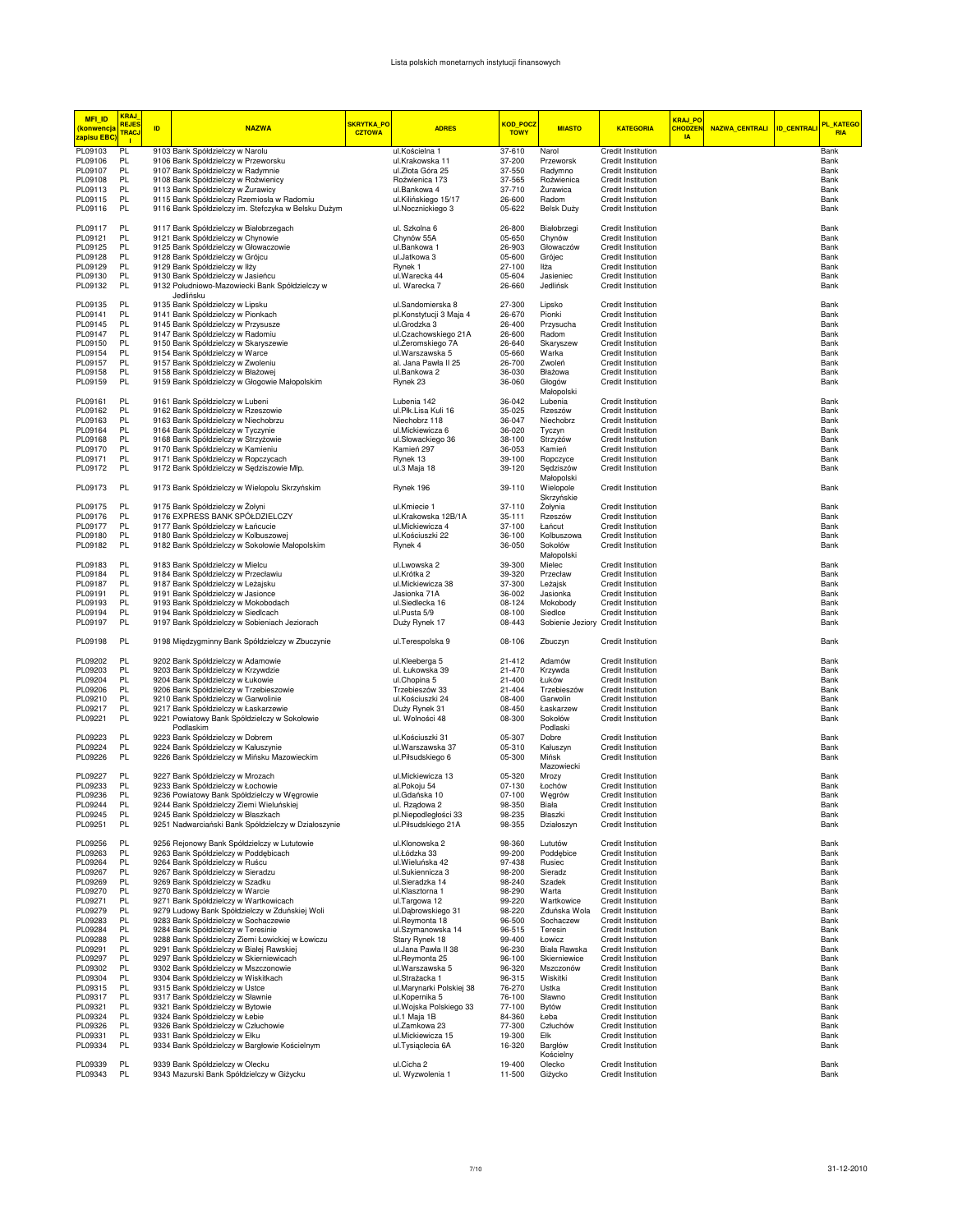| <b>MFI ID</b><br><mark>(konwencja</mark><br><mark>zapisu EBC</mark> | <b>KRAJ</b><br><b>REJES</b><br><b>TRACJ</b><br>$\mathbf{L}$ | ID. | <b>NAZWA</b>                                                                                 | <b>SKRYTKA PO</b><br><b>CZTOWA</b> | <b>ADRES</b>                            | KOD POCZ<br><b>TOWY</b> | <b>MIASTO</b>                                  | <b>KATEGORIA</b>                         | <b>KRAJ PO</b><br><b>CHODZEM</b><br>$\overline{a}$ | NAZWA_CENTRALI ID_CENTRALI | PL_KATEGO<br><b>RIA</b> |
|---------------------------------------------------------------------|-------------------------------------------------------------|-----|----------------------------------------------------------------------------------------------|------------------------------------|-----------------------------------------|-------------------------|------------------------------------------------|------------------------------------------|----------------------------------------------------|----------------------------|-------------------------|
| PL09103                                                             | PL                                                          |     | 9103 Bank Spółdzielczy w Narolu                                                              |                                    | ul.Kościelna 1                          | 37-610                  | Narol                                          | Credit Institution                       |                                                    |                            | Bank                    |
| PL09106                                                             | PL.                                                         |     | 9106 Bank Spółdzielczy w Przeworsku                                                          |                                    | ul.Krakowska 11                         | 37-200                  | Przeworsk                                      | Credit Institution                       |                                                    |                            | Bank                    |
| PL09107                                                             | PL.                                                         |     | 9107 Bank Spółdzielczy w Radymnie                                                            |                                    | ul.Złota Góra 25                        | 37-550                  | Radymno                                        | <b>Credit Institution</b>                |                                                    |                            | Bank                    |
| PL09108<br>PL09113                                                  | PL.<br>PL.                                                  |     | 9108 Bank Spółdzielczy w Roźwienicy<br>9113 Bank Spółdzielczy w Żurawicy                     |                                    | Roźwienica 173<br>ul.Bankowa 4          | 37-565<br>37-710        | Roźwienica<br>Żurawica                         | Credit Institution<br>Credit Institution |                                                    |                            | Bank<br>Bank            |
| PL09115                                                             | PL.                                                         |     | 9115 Bank Spółdzielczy Rzemiosła w Radomiu                                                   |                                    | ul.Kilińskiego 15/17                    | 26-600                  | Radom                                          | Credit Institution                       |                                                    |                            | Bank                    |
| PL09116                                                             | PL.                                                         |     | 9116 Bank Spółdzielczy im. Stefczyka w Belsku Dużym                                          |                                    | ul.Nocznickiego 3                       | 05-622                  | Belsk Duży                                     | <b>Credit Institution</b>                |                                                    |                            | Bank                    |
| PL09117                                                             | PL                                                          |     | 9117 Bank Spółdzielczy w Białobrzegach                                                       |                                    | ul. Szkolna 6                           | 26-800                  | Białobrzegi                                    | Credit Institution                       |                                                    |                            | Bank                    |
| PL09121                                                             | PL                                                          |     | 9121 Bank Spółdzielczy w Chynowie                                                            |                                    | Chynów 55A                              | 05-650                  | Chynów                                         | Credit Institution                       |                                                    |                            | Bank                    |
| PL09125<br>PL09128                                                  | PL<br><b>PL</b>                                             |     | 9125 Bank Spółdzielczy w Głowaczowie<br>9128 Bank Spółdzielczy w Grójcu                      |                                    | ul.Bankowa 1<br>ul.Jatkowa 3            | 26-903<br>05-600        | Głowaczów<br>Grójec                            | Credit Institution<br>Credit Institution |                                                    |                            | Bank<br>Bank            |
| PL09129                                                             | <b>PL</b>                                                   |     | 9129 Bank Spółdzielczy w Iłży                                                                |                                    | Rynek 1                                 | 27-100                  | Iłża                                           | Credit Institution                       |                                                    |                            | Bank                    |
| PL09130                                                             | PL.                                                         |     | 9130 Bank Spółdzielczy w Jasieńcu                                                            |                                    | ul.Warecka 44                           | 05-604                  | Jasieniec                                      | Credit Institution                       |                                                    |                            | Bank                    |
| PL09132                                                             | <b>PL</b>                                                   |     | 9132 Południowo-Mazowiecki Bank Spółdzielczy w<br>Jedlińsku                                  |                                    | ul. Warecka 7                           | 26-660                  | Jedlińsk                                       | Credit Institution                       |                                                    |                            | Bank                    |
| PL09135                                                             | PL.                                                         |     | 9135 Bank Spółdzielczy w Lipsku                                                              |                                    | ul.Sandomierska 8                       | 27-300                  | Lipsko                                         | Credit Institution                       |                                                    |                            | Bank                    |
| PL09141<br>PL09145                                                  | PL.<br><b>PL</b>                                            |     | 9141 Bank Spółdzielczy w Pionkach<br>9145 Bank Spółdzielczy w Przysusze                      |                                    | pl.Konstytucji 3 Maja 4<br>ul.Grodzka 3 | 26-670<br>26-400        | Pionki<br>Przysucha                            | Credit Institution<br>Credit Institution |                                                    |                            | Bank<br>Bank            |
| PL09147                                                             | PL.                                                         |     | 9147 Bank Spółdzielczy w Radomiu                                                             |                                    | ul.Czachowskiego 21A                    | 26-600                  | Radom                                          | Credit Institution                       |                                                    |                            | Bank                    |
| PL09150                                                             | PL.                                                         |     | 9150 Bank Spółdzielczy w Skaryszewie                                                         |                                    | ul.Żeromskiego 7A                       | 26-640                  | Skaryszew                                      | Credit Institution                       |                                                    |                            | Bank                    |
| PL09154                                                             | PL                                                          |     | 9154 Bank Spółdzielczy w Warce                                                               |                                    | ul. Warszawska 5                        | 05-660                  | Warka                                          | Credit Institution                       |                                                    |                            | Bank                    |
| PL09157                                                             | PL                                                          |     | 9157 Bank Spółdzielczy w Zwoleniu                                                            |                                    | al. Jana Pawła II 25                    | 26-700                  | Zwoleń                                         | Credit Institution                       |                                                    |                            | Bank                    |
| PL09158                                                             | PL                                                          |     | 9158 Bank Spółdzielczy w Błażowej                                                            |                                    | ul.Bankowa 2                            | 36-030                  | Błażowa                                        | Credit Institution                       |                                                    |                            | Bank                    |
| PL09159                                                             | PL.                                                         |     | 9159 Bank Spółdzielczy w Głogowie Małopolskim                                                |                                    | Rynek 23                                | 36-060                  | Głogów<br>Małopolski                           | Credit Institution                       |                                                    |                            | Bank                    |
| PL09161                                                             | PL                                                          |     | 9161 Bank Spółdzielczy w Lubeni                                                              |                                    | Lubenia 142                             | 36-042                  | Lubenia                                        | Credit Institution                       |                                                    |                            | Bank                    |
| PL09162                                                             | PL.                                                         |     | 9162 Bank Spółdzielczy w Rzeszowie                                                           |                                    | ul.Płk.Lisa Kuli 16                     | 35-025                  | Rzeszów                                        | <b>Credit Institution</b>                |                                                    |                            | Bank                    |
| PL09163<br>PL09164                                                  | <b>PL</b><br>PL                                             |     | 9163 Bank Spółdzielczy w Niechobrzu                                                          |                                    | Niechobrz 118<br>ul.Mickiewicza 6       | 36-047                  | Niechobrz                                      | Credit Institution<br>Credit Institution |                                                    |                            | Bank<br>Bank            |
| PL09168                                                             | PL.                                                         |     | 9164 Bank Spółdzielczy w Tyczynie<br>9168 Bank Spółdzielczy w Strzyżowie                     |                                    | ul.Słowackiego 36                       | 36-020<br>38-100        | Tyczyn<br>Strzyżów                             | Credit Institution                       |                                                    |                            | Bank                    |
| PL09170                                                             | PL.                                                         |     | 9170 Bank Spółdzielczy w Kamieniu                                                            |                                    | Kamień 297                              | 36-053                  | Kamień                                         | Credit Institution                       |                                                    |                            | Bank                    |
| PL09171                                                             | PL                                                          |     | 9171 Bank Spółdzielczy w Ropczycach                                                          |                                    | Rynek 13                                | 39-100                  | Ropczyce                                       | Credit Institution                       |                                                    |                            | Bank                    |
| PL09172                                                             | PL.                                                         |     | 9172 Bank Spółdzielczy w Sędziszowie Młp.                                                    |                                    | ul.3 Maja 18                            | 39-120                  | Sędziszów<br>Małopolski                        | Credit Institution                       |                                                    |                            | Bank                    |
| PL09173                                                             | PL.                                                         |     | 9173 Bank Spółdzielczy w Wielopolu Skrzyńskim                                                |                                    | Rynek 196                               | 39-110                  | Wielopole<br>Skrzyńskie                        | <b>Credit Institution</b>                |                                                    |                            | Bank                    |
| PL09175                                                             | PL.                                                         |     | 9175 Bank Spółdzielczy w Żołyni                                                              |                                    | ul.Kmiecie 1                            | 37-110                  | Żołynia                                        | Credit Institution                       |                                                    |                            | Bank                    |
| PL09176                                                             | PL                                                          |     | 9176 EXPRESS BANK SPÓŁDZIELCZY                                                               |                                    | ul.Krakowska 12B/1A                     | 35-111                  | Rzeszów                                        | Credit Institution                       |                                                    |                            | Bank                    |
| PL09177                                                             | PL                                                          |     | 9177 Bank Spółdzielczy w Łańcucie                                                            |                                    | ul.Mickiewicza 4                        | 37-100                  | Łańcut                                         | Credit Institution                       |                                                    |                            | Bank                    |
| PL09180                                                             | PL.                                                         |     | 9180 Bank Spółdzielczy w Kolbuszowej                                                         |                                    | ul.Kościuszki 22                        | 36-100                  | Kolbuszowa                                     | Credit Institution                       |                                                    |                            | Bank                    |
| PL09182                                                             | PL.                                                         |     | 9182 Bank Spółdzielczy w Sokołowie Małopolskim                                               |                                    | Rynek 4                                 | 36-050                  | Sokołów<br>Małopolski                          | Credit Institution                       |                                                    |                            | Bank                    |
| PL09183                                                             | PL.                                                         |     | 9183 Bank Spółdzielczy w Mielcu                                                              |                                    | ul.Lwowska 2                            | 39-300                  | Mielec                                         | Credit Institution                       |                                                    |                            | Bank                    |
| PL09184                                                             | PL                                                          |     | 9184 Bank Spółdzielczy w Przecławiu                                                          |                                    | ul.Krótka 2                             | 39-320                  | Przecław                                       | <b>Credit Institution</b>                |                                                    |                            | Bank                    |
| PL09187                                                             | <b>PL</b>                                                   |     | 9187 Bank Spółdzielczy w Leżajsku                                                            |                                    | ul.Mickiewicza 38                       | 37-300                  | Leżajsk                                        | Credit Institution                       |                                                    |                            | Bank                    |
| PL09191                                                             | PL.                                                         |     | 9191 Bank Spółdzielczy w Jasionce                                                            |                                    | Jasionka 71A                            | 36-002                  | Jasionka                                       | Credit Institution                       |                                                    |                            | Bank                    |
| PL09193                                                             | PL<br>PL                                                    |     | 9193 Bank Spółdzielczy w Mokobodach                                                          |                                    | ul.Siedlecka 16                         | 08-124                  | Mokobody                                       | Credit Institution                       |                                                    |                            | Bank<br>Bank            |
| PL09194<br>PL09197                                                  | PL                                                          |     | 9194 Bank Spółdzielczy w Siedlcach<br>9197 Bank Spółdzielczy w Sobieniach Jeziorach          |                                    | ul.Pusta 5/9<br>Duży Rynek 17           | 08-100<br>08-443        | Siedlce<br>Sobienie Jeziory Credit Institution | Credit Institution                       |                                                    |                            | Bank                    |
| PL09198                                                             | PL.                                                         |     | 9198 Międzygminny Bank Spółdzielczy w Zbuczynie                                              |                                    | ul.Terespolska 9                        | 08-106                  | Zbuczyn                                        | <b>Credit Institution</b>                |                                                    |                            | Bank                    |
| PL09202                                                             | PL.                                                         |     | 9202 Bank Spółdzielczy w Adamowie                                                            |                                    | ul.Kleeberga 5                          | 21-412                  | Adamów                                         | Credit Institution                       |                                                    |                            | Bank                    |
| PL09203                                                             | PL.<br>PL.                                                  |     | 9203 Bank Spółdzielczy w Krzywdzie                                                           |                                    | ul. Łukowska 39                         | 21-470                  | Krzywda                                        | Credit Institution                       |                                                    |                            | Bank<br>Bank            |
| PL09204<br>PL09206                                                  | PL                                                          |     | 9204 Bank Spółdzielczy w Łukowie<br>9206 Bank Spółdzielczy w Trzebieszowie                   |                                    | ul.Chopina 5<br>Trzebieszów 33          | 21-400<br>21-404        | Łuków<br>Trzebieszów                           | Credit Institution<br>Credit Institution |                                                    |                            | Bank                    |
| PL09210                                                             | PL.                                                         |     | 9210 Bank Spółdzielczy w Garwolinie                                                          |                                    | ul.Kościuszki 24                        | 08-400                  | Garwolin                                       | Credit Institution                       |                                                    |                            | Bank                    |
| PL09217                                                             | PL                                                          |     | 9217 Bank Spółdzielczy w Łaskarzewie                                                         |                                    | Duży Rynek 31                           | 08-450                  | Łaskarzew                                      | Credit Institution                       |                                                    |                            | Bank                    |
| PL09221                                                             | PL                                                          |     | 9221 Powiatowy Bank Spółdzielczy w Sokołowie<br>Podlaskim                                    |                                    | ul. Wolności 48                         | 08-300                  | Sokołów<br>Podlaski                            | Credit Institution                       |                                                    |                            | Bank                    |
| PL09223                                                             | PL                                                          |     | 9223 Bank Spółdzielczy w Dobrem                                                              |                                    | ul.Kościuszki 31                        | 05-307                  | Dobre                                          | Credit Institution                       |                                                    |                            | Bank                    |
| PL09224                                                             | PL                                                          |     | 9224 Bank Spółdzielczy w Kałuszynie                                                          |                                    | ul.Warszawska 37                        | 05-310                  | Kałuszyn                                       | Credit Institution                       |                                                    |                            | Bank                    |
| PL09226                                                             | PL.                                                         |     | 9226 Bank Spółdzielczy w Mińsku Mazowieckim                                                  |                                    | ul.Piłsudskiego 6                       | 05-300                  | Mińsk<br>Mazowiecki                            | Credit Institution                       |                                                    |                            | Bank                    |
| PL09227                                                             | PL                                                          |     | 9227 Bank Spółdzielczy w Mrozach                                                             |                                    | ul.Mickiewicza 13                       | 05-320                  | Mrozy                                          | Credit Institution                       |                                                    |                            | Bank                    |
| PL09233                                                             | PL.                                                         |     | 9233 Bank Spółdzielczy w Łochowie                                                            |                                    | al.Pokoju 54                            | 07-130                  | Łochów                                         | Credit Institution                       |                                                    |                            | Bank                    |
| PL09236<br>PL09244                                                  | PL<br>PL                                                    |     | 9236 Powiatowy Bank Spółdzielczy w Węgrowie<br>9244 Bank Spółdzielczy Ziemi Wieluńskiej      |                                    | ul.Gdańska 10<br>ul. Rzadowa 2          | 07-100<br>98-350        | Węgrów<br>Biała                                | Credit Institution<br>Credit Institution |                                                    |                            | Bank<br>Bank            |
| PL09245                                                             | PL                                                          |     | 9245 Bank Spółdzielczy w Błaszkach                                                           |                                    | pl.Niepodległości 33                    | 98-235                  | Błaszki                                        | Credit Institution                       |                                                    |                            | Bank                    |
| PL09251                                                             | PL                                                          |     | 9251 Nadwarciański Bank Spółdzielczy w Działoszynie                                          |                                    | ul.Piłsudskiego 21A                     | 98-355                  | Działoszyn                                     | Credit Institution                       |                                                    |                            | Bank                    |
| PL09256                                                             | PL                                                          |     | 9256 Rejonowy Bank Spółdzielczy w Lututowie                                                  |                                    | ul.Klonowska 2                          | 98-360                  | Lututów                                        | Credit Institution                       |                                                    |                            | Bank                    |
| PL09263                                                             | PL                                                          |     | 9263 Bank Spółdzielczy w Poddębicach                                                         |                                    | ul.Łódzka 33                            | 99-200<br>97-438        | Poddębice                                      | Credit Institution                       |                                                    |                            | Bank                    |
| PL09264<br>PL09267                                                  | PL<br>PL                                                    |     | 9264 Bank Spółdzielczy w Ruścu<br>9267 Bank Spółdzielczy w Sieradzu                          |                                    | ul. Wieluńska 42<br>ul.Sukiennicza 3    | 98-200                  | Rusiec<br>Sieradz                              | Credit Institution<br>Credit Institution |                                                    |                            | Bank<br>Bank            |
| PL09269                                                             | PL                                                          |     | 9269 Bank Spółdzielczy w Szadku                                                              |                                    | ul.Sieradzka 14                         | 98-240                  | Szadek                                         | Credit Institution                       |                                                    |                            | Bank                    |
| PL09270                                                             | PL                                                          |     | 9270 Bank Spółdzielczy w Warcie                                                              |                                    | ul.Klasztorna 1                         | 98-290                  | Warta                                          | Credit Institution                       |                                                    |                            | Bank                    |
| PL09271                                                             | <b>PL</b>                                                   |     | 9271 Bank Spółdzielczy w Wartkowicach                                                        |                                    | ul.Targowa 12                           | 99-220                  | Wartkowice                                     | Credit Institution                       |                                                    |                            | Bank                    |
| PL09279                                                             | PL                                                          |     | 9279 Ludowy Bank Spółdzielczy w Zduńskiej Woli                                               |                                    | ul.Dąbrowskiego 31                      | 98-220                  | Zduńska Wola                                   | Credit Institution                       |                                                    |                            | Bank                    |
| PL09283                                                             | PL                                                          |     | 9283 Bank Spółdzielczy w Sochaczewie                                                         |                                    | ul.Reymonta 18                          | 96-500                  | Sochaczew                                      | Credit Institution                       |                                                    |                            | Bank                    |
| PL09284<br>PL09288                                                  | PL<br>PL                                                    |     | 9284 Bank Spółdzielczy w Teresinie                                                           |                                    | ul.Szymanowska 14                       | 96-515                  | Teresin                                        | Credit Institution                       |                                                    |                            | Bank                    |
| PL09291                                                             | PL                                                          |     | 9288 Bank Spółdzielczy Ziemi Łowickiej w Łowiczu<br>9291 Bank Spółdzielczy w Białej Rawskiej |                                    | Stary Rynek 18<br>ul.Jana Pawła II 38   | 99-400<br>96-230        | Łowicz<br>Biała Rawska                         | Credit Institution<br>Credit Institution |                                                    |                            | Bank<br>Bank            |
| PL09297                                                             | PL                                                          |     | 9297 Bank Spółdzielczy w Skierniewicach                                                      |                                    | ul.Reymonta 25                          | 96-100                  | Skierniewice                                   | Credit Institution                       |                                                    |                            | Bank                    |
| PL09302                                                             | PL.                                                         |     | 9302 Bank Spółdzielczy w Mszczonowie                                                         |                                    | ul.Warszawska 5                         | 96-320                  | Mszczonów                                      | Credit Institution                       |                                                    |                            | Bank                    |
| PL09304                                                             | PL                                                          |     | 9304 Bank Spółdzielczy w Wiskitkach                                                          |                                    | ul.Strażacka 1                          | 96-315                  | Wiskitki                                       | Credit Institution                       |                                                    |                            | Bank                    |
| PL09315                                                             | PL.                                                         |     | 9315 Bank Spółdzielczy w Ustce                                                               |                                    | ul.Marynarki Polskiej 38                | 76-270                  | Ustka                                          | Credit Institution                       |                                                    |                            | Bank                    |
| PL09317                                                             | PL                                                          |     | 9317 Bank Spółdzielczy w Sławnie                                                             |                                    | ul.Kopernika 5                          | 76-100                  | Sławno                                         | Credit Institution                       |                                                    |                            | Bank                    |
| PL09321<br>PL09324                                                  | PL<br>PL                                                    |     | 9321 Bank Spółdzielczy w Bytowie<br>9324 Bank Spółdzielczy w Łebie                           |                                    | ul. Wojska Polskiego 33<br>ul.1 Maja 1B | 77-100<br>84-360        | Bytów<br>Łeba                                  | Credit Institution<br>Credit Institution |                                                    |                            | Bank<br>Bank            |
| PL09326                                                             | PL                                                          |     | 9326 Bank Spółdzielczy w Człuchowie                                                          |                                    | ul.Zamkowa 23                           | 77-300                  | Człuchów                                       | Credit Institution                       |                                                    |                            | Bank                    |
| PL09331                                                             | PL                                                          |     | 9331 Bank Spółdzielczy w Ełku                                                                |                                    | ul.Mickiewicza 15                       | 19-300                  | Ełk                                            | Credit Institution                       |                                                    |                            | Bank                    |
| PL09334                                                             | PL.                                                         |     | 9334 Bank Spółdzielczy w Bargłowie Kościelnym                                                |                                    | ul.Tysiąclecia 6A                       | 16-320                  | Bargłów                                        | Credit Institution                       |                                                    |                            | Bank                    |
| PL09339                                                             | PL                                                          |     | 9339 Bank Spółdzielczy w Olecku                                                              |                                    | ul.Cicha 2                              | 19-400                  | Kościelny<br>Olecko                            | Credit Institution                       |                                                    |                            | Bank                    |
| PL09343                                                             | PL                                                          |     | 9343 Mazurski Bank Spółdzielczy w Giżycku                                                    |                                    | ul. Wyzwolenia 1                        | 11-500                  | Giżycko                                        | Credit Institution                       |                                                    |                            | Bank                    |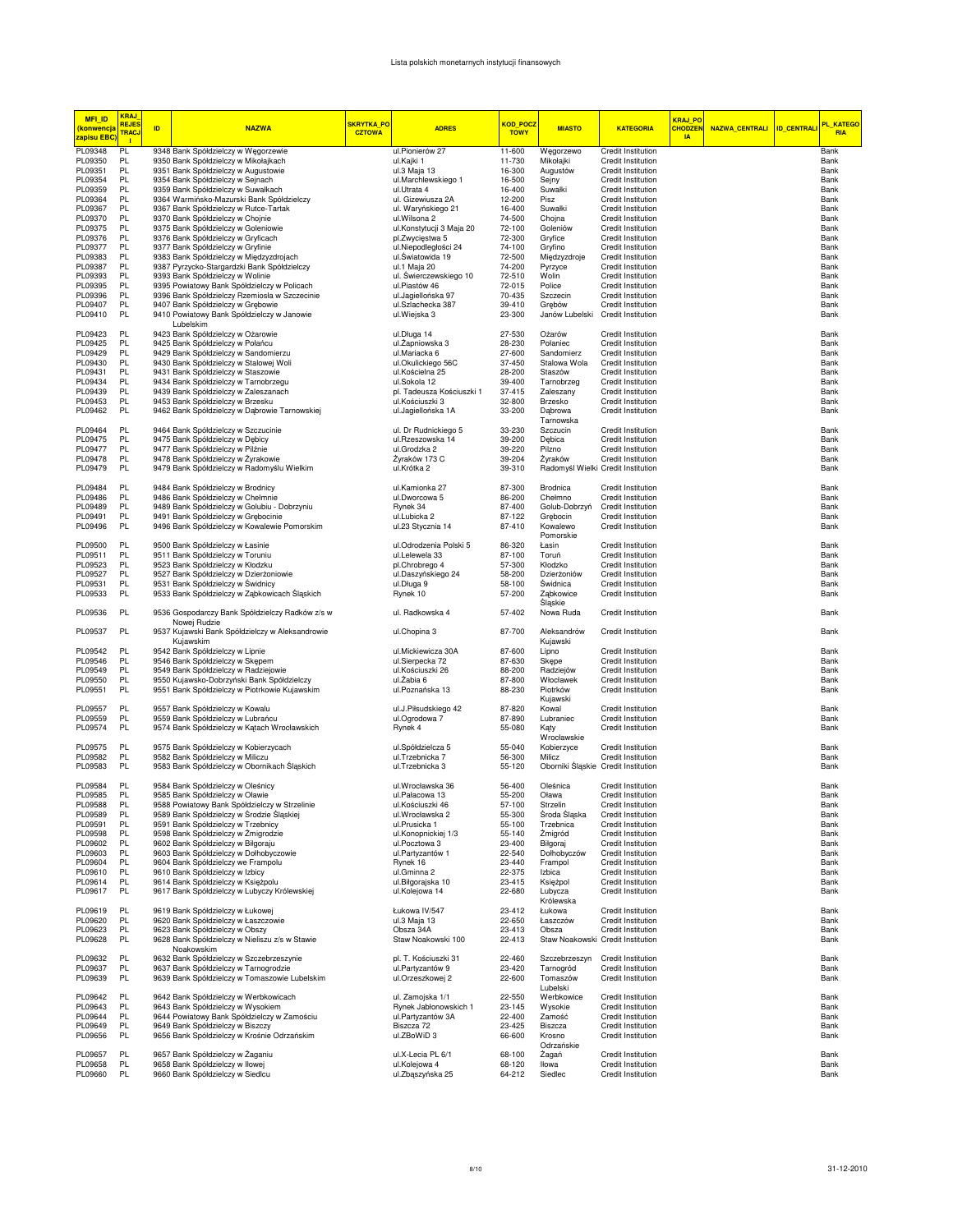## Lista polskich monetarnych instytucji finansowych

| <b>MFI ID</b><br><mark>(konwencja</mark><br><mark>zapisu EBC</mark> | <b>KRAJ</b><br><b>REJES</b><br>TRACJ<br>$\mathbf{L}$ | ID. | <b>NAZWA</b>                                                                                 | SKRYTKA_PO<br><b>CZTOWA</b> | <b>ADRES</b>                             | <b>KOD_POCZ</b><br><b>TOWY</b> | <b>MIASTO</b>                               | <b>KATEGORIA</b>                                | <mark>KRAJ_PO</mark><br><b>CHODZE!</b><br><b>IA</b> | NAZWA_CENTRALI ID_CENTRALI | PL_KATEGO<br><b>RIA</b> |
|---------------------------------------------------------------------|------------------------------------------------------|-----|----------------------------------------------------------------------------------------------|-----------------------------|------------------------------------------|--------------------------------|---------------------------------------------|-------------------------------------------------|-----------------------------------------------------|----------------------------|-------------------------|
| PL09348                                                             | PL                                                   |     | 9348 Bank Spółdzielczy w Węgorzewie                                                          |                             | ul.Pionierów 27                          | 11-600                         | Węgorzewo                                   | <b>Credit Institution</b>                       |                                                     |                            | Bank                    |
| PL09350                                                             | PL                                                   |     | 9350 Bank Spółdzielczy w Mikołajkach                                                         |                             | ul.Kajki 1                               | 11-730                         | Mikołajki                                   | Credit Institution                              |                                                     |                            | Bank                    |
| PL09351                                                             | PL.                                                  |     | 9351 Bank Spółdzielczy w Augustowie                                                          |                             | ul.3 Maja 13                             | 16-300                         | Augustów                                    | <b>Credit Institution</b>                       |                                                     |                            | Bank                    |
| PL09354                                                             | PL                                                   |     | 9354 Bank Spółdzielczy w Sejnach                                                             |                             | ul.Marchlewskiego 1                      | 16-500                         | Sejny                                       | Credit Institution                              |                                                     |                            | Bank                    |
| PL09359                                                             | PL                                                   |     | 9359 Bank Spółdzielczy w Suwałkach                                                           |                             | ul.Utrata 4                              | 16-400                         | Suwałki                                     | <b>Credit Institution</b>                       |                                                     |                            | Bank                    |
| PL09364                                                             | PL                                                   |     | 9364 Warmińsko-Mazurski Bank Spółdzielczy                                                    |                             | ul. Gizewiusza 2A                        | 12-200                         | Pisz                                        | <b>Credit Institution</b>                       |                                                     |                            | Bank                    |
| PL09367<br>PL09370                                                  | PL<br>PL.                                            |     | 9367 Bank Spółdzielczy w Rutce-Tartak<br>9370 Bank Spółdzielczy w Chojnie                    |                             | ul. Waryńskiego 21<br>ul.Wilsona 2       | 16-400<br>74-500               | Suwałki<br>Chojna                           | Credit Institution<br>Credit Institution        |                                                     |                            | Bank<br>Bank            |
| PL09375                                                             | PL.                                                  |     | 9375 Bank Spółdzielczy w Goleniowie                                                          |                             | ul.Konstytucji 3 Maja 20                 | 72-100                         | Goleniów                                    | <b>Credit Institution</b>                       |                                                     |                            | Bank                    |
| PL09376                                                             | <b>PL</b>                                            |     | 9376 Bank Spółdzielczy w Gryficach                                                           |                             | pl.Zwycięstwa 5                          | 72-300                         | Gryfice                                     | Credit Institution                              |                                                     |                            | Bank                    |
| PL09377                                                             | <b>PL</b>                                            |     | 9377 Bank Spółdzielczy w Gryfinie                                                            |                             | ul.Niepodległości 24                     | 74-100                         | Gryfino                                     | Credit Institution                              |                                                     |                            | Bank                    |
| PL09383                                                             | PL                                                   |     | 9383 Bank Spółdzielczy w Międzyzdrojach                                                      |                             | ul.Światowida 19                         | 72-500                         | Międzyzdroje                                | Credit Institution                              |                                                     |                            | Bank                    |
| PL09387                                                             | PL.                                                  |     | 9387 Pyrzycko-Stargardzki Bank Spółdzielczy                                                  |                             | ul.1 Maja 20                             | 74-200                         | Pyrzyce                                     | Credit Institution                              |                                                     |                            | Bank                    |
| PL09393                                                             | PL.                                                  |     | 9393 Bank Spółdzielczy w Wolinie                                                             |                             | ul. Świerczewskiego 10                   | 72-510                         | Wolin                                       | Credit Institution                              |                                                     |                            | Bank                    |
| PL09395                                                             | PL.                                                  |     | 9395 Powiatowy Bank Spółdzielczy w Policach                                                  |                             | ul.Piastów 46                            | 72-015                         | Police                                      | Credit Institution                              |                                                     |                            | Bank                    |
| PL09396                                                             | PL.                                                  |     | 9396 Bank Spółdzielczy Rzemiosła w Szczecinie                                                |                             | ul.Jaqiellońska 97                       | 70-435                         | Szczecin                                    | Credit Institution                              |                                                     |                            | Bank                    |
| PL09407<br>PL09410                                                  | PL.<br>PL.                                           |     | 9407 Bank Spółdzielczy w Grębowie<br>9410 Powiatowy Bank Spółdzielczy w Janowie<br>Lubelskim |                             | ul.Szlachecka 387<br>ul.Wiejska 3        | 39-410<br>23-300               | Grebów<br>Janów Lubelski Credit Institution | <b>Credit Institution</b>                       |                                                     |                            | Bank<br>Bank            |
| PL09423                                                             | PL.                                                  |     | 9423 Bank Spółdzielczy w Ożarowie                                                            |                             | ul.Długa 14                              | 27-530                         | Ożarów                                      | Credit Institution                              |                                                     |                            | Bank                    |
| PL09425                                                             | PL.                                                  |     | 9425 Bank Spółdzielczy w Połańcu                                                             |                             | ul.Żapniowska 3                          | 28-230                         | Połaniec                                    | Credit Institution                              |                                                     |                            | Bank                    |
| PL09429                                                             | PL                                                   |     | 9429 Bank Spółdzielczy w Sandomierzu                                                         |                             | ul.Mariacka 6                            | 27-600                         | Sandomierz                                  | Credit Institution                              |                                                     |                            | Bank                    |
| PL09430                                                             | PL.                                                  |     | 9430 Bank Spółdzielczy w Stalowej Woli                                                       |                             | ul.Okulickiego 56C                       | 37-450                         | Stalowa Wola                                | <b>Credit Institution</b>                       |                                                     |                            | Bank                    |
| PL09431                                                             | PL                                                   |     | 9431 Bank Spółdzielczy w Staszowie                                                           |                             | ul.Kościelna 25                          | 28-200                         | Staszów                                     | Credit Institution                              |                                                     |                            | Bank                    |
| PL09434                                                             | PL                                                   |     | 9434 Bank Spółdzielczy w Tarnobrzegu                                                         |                             | ul.Sokola 12                             | 39-400                         | Tarnobrzeg                                  | Credit Institution                              |                                                     |                            | Bank                    |
| PL09439                                                             | PL                                                   |     | 9439 Bank Spółdzielczy w Zaleszanach                                                         |                             | pl. Tadeusza Kościuszki 1                | 37-415                         | Zaleszany                                   | <b>Credit Institution</b>                       |                                                     |                            | Bank                    |
| PL09453                                                             | PL                                                   |     | 9453 Bank Spółdzielczy w Brzesku                                                             |                             | ul.Kościuszki 3                          | 32-800                         | Brzesko                                     | Credit Institution                              |                                                     |                            | Bank                    |
| PL09462                                                             | PL.<br>PL.                                           |     | 9462 Bank Spółdzielczy w Dąbrowie Tarnowskiej                                                |                             | ul.Jagiellońska 1A                       | 33-200                         | Dąbrowa<br>Tarnowska                        | Credit Institution                              |                                                     |                            | Bank                    |
| PL09464<br>PL09475                                                  | PL.                                                  |     | 9464 Bank Spółdzielczy w Szczucinie                                                          |                             | ul. Dr Rudnickiego 5<br>ul.Rzeszowska 14 | 33-230<br>39-200               | Szczucin                                    | Credit Institution                              |                                                     |                            | Bank<br>Bank            |
| PL09477                                                             | PL.                                                  |     | 9475 Bank Spółdzielczy w Dębicy<br>9477 Bank Spółdzielczy w Pilźnie                          |                             | ul.Grodzka 2                             | 39-220                         | Debica<br>Pilzno                            | Credit Institution<br>Credit Institution        |                                                     |                            | Bank                    |
| PL09478                                                             | PL.                                                  |     | 9478 Bank Spółdzielczy w Żyrakowie                                                           |                             | Żyraków 173 C                            | 39-204                         | Żvraków                                     | Credit Institution                              |                                                     |                            | Bank                    |
| PL09479                                                             | PL.                                                  |     | 9479 Bank Spółdzielczy w Radomyślu Wielkim                                                   |                             | ul.Krótka 2                              | 39-310                         | Radomyśl Wielki Credit Institution          |                                                 |                                                     |                            | Bank                    |
| PL09484                                                             | PL.                                                  |     | 9484 Bank Spółdzielczy w Brodnicy                                                            |                             | ul.Kamionka 27                           | 87-300                         | Brodnica                                    | Credit Institution                              |                                                     |                            | Bank                    |
| PL09486                                                             | PL                                                   |     | 9486 Bank Spółdzielczy w Chełmnie                                                            |                             | ul.Dworcowa 5                            | 86-200                         | Chełmno                                     | Credit Institution                              |                                                     |                            | Bank                    |
| PL09489                                                             | PL                                                   |     | 9489 Bank Spółdzielczy w Golubiu - Dobrzyniu                                                 |                             | Rynek 34                                 | 87-400                         | Golub-Dobrzyń                               | Credit Institution                              |                                                     |                            | Bank                    |
| PL09491                                                             | PL                                                   |     | 9491 Bank Spółdzielczy w Grębocinie                                                          |                             | ul.Lubicka 2                             | 87-122                         | Grebocin                                    | <b>Credit Institution</b>                       |                                                     |                            | Bank                    |
| PL09496                                                             | PL.                                                  |     | 9496 Bank Spółdzielczy w Kowalewie Pomorskim                                                 |                             | ul.23 Stycznia 14                        | 87-410                         | Kowalewo<br>Pomorskie                       | <b>Credit Institution</b>                       |                                                     |                            | Bank                    |
| PL09500                                                             | PL.                                                  |     | 9500 Bank Spółdzielczy w Łasinie                                                             |                             | ul.Odrodzenia Polski 5                   | 86-320                         | Łasin                                       | Credit Institution                              |                                                     |                            | Bank                    |
| PL09511                                                             | PL.                                                  |     | 9511 Bank Spółdzielczy w Toruniu                                                             |                             | ul.Lelewela 33                           | 87-100                         | Toruń                                       | Credit Institution                              |                                                     |                            | Bank                    |
| PL09523                                                             | PL.                                                  |     | 9523 Bank Spółdzielczy w Kłodzku                                                             |                             | pl.Chrobrego 4                           | 57-300                         | Kłodzko                                     | Credit Institution                              |                                                     |                            | Bank                    |
| PL09527                                                             | PL.                                                  |     | 9527 Bank Spółdzielczy w Dzierżoniowie                                                       |                             | ul.Daszyńskiego 24                       | 58-200                         | Dzierżoniów                                 | Credit Institution                              |                                                     |                            | Bank                    |
| PL09531                                                             | PL                                                   |     | 9531 Bank Spółdzielczy w Świdnicy                                                            |                             | ul.Długa 9                               | 58-100                         | Świdnica                                    | Credit Institution                              |                                                     |                            | Bank                    |
| PL09533                                                             | PL                                                   |     | 9533 Bank Spółdzielczy w Ząbkowicach Śląskich                                                |                             | Rynek 10                                 | 57-200                         | Ząbkowice<br>Sląskie                        | Credit Institution                              |                                                     |                            | Bank                    |
| PL09536                                                             | PL                                                   |     | 9536 Gospodarczy Bank Spółdzielczy Radków z/s w<br>Nowej Rudzie                              |                             | ul. Radkowska 4                          | 57-402                         | Nowa Ruda                                   | Credit Institution                              |                                                     |                            | Bank                    |
| PL09537                                                             | PL.                                                  |     | 9537 Kujawski Bank Spółdzielczy w Aleksandrowie<br>Kujawskim                                 |                             | ul.Chopina 3                             | 87-700                         | Aleksandrów<br>Kujawski                     | <b>Credit Institution</b>                       |                                                     |                            | Bank                    |
| PL09542                                                             | PL                                                   |     | 9542 Bank Spółdzielczy w Lipnie                                                              |                             | ul.Mickiewicza 30A                       | 87-600                         | Lipno                                       | Credit Institution                              |                                                     |                            | Bank                    |
| PL09546                                                             | PL                                                   |     | 9546 Bank Spółdzielczy w Skępem                                                              |                             | ul.Sierpecka 72                          | 87-630                         | Skępe                                       | Credit Institution                              |                                                     |                            | Bank                    |
| PL09549                                                             | PL                                                   |     | 9549 Bank Spółdzielczy w Radziejowie                                                         |                             | ul.Kościuszki 26                         | 88-200                         | Radziejów                                   | Credit Institution                              |                                                     |                            | Bank                    |
| PL09550                                                             | PL.                                                  |     | 9550 Kujawsko-Dobrzyński Bank Spółdzielczy                                                   |                             | ul.Żabia 6                               | 87-800                         | Włocławek                                   | <b>Credit Institution</b>                       |                                                     |                            | Bank                    |
| PL09551<br>PL09557                                                  | PL<br>PL                                             |     | 9551 Bank Spółdzielczy w Piotrkowie Kujawskim                                                |                             | ul.Poznańska 13                          | 88-230<br>87-820               | Piotrków<br>Kujawski                        | Credit Institution                              |                                                     |                            | Bank                    |
| PL09559                                                             | PL                                                   |     | 9557 Bank Spółdzielczy w Kowalu                                                              |                             | ul.J.Piłsudskiego 42<br>ul.Ogrodowa 7    | 87-890                         | Kowal<br>Lubraniec                          | <b>Credit Institution</b><br>Credit Institution |                                                     |                            | Bank<br>Bank            |
| PL09574                                                             | PL.                                                  |     | 9559 Bank Spółdzielczy w Lubrańcu<br>9574 Bank Spółdzielczy w Kątach Wrocławskich            |                             | Rynek 4                                  | 55-080                         | Kąty                                        | Credit Institution                              |                                                     |                            | Bank                    |
|                                                                     |                                                      |     |                                                                                              |                             |                                          |                                | Wrocławskie                                 |                                                 |                                                     |                            |                         |
| PL09575                                                             | PL                                                   |     | 9575 Bank Spółdzielczy w Kobierzycach                                                        |                             | ul.Spółdzielcza 5                        | 55-040                         | Kobierzyce                                  | Credit Institution                              |                                                     |                            | Bank                    |
| PL09582                                                             | PL.                                                  |     | 9582 Bank Spółdzielczy w Miliczu                                                             |                             | ul.Trzebnicka 7                          | 56-300                         | Milicz                                      | <b>Credit Institution</b>                       |                                                     |                            | Bank                    |
| PL09583                                                             | PL.                                                  |     | 9583 Bank Spółdzielczy w Obornikach Śląskich                                                 |                             | ul.Trzebnicka 3                          | 55-120                         | Oborniki Śląskie Credit Institution         |                                                 |                                                     |                            | Bank                    |
| PL09584                                                             | PL.                                                  |     | 9584 Bank Spółdzielczy w Oleśnicy                                                            |                             | ul.Wrocławska 36                         | 56-400                         | Oleśnica                                    | Credit Institution                              |                                                     |                            | Bank                    |
| PL09585                                                             | PL                                                   |     | 9585 Bank Spółdzielczy w Oławie                                                              |                             | ul.Pałacowa 13                           | 55-200                         | Oława                                       | <b>Credit Institution</b>                       |                                                     |                            | Bank                    |
| PL09588                                                             | PI                                                   |     | 9588 Powiatowy Bank Spółdzielczy w Strzelinie                                                |                             | ul Kościuszki 46                         | 57-100                         | Strzelin                                    | Credit Institution                              |                                                     |                            | Rank                    |
| PL09589                                                             | PL                                                   |     | 9589 Bank Spółdzielczy w Środzie Śląskiej                                                    |                             | ul.Wrocławska 2                          | 55-300                         | Środa Śląska                                | Credit Institution                              |                                                     |                            | Bank                    |
| PL09591                                                             | PL                                                   |     | 9591 Bank Spółdzielczy w Trzebnicy                                                           |                             | ul.Prusicka 1                            | 55-100                         | Trzebnica                                   | Credit Institution                              |                                                     |                            | Bank                    |
| PL09598                                                             | PL                                                   |     | 9598 Bank Spółdzielczy w Żmigrodzie                                                          |                             | ul.Konopnickiej 1/3                      | 55-140                         | Żmigród                                     | Credit Institution                              |                                                     |                            | Bank                    |
| PL09602                                                             | PL                                                   |     | 9602 Bank Spółdzielczy w Biłgoraju                                                           |                             | ul.Pocztowa 3                            | 23-400                         | Bilgoraj                                    | Credit Institution                              |                                                     |                            | Bank                    |
| PL09603                                                             | PL                                                   |     | 9603 Bank Spółdzielczy w Dołhobyczowie                                                       |                             | ul.Partyzantów 1                         | 22-540                         | Dołhobyczów                                 | Credit Institution                              |                                                     |                            | Bank                    |
| PL09604                                                             | PL<br>PL                                             |     | 9604 Bank Spółdzielczy we Frampolu                                                           |                             | Rynek 16<br>ul.Gminna 2                  | 23-440<br>22-375               | Frampol<br>Izbica                           | <b>Credit Institution</b><br>Credit Institution |                                                     |                            | Bank                    |
| PL09610<br>PL09614                                                  | PL                                                   |     | 9610 Bank Spółdzielczy w Izbicy<br>9614 Bank Spółdzielczy w Księżpolu                        |                             | ul.Biłgorajska 10                        | 23-415                         | Księżpol                                    | Credit Institution                              |                                                     |                            | Bank                    |
| PL09617                                                             | PL.                                                  |     | 9617 Bank Spółdzielczy w Lubyczy Królewskiej                                                 |                             | ul.Kolejowa 14                           | 22-680                         | Lubycza                                     | Credit Institution                              |                                                     |                            | Bank<br>Bank            |
| PL09619                                                             | PL                                                   |     | 9619 Bank Spółdzielczy w Łukowej                                                             |                             | Łukowa IV/547                            | 23-412                         | Królewska<br>Łukowa                         | Credit Institution                              |                                                     |                            | Bank                    |
| PL09620                                                             | PL                                                   |     | 9620 Bank Spółdzielczy w Łaszczowie                                                          |                             | ul.3 Maja 13                             | 22-650                         | Łaszczów                                    | Credit Institution                              |                                                     |                            | Bank                    |
| PL09623                                                             | PL                                                   |     | 9623 Bank Spółdzielczy w Obszy                                                               |                             | Obsza 34A                                | 23-413                         | Obsza                                       | Credit Institution                              |                                                     |                            | Bank                    |
| PL09628                                                             | PL.                                                  |     | 9628 Bank Spółdzielczy w Nieliszu z/s w Stawie<br>Noakowskim                                 |                             | Staw Noakowski 100                       | 22-413                         | Staw Noakowski Credit Institution           |                                                 |                                                     |                            | Bank                    |
| PL09632                                                             | PL.                                                  |     | 9632 Bank Spółdzielczy w Szczebrzeszynie                                                     |                             | pl. T. Kościuszki 31                     | 22-460                         | Szczebrzeszyn                               | Credit Institution                              |                                                     |                            | Bank                    |
| PL09637                                                             | PL                                                   |     | 9637 Bank Spółdzielczy w Tarnogrodzie                                                        |                             | ul.Partyzantów 9                         | 23-420                         | Tarnogród                                   | Credit Institution                              |                                                     |                            | Bank                    |
| PL09639                                                             | PL                                                   |     | 9639 Bank Spółdzielczy w Tomaszowie Lubelskim                                                |                             | ul.Orzeszkowej 2                         | 22-600                         | Tomaszów<br>Lubelski                        | Credit Institution                              |                                                     |                            | Bank                    |
| PL09642                                                             | PL                                                   |     | 9642 Bank Spółdzielczy w Werbkowicach                                                        |                             | ul. Zamojska 1/1                         | 22-550                         | Werbkowice                                  | Credit Institution                              |                                                     |                            | Bank                    |
| PL09643                                                             | PL                                                   |     | 9643 Bank Spółdzielczy w Wysokiem                                                            |                             | Rynek Jabłonowskich 1                    | 23-145                         | Wysokie                                     | Credit Institution                              |                                                     |                            | Bank                    |
| PL09644                                                             | PL                                                   |     | 9644 Powiatowy Bank Spółdzielczy w Zamościu                                                  |                             | ul.Partyzantów 3A                        | 22-400                         | Zamość                                      | Credit Institution                              |                                                     |                            | Bank                    |
| PL09649                                                             | PL                                                   |     | 9649 Bank Spółdzielczy w Biszczy                                                             |                             | Biszcza 72                               | 23-425                         | Biszcza                                     | <b>Credit Institution</b>                       |                                                     |                            | Bank                    |
| PL09656                                                             | PL.                                                  |     | 9656 Bank Spółdzielczy w Krośnie Odrzańskim                                                  |                             | ul.ZBoWiD 3                              | 66-600                         | Krosno                                      | Credit Institution                              |                                                     |                            | Bank                    |
| PL09657                                                             | PL                                                   |     | 9657 Bank Spółdzielczy w Żaganiu                                                             |                             | ul.X-Lecia PL 6/1                        | 68-100                         | Odrzańskie<br>Żagań                         | Credit Institution                              |                                                     |                            | Bank                    |
| PL09658                                                             | PL                                                   |     | 9658 Bank Spółdzielczy w Iłowej                                                              |                             | ul.Kolejowa 4                            | 68-120                         | Iłowa                                       | Credit Institution                              |                                                     |                            | Bank                    |
| PL09660                                                             | PL                                                   |     | 9660 Bank Spółdzielczy w Siedlcu                                                             |                             | ul.Zbaszyńska 25                         | 64-212                         | Siedlec                                     | Credit Institution                              |                                                     |                            | Bank                    |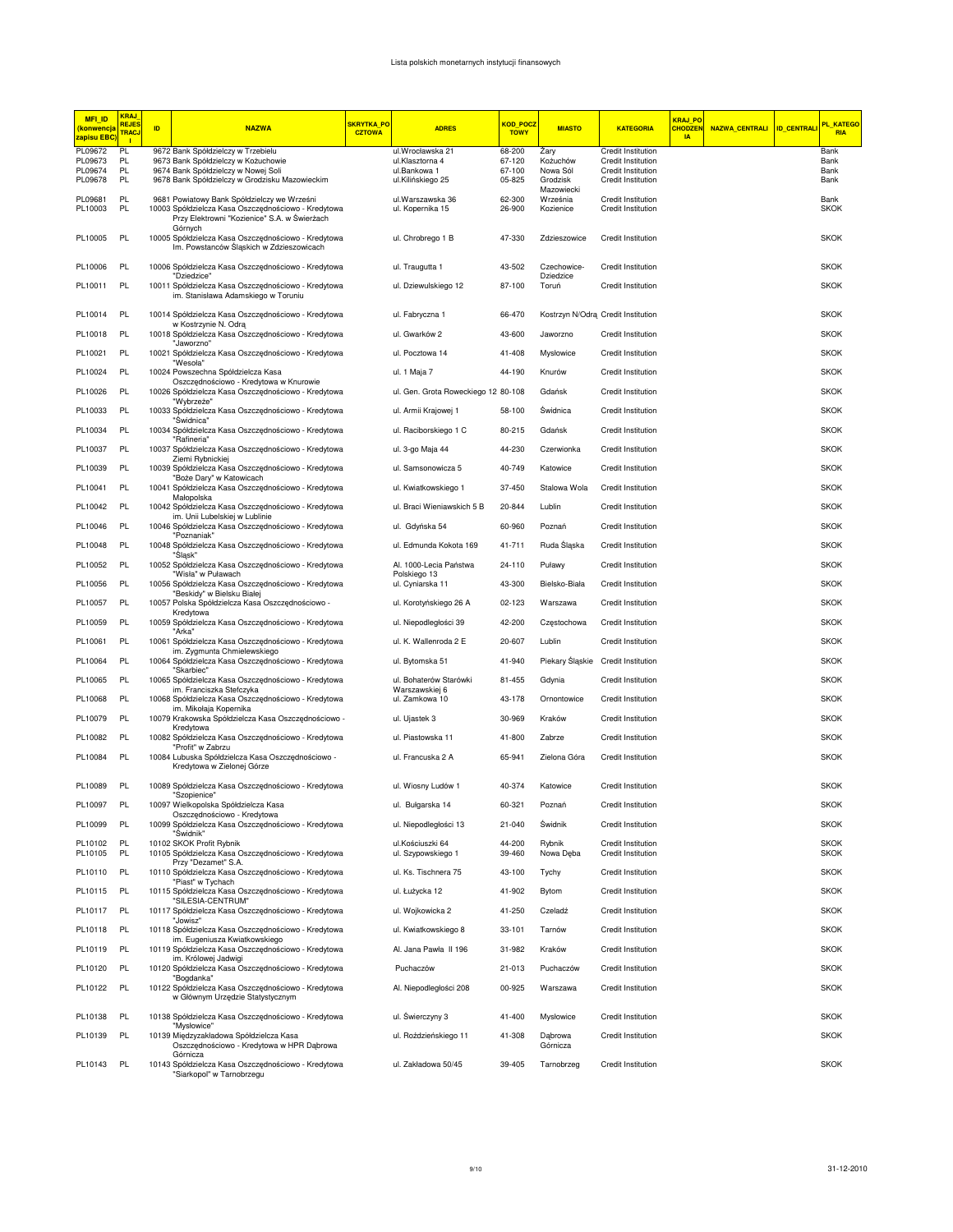| <b>MFI ID</b><br>(konwencja<br><mark>zapisu EBC</mark> | <b>KRAJ</b><br><b>REJES</b><br><b>TRACJ</b><br>$\blacksquare$ | ID. | <b>NAZWA</b>                                                                                                                                               | <b>SKRYTKA PO</b><br><b>CZTOWA</b> | <b>ADRES</b>                                    | KOD POCZ<br><b>TOWY</b> | <b>MIASTO</b>                       | <b>KATEGORIA</b>                                | <b>KRAJ PO</b><br><b>CHODZEN</b><br><b>IA</b> | NAZWA_CENTRALI | <b>ID_CENTRALI</b> | <b>PL KATEGO</b><br><b>RIA</b> |
|--------------------------------------------------------|---------------------------------------------------------------|-----|------------------------------------------------------------------------------------------------------------------------------------------------------------|------------------------------------|-------------------------------------------------|-------------------------|-------------------------------------|-------------------------------------------------|-----------------------------------------------|----------------|--------------------|--------------------------------|
| PL09672                                                | PL.                                                           |     | 9672 Bank Spółdzielczy w Trzebielu                                                                                                                         |                                    | ul.Wrocławska 21                                | 68-200                  | Żary                                | <b>Credit Institution</b>                       |                                               |                |                    | Bank                           |
| PL09673<br>PL09674                                     | PL<br>PL                                                      |     | 9673 Bank Spółdzielczy w Kożuchowie<br>9674 Bank Spółdzielczy w Nowej Soli                                                                                 |                                    | ul.Klasztorna 4<br>ul.Bankowa 1                 | 67-120<br>67-100        | Kożuchów<br>Nowa Sól                | Credit Institution<br>Credit Institution        |                                               |                |                    | Bank<br>Bank                   |
| PL09678                                                | PL                                                            |     | 9678 Bank Spółdzielczy w Grodzisku Mazowieckim                                                                                                             |                                    | ul.Kilińskiego 25                               | 05-825                  | Grodzisk                            | Credit Institution                              |                                               |                |                    | Bank                           |
| PL09681<br>PL10003                                     | PL<br>PL                                                      |     | 9681 Powiatowy Bank Spółdzielczy we Wrześni<br>10003 Spółdzielcza Kasa Oszczędnościowo - Kredytowa                                                         |                                    | ul. Warszawska 36<br>ul. Kopernika 15           | 62-300<br>26-900        | Mazowiecki<br>Września<br>Kozienice | Credit Institution<br>Credit Institution        |                                               |                |                    | Bank<br><b>SKOK</b>            |
| PL10005                                                | PL                                                            |     | Przy Elektrowni "Kozienice" S.A. w Świerżach<br>Górnych<br>10005 Spółdzielcza Kasa Oszczędnościowo - Kredytowa<br>Im. Powstanców Śląskich w Zdzieszowicach |                                    | ul. Chrobrego 1 B                               | 47-330                  | Zdzieszowice                        | <b>Credit Institution</b>                       |                                               |                |                    | <b>SKOK</b>                    |
| PL10006                                                | PL                                                            |     | 10006 Spółdzielcza Kasa Oszczędnościowo - Kredytowa                                                                                                        |                                    | ul. Traugutta 1                                 | 43-502                  | Czechowice-                         | Credit Institution                              |                                               |                |                    | <b>SKOK</b>                    |
| PL10011                                                | PL                                                            |     | "Dziedzice"<br>10011 Spółdzielcza Kasa Oszczędnościowo - Kredytowa<br>im. Stanisława Adamskiego w Toruniu                                                  |                                    | ul. Dziewulskiego 12                            | 87-100                  | Dziedzice<br>Toruń                  | Credit Institution                              |                                               |                |                    | <b>SKOK</b>                    |
| PL10014                                                | PL                                                            |     | 10014 Spółdzielcza Kasa Oszczędnościowo - Kredytowa                                                                                                        |                                    | ul. Fabryczna 1                                 | 66-470                  |                                     | Kostrzyn N/Odrą Credit Institution              |                                               |                |                    | <b>SKOK</b>                    |
| PL10018                                                | PL                                                            |     | w Kostrzynie N. Odra<br>10018 Spółdzielcza Kasa Oszczędnościowo - Kredytowa<br>"Jaworzno"                                                                  |                                    | ul. Gwarków 2                                   | 43-600                  | Jaworzno                            | <b>Credit Institution</b>                       |                                               |                |                    | <b>SKOK</b>                    |
| PL10021                                                | PL                                                            |     | 10021 Spółdzielcza Kasa Oszczędnościowo - Kredytowa<br>"Wesoła"                                                                                            |                                    | ul. Pocztowa 14                                 | 41-408                  | Mysłowice                           | <b>Credit Institution</b>                       |                                               |                |                    | <b>SKOK</b>                    |
| PL10024                                                | PL                                                            |     | 10024 Powszechna Spółdzielcza Kasa                                                                                                                         |                                    | ul. 1 Maja 7                                    | 44-190                  | Knurów                              | Credit Institution                              |                                               |                |                    | <b>SKOK</b>                    |
| PL10026                                                | PL                                                            |     | Oszczędnościowo - Kredytowa w Knurowie<br>10026 Spółdzielcza Kasa Oszczędnościowo - Kredytowa<br>"Wybrzeże"                                                |                                    | ul. Gen. Grota Roweckiego 12 80-108             |                         | Gdańsk                              | Credit Institution                              |                                               |                |                    | <b>SKOK</b>                    |
| PL10033                                                | PL                                                            |     | 10033 Spółdzielcza Kasa Oszczędnościowo - Kredytowa<br>"Świdnica"                                                                                          |                                    | ul. Armii Krajowej 1                            | 58-100                  | Świdnica                            | <b>Credit Institution</b>                       |                                               |                |                    | <b>SKOK</b>                    |
| PL10034                                                | PL                                                            |     | 10034 Spółdzielcza Kasa Oszczędnościowo - Kredytowa<br>"Rafineria"                                                                                         |                                    | ul. Raciborskiego 1 C                           | 80-215                  | Gdańsk                              | <b>Credit Institution</b>                       |                                               |                |                    | <b>SKOK</b>                    |
| PL10037                                                | PL                                                            |     | 10037 Spółdzielcza Kasa Oszczędnościowo - Kredytowa<br>Ziemi Rybnickiej                                                                                    |                                    | ul. 3-go Maja 44                                | 44-230                  | Czerwionka                          | Credit Institution                              |                                               |                |                    | <b>SKOK</b>                    |
| PL10039                                                | PL                                                            |     | 10039 Spółdzielcza Kasa Oszczędnościowo - Kredytowa<br>"Boże Dary" w Katowicach                                                                            |                                    | ul. Samsonowicza 5                              | 40-749                  | Katowice                            | <b>Credit Institution</b>                       |                                               |                |                    | <b>SKOK</b>                    |
| PL10041                                                | PL                                                            |     | 10041 Spółdzielcza Kasa Oszczędnościowo - Kredytowa<br>Małopolska                                                                                          |                                    | ul. Kwiatkowskiego 1                            | 37-450                  | Stalowa Wola                        | <b>Credit Institution</b>                       |                                               |                |                    | <b>SKOK</b>                    |
| PL10042                                                | PL                                                            |     | 10042 Spółdzielcza Kasa Oszczędnościowo - Kredytowa<br>im. Unii Lubelskiej w Lublinie                                                                      |                                    | ul. Braci Wieniawskich 5 B                      | 20-844                  | Lublin                              | <b>Credit Institution</b>                       |                                               |                |                    | <b>SKOK</b>                    |
| PL10046                                                | PL                                                            |     | 10046 Spółdzielcza Kasa Oszczędnościowo - Kredytowa<br>"Poznaniak"                                                                                         |                                    | ul. Gdyńska 54                                  | 60-960                  | Poznań                              | Credit Institution                              |                                               |                |                    | <b>SKOK</b>                    |
| PL10048                                                | PL                                                            |     | 10048 Spółdzielcza Kasa Oszczędnościowo - Kredytowa<br>"Ŝląsk"                                                                                             |                                    | ul. Edmunda Kokota 169                          | 41-711                  | Ruda Sląska                         | Credit Institution                              |                                               |                |                    | <b>SKOK</b>                    |
| PL10052                                                | PL                                                            |     | 10052 Spółdzielcza Kasa Oszczędnościowo - Kredytowa<br>"Wisła" w Puławach                                                                                  |                                    | Al. 1000-Lecia Państwa<br>Polskiego 13          | 24-110                  | Puławy                              | <b>Credit Institution</b>                       |                                               |                |                    | <b>SKOK</b>                    |
| PL10056                                                | PL                                                            |     | 10056 Spółdzielcza Kasa Oszczędnościowo - Kredytowa<br>"Beskidy" w Bielsku Białej                                                                          |                                    | ul. Cyniarska 11                                | 43-300                  | Bielsko-Biała                       | Credit Institution                              |                                               |                |                    | <b>SKOK</b><br><b>SKOK</b>     |
| PL10057<br>PL10059                                     | PL<br>PL                                                      |     | 10057 Polska Spółdzielcza Kasa Oszczędnościowo -<br>Kredytowa<br>10059 Spółdzielcza Kasa Oszczędnościowo - Kredytowa                                       |                                    | ul. Korotyńskiego 26 A<br>ul. Niepodległości 39 | 02-123<br>42-200        | Warszawa<br>Częstochowa             | Credit Institution<br><b>Credit Institution</b> |                                               |                |                    | <b>SKOK</b>                    |
| PL10061                                                | PL                                                            |     | "Arka"<br>10061 Spółdzielcza Kasa Oszczędnościowo - Kredytowa                                                                                              |                                    | ul. K. Wallenroda 2 E                           | 20-607                  | Lublin                              | <b>Credit Institution</b>                       |                                               |                |                    | <b>SKOK</b>                    |
| PL10064                                                | PL                                                            |     | im. Zygmunta Chmielewskiego<br>10064 Spółdzielcza Kasa Oszczędnościowo - Kredytowa                                                                         |                                    | ul. Bytomska 51                                 | 41-940                  | Piekary Śląskie                     | Credit Institution                              |                                               |                |                    | <b>SKOK</b>                    |
| PL10065                                                | PL                                                            |     | "Skarbiec"<br>10065 Spółdzielcza Kasa Oszczędnościowo - Kredytowa                                                                                          |                                    | ul. Bohaterów Starówki                          | 81-455                  | Gdynia                              | Credit Institution                              |                                               |                |                    | <b>SKOK</b>                    |
| PL10068                                                | PL                                                            |     | im. Franciszka Stefczyka<br>10068 Spółdzielcza Kasa Oszczędnościowo - Kredytowa                                                                            |                                    | Warszawskiej 6<br>ul. Zamkowa 10                | 43-178                  | Ornontowice                         | Credit Institution                              |                                               |                |                    | <b>SKOK</b>                    |
| PL10079                                                | PL                                                            |     | im. Mikołaja Kopernika<br>10079 Krakowska Spółdzielcza Kasa Oszczędnościowo -                                                                              |                                    | ul. Ujastek 3                                   | 30-969                  | Kraków                              | <b>Credit Institution</b>                       |                                               |                |                    | <b>SKOK</b>                    |
| PL10082                                                | PL                                                            |     | Kredytowa<br>10082 Spółdzielcza Kasa Oszczędnościowo - Kredytowa                                                                                           |                                    | ul. Piastowska 11                               | 41-800                  | Zabrze                              | <b>Credit Institution</b>                       |                                               |                |                    | <b>SKOK</b>                    |
| PL10084                                                | PL                                                            |     | "Profit" w Zabrzu<br>10084 Lubuska Spółdzielcza Kasa Oszczędnościowo -<br>Kredytowa w Zielonej Górze                                                       |                                    | ul. Francuska 2 A                               | 65-941                  | Zielona Góra                        | Credit Institution                              |                                               |                |                    | <b>SKOK</b>                    |
| PL10089                                                | PL                                                            |     | 10089 Spółdzielcza Kasa Oszczednościowo - Kredytowa<br>"Szopienice"                                                                                        |                                    | ul. Wiosny Ludów 1                              | 40-374                  | Katowice                            | <b>Credit Institution</b>                       |                                               |                |                    | <b>SKOK</b>                    |
| PL10097                                                | PL                                                            |     | 10097 Wielkopolska Spółdzielcza Kasa<br>Oszczędnościowo - Kredytowa                                                                                        |                                    | ul. Bułgarska 14                                | 60-321                  | Poznań                              | Credit Institution                              |                                               |                |                    | <b>SKOK</b>                    |
| PL10099                                                | PL                                                            |     | 10099 Spółdzielcza Kasa Oszczędnościowo - Kredytowa<br>"Świdnik"                                                                                           |                                    | ul. Niepodległości 13                           | 21-040                  | Swidnik                             | Credit Institution                              |                                               |                |                    | <b>SKOK</b>                    |
| PL10102<br>PL10105                                     | PL<br>PL                                                      |     | 10102 SKOK Profit Rybnik<br>10105 Spółdzielcza Kasa Oszczędnościowo - Kredytowa                                                                            |                                    | ul.Kościuszki 64<br>ul. Szypowskiego 1          | 44-200<br>39-460        | Rybnik<br>Nowa Dęba                 | Credit Institution<br>Credit Institution        |                                               |                |                    | <b>SKOK</b><br><b>SKOK</b>     |
| PL10110                                                | PL                                                            |     | Przy "Dezamet" S.A.<br>10110 Spółdzielcza Kasa Oszczędnościowo - Kredytowa<br>"Piast" w Tychach                                                            |                                    | ul. Ks. Tischnera 75                            | 43-100                  | Tychy                               | Credit Institution                              |                                               |                |                    | <b>SKOK</b>                    |
| PL10115                                                | PL                                                            |     | 10115 Spółdzielcza Kasa Oszczędnościowo - Kredytowa<br>"SILESIA-CENTRUM"                                                                                   |                                    | ul. Łużycka 12                                  | 41-902                  | Bytom                               | Credit Institution                              |                                               |                |                    | <b>SKOK</b>                    |
| PL10117                                                | PL                                                            |     | 10117 Spółdzielcza Kasa Oszczędnościowo - Kredytowa<br>"Jowisz"                                                                                            |                                    | ul. Wojkowicka 2                                | 41-250                  | Czeladź                             | Credit Institution                              |                                               |                |                    | <b>SKOK</b>                    |
| PL10118                                                | PL                                                            |     | 10118 Spółdzielcza Kasa Oszczędnościowo - Kredytowa<br>im. Eugeniusza Kwiatkowskiego                                                                       |                                    | ul. Kwiatkowskiego 8                            | 33-101                  | Tarnów                              | Credit Institution                              |                                               |                |                    | <b>SKOK</b>                    |
| PL10119                                                | PL                                                            |     | 10119 Spółdzielcza Kasa Oszczędnościowo - Kredytowa<br>im. Królowej Jadwigi                                                                                |                                    | Al. Jana Pawła II 196                           | 31-982                  | Kraków                              | Credit Institution                              |                                               |                |                    | <b>SKOK</b>                    |
| PL10120                                                | PL                                                            |     | 10120 Spółdzielcza Kasa Oszczędnościowo - Kredytowa<br>"Bogdanka"                                                                                          |                                    | Puchaczów                                       | 21-013                  | Puchaczów                           | Credit Institution                              |                                               |                |                    | <b>SKOK</b>                    |
| PL10122                                                | PL                                                            |     | 10122 Spółdzielcza Kasa Oszczędnościowo - Kredytowa<br>w Głównym Urzędzie Statystycznym                                                                    |                                    | Al. Niepodległości 208                          | 00-925                  | Warszawa                            | Credit Institution                              |                                               |                |                    | <b>SKOK</b>                    |
| PL10138                                                | PL                                                            |     | 10138 Spółdzielcza Kasa Oszczędnościowo - Kredytowa<br>"Mysłowice"                                                                                         |                                    | ul. Swierczyny 3                                | 41-400                  | Mysłowice                           | Credit Institution                              |                                               |                |                    | <b>SKOK</b>                    |
| PL10139                                                | PL                                                            |     | 10139 Międzyzakładowa Spółdzielcza Kasa<br>Oszczędnościowo - Kredytowa w HPR Dąbrowa<br>Górnicza                                                           |                                    | ul. Roździeńskiego 11                           | 41-308                  | Dąbrowa<br>Górnicza                 | <b>Credit Institution</b>                       |                                               |                |                    | <b>SKOK</b>                    |
| PL10143                                                | PL                                                            |     | 10143 Spółdzielcza Kasa Oszczędnościowo - Kredytowa<br>"Siarkopol" w Tarnobrzegu                                                                           |                                    | ul. Zakładowa 50/45                             | 39-405                  | Tarnobrzeg                          | Credit Institution                              |                                               |                |                    | <b>SKOK</b>                    |